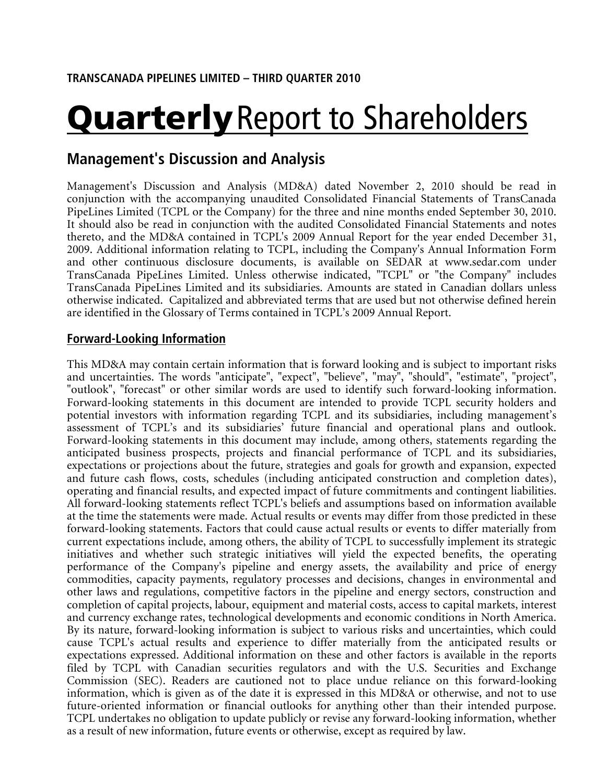# **Quarterly** Report to Shareholders

# Management's Discussion and Analysis

Management's Discussion and Analysis (MD&A) dated November 2, 2010 should be read in conjunction with the accompanying unaudited Consolidated Financial Statements of TransCanada PipeLines Limited (TCPL or the Company) for the three and nine months ended September 30, 2010. It should also be read in conjunction with the audited Consolidated Financial Statements and notes thereto, and the MD&A contained in TCPL's 2009 Annual Report for the year ended December 31, 2009. Additional information relating to TCPL, including the Company's Annual Information Form and other continuous disclosure documents, is available on SEDAR at www.sedar.com under TransCanada PipeLines Limited. Unless otherwise indicated, "TCPL" or "the Company" includes TransCanada PipeLines Limited and its subsidiaries. Amounts are stated in Canadian dollars unless otherwise indicated. Capitalized and abbreviated terms that are used but not otherwise defined herein are identified in the Glossary of Terms contained in TCPL's 2009 Annual Report.

## Forward-Looking Information

This MD&A may contain certain information that is forward looking and is subject to important risks and uncertainties. The words "anticipate", "expect", "believe", "may", "should", "estimate", "project", "outlook", "forecast" or other similar words are used to identify such forward-looking information. Forward-looking statements in this document are intended to provide TCPL security holders and potential investors with information regarding TCPL and its subsidiaries, including management's assessment of TCPL's and its subsidiaries' future financial and operational plans and outlook. Forward-looking statements in this document may include, among others, statements regarding the anticipated business prospects, projects and financial performance of TCPL and its subsidiaries, expectations or projections about the future, strategies and goals for growth and expansion, expected and future cash flows, costs, schedules (including anticipated construction and completion dates), operating and financial results, and expected impact of future commitments and contingent liabilities. All forward-looking statements reflect TCPL's beliefs and assumptions based on information available at the time the statements were made. Actual results or events may differ from those predicted in these forward-looking statements. Factors that could cause actual results or events to differ materially from current expectations include, among others, the ability of TCPL to successfully implement its strategic initiatives and whether such strategic initiatives will yield the expected benefits, the operating performance of the Company's pipeline and energy assets, the availability and price of energy commodities, capacity payments, regulatory processes and decisions, changes in environmental and other laws and regulations, competitive factors in the pipeline and energy sectors, construction and completion of capital projects, labour, equipment and material costs, access to capital markets, interest and currency exchange rates, technological developments and economic conditions in North America. By its nature, forward-looking information is subject to various risks and uncertainties, which could cause TCPL's actual results and experience to differ materially from the anticipated results or expectations expressed. Additional information on these and other factors is available in the reports filed by TCPL with Canadian securities regulators and with the U.S. Securities and Exchange Commission (SEC). Readers are cautioned not to place undue reliance on this forward-looking information, which is given as of the date it is expressed in this MD&A or otherwise, and not to use future-oriented information or financial outlooks for anything other than their intended purpose. TCPL undertakes no obligation to update publicly or revise any forward-looking information, whether as a result of new information, future events or otherwise, except as required by law.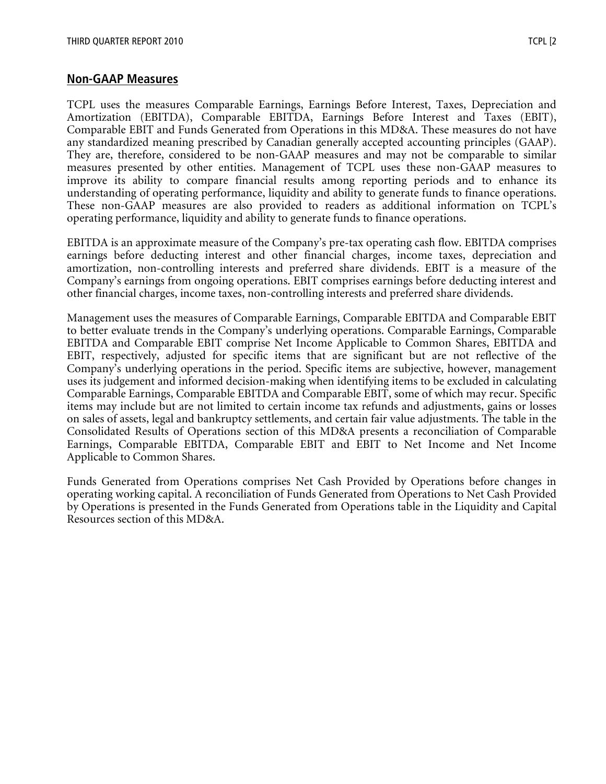### Non-GAAP Measures

TCPL uses the measures Comparable Earnings, Earnings Before Interest, Taxes, Depreciation and Amortization (EBITDA), Comparable EBITDA, Earnings Before Interest and Taxes (EBIT), Comparable EBIT and Funds Generated from Operations in this MD&A. These measures do not have any standardized meaning prescribed by Canadian generally accepted accounting principles (GAAP). They are, therefore, considered to be non-GAAP measures and may not be comparable to similar measures presented by other entities. Management of TCPL uses these non-GAAP measures to improve its ability to compare financial results among reporting periods and to enhance its understanding of operating performance, liquidity and ability to generate funds to finance operations. These non-GAAP measures are also provided to readers as additional information on TCPL's operating performance, liquidity and ability to generate funds to finance operations.

EBITDA is an approximate measure of the Company's pre-tax operating cash flow. EBITDA comprises earnings before deducting interest and other financial charges, income taxes, depreciation and amortization, non-controlling interests and preferred share dividends. EBIT is a measure of the Company's earnings from ongoing operations. EBIT comprises earnings before deducting interest and other financial charges, income taxes, non-controlling interests and preferred share dividends.

Management uses the measures of Comparable Earnings, Comparable EBITDA and Comparable EBIT to better evaluate trends in the Company's underlying operations. Comparable Earnings, Comparable EBITDA and Comparable EBIT comprise Net Income Applicable to Common Shares, EBITDA and EBIT, respectively, adjusted for specific items that are significant but are not reflective of the Company's underlying operations in the period. Specific items are subjective, however, management uses its judgement and informed decision-making when identifying items to be excluded in calculating Comparable Earnings, Comparable EBITDA and Comparable EBIT, some of which may recur. Specific items may include but are not limited to certain income tax refunds and adjustments, gains or losses on sales of assets, legal and bankruptcy settlements, and certain fair value adjustments. The table in the Consolidated Results of Operations section of this MD&A presents a reconciliation of Comparable Earnings, Comparable EBITDA, Comparable EBIT and EBIT to Net Income and Net Income Applicable to Common Shares.

Funds Generated from Operations comprises Net Cash Provided by Operations before changes in operating working capital. A reconciliation of Funds Generated from Operations to Net Cash Provided by Operations is presented in the Funds Generated from Operations table in the Liquidity and Capital Resources section of this MD&A.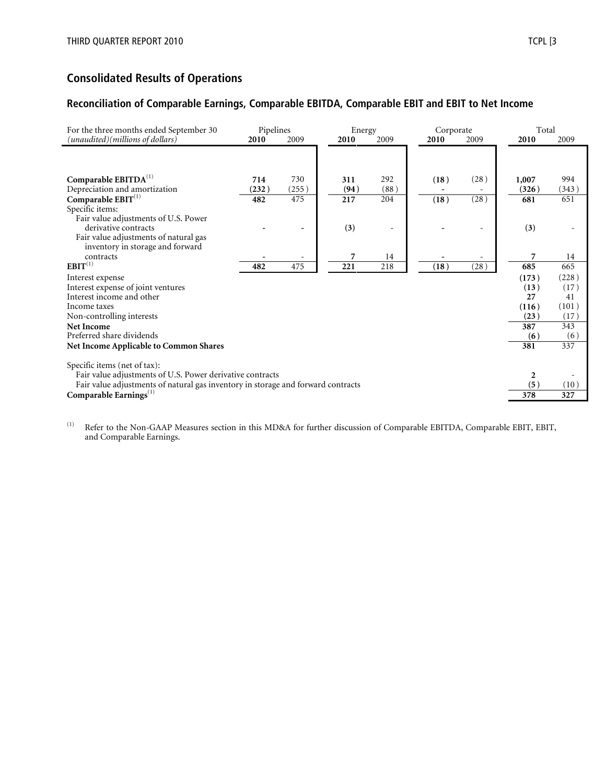## Consolidated Results of Operations

#### Reconciliation of Comparable Earnings, Comparable EBITDA, Comparable EBIT and EBIT to Net Income

| For the three months ended September 30                                          | Pipelines |       |      | Energy | Corporate |      | Total |       |
|----------------------------------------------------------------------------------|-----------|-------|------|--------|-----------|------|-------|-------|
| (unaudited)(millions of dollars)                                                 | 2010      | 2009  | 2010 | 2009   | 2010      | 2009 | 2010  | 2009  |
|                                                                                  |           |       |      |        |           |      |       |       |
|                                                                                  |           |       |      |        |           |      |       |       |
| Comparable $EBITDA(1)$                                                           | 714       | 730   | 311  | 292    | (18)      | (28) | 1,007 | 994   |
| Depreciation and amortization                                                    | (232)     | (255) | (94) | (88)   |           |      | (326) | (343) |
| Comparable $EBIT^{(1)}$                                                          | 482       | 475   | 217  | 204    | (18)      | (28) | 681   | 651   |
| Specific items:                                                                  |           |       |      |        |           |      |       |       |
| Fair value adjustments of U.S. Power                                             |           |       |      |        |           |      |       |       |
| derivative contracts                                                             |           |       | (3)  |        |           |      | (3)   |       |
| Fair value adjustments of natural gas                                            |           |       |      |        |           |      |       |       |
| inventory in storage and forward                                                 |           |       |      |        |           |      |       |       |
| contracts                                                                        |           |       | 7    | 14     |           |      | 7     | 14    |
| $EBIT^{(1)}$                                                                     | 482       | 475   | 221  | 218    | (18)      | (28) | 685   | 665   |
| Interest expense                                                                 |           |       |      |        |           |      | (173) | (228) |
| Interest expense of joint ventures                                               |           |       |      |        |           |      | (13)  | (17)  |
| Interest income and other                                                        |           |       |      |        |           |      | 27    | 41    |
| Income taxes                                                                     |           |       |      |        |           |      | (116) | (101) |
| Non-controlling interests                                                        |           |       |      |        |           |      | (23)  | (17)  |
| Net Income                                                                       |           |       |      |        |           |      | 387   | 343   |
| Preferred share dividends                                                        |           |       |      |        |           |      | (6)   | (6)   |
| <b>Net Income Applicable to Common Shares</b>                                    |           |       |      |        |           |      | 381   | 337   |
|                                                                                  |           |       |      |        |           |      |       |       |
| Specific items (net of tax):                                                     |           |       |      |        |           |      |       |       |
| Fair value adjustments of U.S. Power derivative contracts                        |           |       |      |        |           |      | 2     |       |
| Fair value adjustments of natural gas inventory in storage and forward contracts |           |       |      |        |           |      | (5)   | (10)  |
| Comparable Earnings $^{(1)}$                                                     |           |       |      |        |           |      | 378   | 327   |

<sup>(1)</sup> Refer to the Non-GAAP Measures section in this MD&A for further discussion of Comparable EBITDA, Comparable EBIT, EBIT, and Comparable Earnings.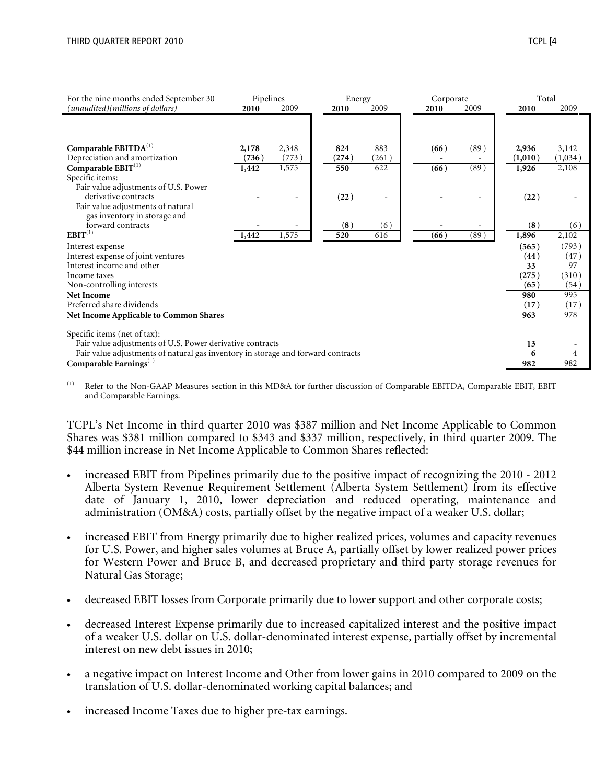| For the nine months ended September 30                                           | Pipelines |       | Energy |       | Corporate |      | Total   |         |
|----------------------------------------------------------------------------------|-----------|-------|--------|-------|-----------|------|---------|---------|
| (unaudited)(millions of dollars)                                                 | 2010      | 2009  | 2010   | 2009  | 2010      | 2009 | 2010    | 2009    |
|                                                                                  |           |       |        |       |           |      |         |         |
| Comparable $EBITDA(1)$                                                           | 2,178     | 2,348 | 824    | 883   | (66)      | (89) | 2,936   | 3,142   |
| Depreciation and amortization                                                    | (736)     | (773) | (274)  | (261) |           |      | (1,010) | (1,034) |
| Comparable $EBIT^{(1)}$                                                          | 1,442     | 1,575 | 550    | 622   | (66)      | (89) | 1,926   | 2,108   |
| Specific items:                                                                  |           |       |        |       |           |      |         |         |
| Fair value adjustments of U.S. Power                                             |           |       |        |       |           |      |         |         |
| derivative contracts                                                             |           |       | (22)   |       |           |      | (22)    |         |
| Fair value adjustments of natural                                                |           |       |        |       |           |      |         |         |
| gas inventory in storage and                                                     |           |       |        |       |           |      |         |         |
| forward contracts                                                                |           |       | (8)    | (6)   |           |      | (8)     | (6)     |
| $EBIT^{(1)}$                                                                     | 1,442     | 1,575 | 520    | 616   | (66)      | (89) | 1,896   | 2,102   |
| Interest expense                                                                 |           |       |        |       |           |      | (565)   | (793)   |
| Interest expense of joint ventures                                               |           |       |        |       |           |      | (44)    | (47)    |
| Interest income and other                                                        |           |       |        |       |           |      | 33      | 97      |
| Income taxes                                                                     |           |       |        |       |           |      | (275)   | (310)   |
| Non-controlling interests                                                        |           |       |        |       |           |      | (65)    | (54)    |
| <b>Net Income</b>                                                                |           |       |        |       |           |      | 980     | 995     |
| Preferred share dividends                                                        |           |       |        |       |           |      | (17)    | (17)    |
| Net Income Applicable to Common Shares                                           |           |       |        |       |           |      | 963     | 978     |
| Specific items (net of tax):                                                     |           |       |        |       |           |      |         |         |
| Fair value adjustments of U.S. Power derivative contracts                        |           |       |        |       |           |      | 13      |         |
| Fair value adjustments of natural gas inventory in storage and forward contracts |           |       |        |       |           |      | 6       |         |
| Comparable Earnings $^{(1)}$                                                     |           |       |        |       |           |      | 982     | 982     |

Refer to the Non-GAAP Measures section in this MD&A for further discussion of Comparable EBITDA, Comparable EBIT, EBIT and Comparable Earnings.

TCPL's Net Income in third quarter 2010 was \$387 million and Net Income Applicable to Common Shares was \$381 million compared to \$343 and \$337 million, respectively, in third quarter 2009. The \$44 million increase in Net Income Applicable to Common Shares reflected:

- increased EBIT from Pipelines primarily due to the positive impact of recognizing the 2010 2012 Alberta System Revenue Requirement Settlement (Alberta System Settlement) from its effective date of January 1, 2010, lower depreciation and reduced operating, maintenance and administration (OM&A) costs, partially offset by the negative impact of a weaker U.S. dollar;
- increased EBIT from Energy primarily due to higher realized prices, volumes and capacity revenues for U.S. Power, and higher sales volumes at Bruce A, partially offset by lower realized power prices for Western Power and Bruce B, and decreased proprietary and third party storage revenues for Natural Gas Storage;
- decreased EBIT losses from Corporate primarily due to lower support and other corporate costs;
- decreased Interest Expense primarily due to increased capitalized interest and the positive impact of a weaker U.S. dollar on U.S. dollar-denominated interest expense, partially offset by incremental interest on new debt issues in 2010;
- a negative impact on Interest Income and Other from lower gains in 2010 compared to 2009 on the translation of U.S. dollar-denominated working capital balances; and
- increased Income Taxes due to higher pre-tax earnings.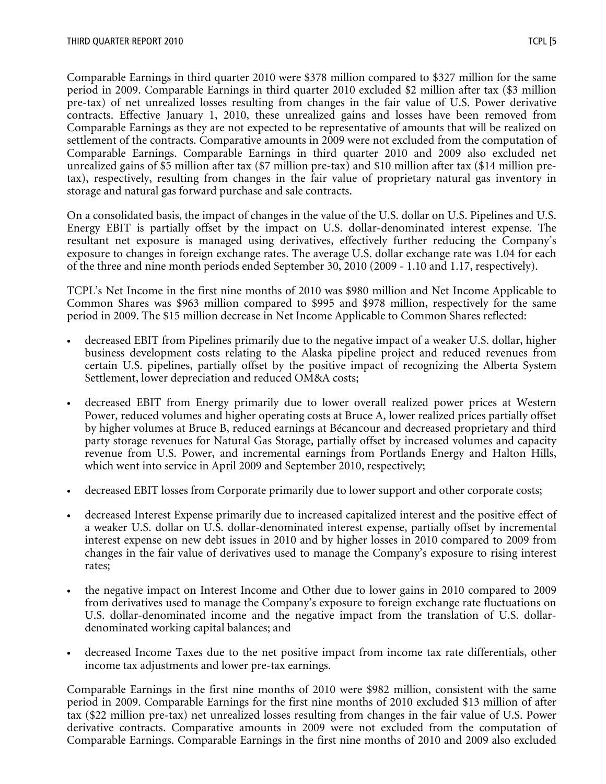Comparable Earnings in third quarter 2010 were \$378 million compared to \$327 million for the same period in 2009. Comparable Earnings in third quarter 2010 excluded \$2 million after tax (\$3 million pre-tax) of net unrealized losses resulting from changes in the fair value of U.S. Power derivative contracts. Effective January 1, 2010, these unrealized gains and losses have been removed from Comparable Earnings as they are not expected to be representative of amounts that will be realized on settlement of the contracts. Comparative amounts in 2009 were not excluded from the computation of Comparable Earnings. Comparable Earnings in third quarter 2010 and 2009 also excluded net unrealized gains of \$5 million after tax (\$7 million pre-tax) and \$10 million after tax (\$14 million pretax), respectively, resulting from changes in the fair value of proprietary natural gas inventory in storage and natural gas forward purchase and sale contracts.

On a consolidated basis, the impact of changes in the value of the U.S. dollar on U.S. Pipelines and U.S. Energy EBIT is partially offset by the impact on U.S. dollar-denominated interest expense. The resultant net exposure is managed using derivatives, effectively further reducing the Company's exposure to changes in foreign exchange rates. The average U.S. dollar exchange rate was 1.04 for each of the three and nine month periods ended September 30, 2010 (2009 - 1.10 and 1.17, respectively).

TCPL's Net Income in the first nine months of 2010 was \$980 million and Net Income Applicable to Common Shares was \$963 million compared to \$995 and \$978 million, respectively for the same period in 2009. The \$15 million decrease in Net Income Applicable to Common Shares reflected:

- decreased EBIT from Pipelines primarily due to the negative impact of a weaker U.S. dollar, higher business development costs relating to the Alaska pipeline project and reduced revenues from certain U.S. pipelines, partially offset by the positive impact of recognizing the Alberta System Settlement, lower depreciation and reduced OM&A costs;
- decreased EBIT from Energy primarily due to lower overall realized power prices at Western Power, reduced volumes and higher operating costs at Bruce A, lower realized prices partially offset by higher volumes at Bruce B, reduced earnings at Bécancour and decreased proprietary and third party storage revenues for Natural Gas Storage, partially offset by increased volumes and capacity revenue from U.S. Power, and incremental earnings from Portlands Energy and Halton Hills, which went into service in April 2009 and September 2010, respectively;
- decreased EBIT losses from Corporate primarily due to lower support and other corporate costs;
- decreased Interest Expense primarily due to increased capitalized interest and the positive effect of a weaker U.S. dollar on U.S. dollar-denominated interest expense, partially offset by incremental interest expense on new debt issues in 2010 and by higher losses in 2010 compared to 2009 from changes in the fair value of derivatives used to manage the Company's exposure to rising interest rates;
- the negative impact on Interest Income and Other due to lower gains in 2010 compared to 2009 from derivatives used to manage the Company's exposure to foreign exchange rate fluctuations on U.S. dollar-denominated income and the negative impact from the translation of U.S. dollardenominated working capital balances; and
- decreased Income Taxes due to the net positive impact from income tax rate differentials, other income tax adjustments and lower pre-tax earnings.

Comparable Earnings in the first nine months of 2010 were \$982 million, consistent with the same period in 2009. Comparable Earnings for the first nine months of 2010 excluded \$13 million of after tax (\$22 million pre-tax) net unrealized losses resulting from changes in the fair value of U.S. Power derivative contracts. Comparative amounts in 2009 were not excluded from the computation of Comparable Earnings. Comparable Earnings in the first nine months of 2010 and 2009 also excluded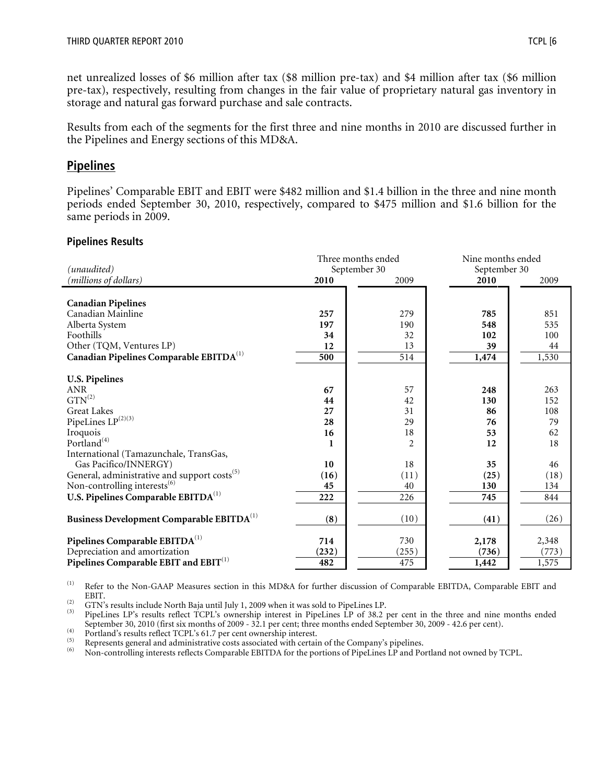net unrealized losses of \$6 million after tax (\$8 million pre-tax) and \$4 million after tax (\$6 million pre-tax), respectively, resulting from changes in the fair value of proprietary natural gas inventory in storage and natural gas forward purchase and sale contracts.

Results from each of the segments for the first three and nine months in 2010 are discussed further in the Pipelines and Energy sections of this MD&A.

## Pipelines

Pipelines' Comparable EBIT and EBIT were \$482 million and \$1.4 billion in the three and nine month periods ended September 30, 2010, respectively, compared to \$475 million and \$1.6 billion for the same periods in 2009.

#### Pipelines Results

| (unaudited)                                              | Three months ended<br>September 30 |                |       | Nine months ended<br>September 30 |
|----------------------------------------------------------|------------------------------------|----------------|-------|-----------------------------------|
| (millions of dollars)                                    | 2010                               | 2009           | 2010  | 2009                              |
| <b>Canadian Pipelines</b>                                |                                    |                |       |                                   |
| Canadian Mainline                                        | 257                                | 279            | 785   | 851                               |
| Alberta System                                           | 197                                | 190            | 548   | 535                               |
| Foothills                                                | 34                                 | 32             | 102   | 100                               |
| Other (TQM, Ventures LP)                                 | 12                                 | 13             | 39    | 44                                |
| Canadian Pipelines Comparable EBITDA <sup>(1)</sup>      | 500                                | 514            | 1,474 | 1,530                             |
| <b>U.S. Pipelines</b>                                    |                                    |                |       |                                   |
| ANR                                                      | 67                                 | 57             | 248   | 263                               |
| $\mathrm{GTN}^{(2)}$                                     | 44                                 | 42             | 130   | 152                               |
| <b>Great Lakes</b>                                       | 27                                 | 31             | 86    | 108                               |
| PipeLines $\mathrm{LP}^{(2)(3)}$                         | 28                                 | 29             | 76    | 79                                |
| Iroquois                                                 | 16                                 | 18             | 53    | 62                                |
| Portland <sup>(4)</sup>                                  |                                    | $\overline{2}$ | 12    | 18                                |
| International (Tamazunchale, TransGas,                   |                                    |                |       |                                   |
| Gas Pacifico/INNERGY)                                    | 10                                 | 18             | 35    | 46                                |
| General, administrative and support costs <sup>(5)</sup> | (16)                               | (11)           | (25)  | (18)                              |
| Non-controlling interests <sup>(6)</sup>                 | 45                                 | 40             | 130   | 134                               |
| U.S. Pipelines Comparable EBITDA <sup>(1)</sup>          | 222                                | 226            | 745   | 844                               |
| Business Development Comparable EBITDA <sup>(1)</sup>    | (8)                                | (10)           | (41)  | (26)                              |
| Pipelines Comparable EBITDA <sup>(1)</sup>               | 714                                | 730            | 2,178 | 2,348                             |
| Depreciation and amortization                            | (232)                              | (255)          | (736) | (773)                             |
| Pipelines Comparable EBIT and EBIT <sup>(1)</sup>        | 482                                | 475            | 1,442 | 1,575                             |

(1) Refer to the Non-GAAP Measures section in this MD&A for further discussion of Comparable EBITDA, Comparable EBIT and EBIT.

(2) GTN's results include North Baja until July 1, 2009 when it was sold to PipeLines LP.<br>(3) BinoLines LP's results reflect TCDL's our pership interest in BinoLines LB of 38.2.

PipeLines LP's results reflect TCPL's ownership interest in PipeLines LP of 38.2 per cent in the three and nine months ended September 30, 2010 (first six months of 2009 - 32.1 per cent; three months ended September 30, 2009 - 42.6 per cent).

(4) Portland's results reflect TCPL's 61.7 per cent ownership interest.<br>  $\frac{(5)}{2}$  Portland's results reflect TCPL's 61.7 per cent ownership interest.

(5) Represents general and administrative costs associated with certain of the Company's pipelines.<br>(6) Non-controlling interests reflects Comparable EBITDA for the portions of Pipel ines LP and Po

(6) Non-controlling interests reflects Comparable EBITDA for the portions of PipeLines LP and Portland not owned by TCPL.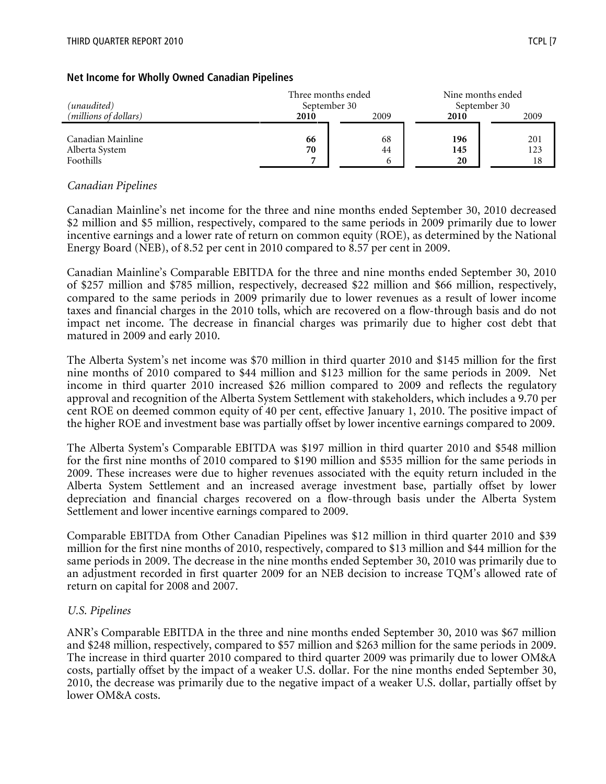| (unaudited)                    | Three months ended<br>September 30 |      |      | Nine months ended<br>September 30 |
|--------------------------------|------------------------------------|------|------|-----------------------------------|
| ( <i>millions of dollars</i> ) | 2010                               | 2009 | 2010 | 2009                              |
|                                |                                    |      |      |                                   |
| Canadian Mainline              | 66                                 | 68   | 196  | 201                               |
| Alberta System                 | 70                                 | 44   | 145  | 123                               |
| Foothills                      |                                    | 6    | 20   | 18                                |

#### Net Income for Wholly Owned Canadian Pipelines

#### Canadian Pipelines

Canadian Mainline's net income for the three and nine months ended September 30, 2010 decreased \$2 million and \$5 million, respectively, compared to the same periods in 2009 primarily due to lower incentive earnings and a lower rate of return on common equity (ROE), as determined by the National Energy Board (NEB), of 8.52 per cent in 2010 compared to 8.57 per cent in 2009.

Canadian Mainline's Comparable EBITDA for the three and nine months ended September 30, 2010 of \$257 million and \$785 million, respectively, decreased \$22 million and \$66 million, respectively, compared to the same periods in 2009 primarily due to lower revenues as a result of lower income taxes and financial charges in the 2010 tolls, which are recovered on a flow-through basis and do not impact net income. The decrease in financial charges was primarily due to higher cost debt that matured in 2009 and early 2010.

The Alberta System's net income was \$70 million in third quarter 2010 and \$145 million for the first nine months of 2010 compared to \$44 million and \$123 million for the same periods in 2009. Net income in third quarter 2010 increased \$26 million compared to 2009 and reflects the regulatory approval and recognition of the Alberta System Settlement with stakeholders, which includes a 9.70 per cent ROE on deemed common equity of 40 per cent, effective January 1, 2010. The positive impact of the higher ROE and investment base was partially offset by lower incentive earnings compared to 2009.

The Alberta System's Comparable EBITDA was \$197 million in third quarter 2010 and \$548 million for the first nine months of 2010 compared to \$190 million and \$535 million for the same periods in 2009. These increases were due to higher revenues associated with the equity return included in the Alberta System Settlement and an increased average investment base, partially offset by lower depreciation and financial charges recovered on a flow-through basis under the Alberta System Settlement and lower incentive earnings compared to 2009.

Comparable EBITDA from Other Canadian Pipelines was \$12 million in third quarter 2010 and \$39 million for the first nine months of 2010, respectively, compared to \$13 million and \$44 million for the same periods in 2009. The decrease in the nine months ended September 30, 2010 was primarily due to an adjustment recorded in first quarter 2009 for an NEB decision to increase TQM's allowed rate of return on capital for 2008 and 2007.

#### U.S. Pipelines

ANR's Comparable EBITDA in the three and nine months ended September 30, 2010 was \$67 million and \$248 million, respectively, compared to \$57 million and \$263 million for the same periods in 2009. The increase in third quarter 2010 compared to third quarter 2009 was primarily due to lower OM&A costs, partially offset by the impact of a weaker U.S. dollar. For the nine months ended September 30, 2010, the decrease was primarily due to the negative impact of a weaker U.S. dollar, partially offset by lower OM&A costs.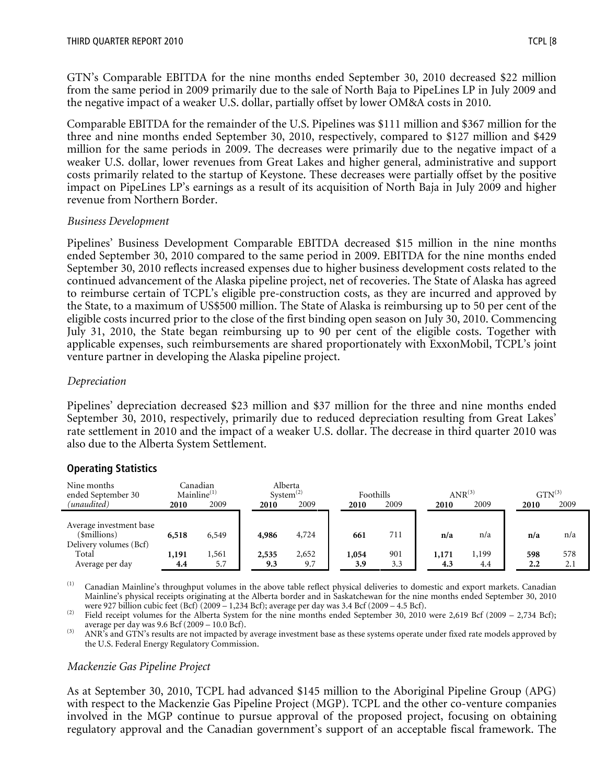GTN's Comparable EBITDA for the nine months ended September 30, 2010 decreased \$22 million from the same period in 2009 primarily due to the sale of North Baja to PipeLines LP in July 2009 and the negative impact of a weaker U.S. dollar, partially offset by lower OM&A costs in 2010.

Comparable EBITDA for the remainder of the U.S. Pipelines was \$111 million and \$367 million for the three and nine months ended September 30, 2010, respectively, compared to \$127 million and \$429 million for the same periods in 2009. The decreases were primarily due to the negative impact of a weaker U.S. dollar, lower revenues from Great Lakes and higher general, administrative and support costs primarily related to the startup of Keystone. These decreases were partially offset by the positive impact on PipeLines LP's earnings as a result of its acquisition of North Baja in July 2009 and higher revenue from Northern Border.

#### Business Development

Pipelines' Business Development Comparable EBITDA decreased \$15 million in the nine months ended September 30, 2010 compared to the same period in 2009. EBITDA for the nine months ended September 30, 2010 reflects increased expenses due to higher business development costs related to the continued advancement of the Alaska pipeline project, net of recoveries. The State of Alaska has agreed to reimburse certain of TCPL's eligible pre-construction costs, as they are incurred and approved by the State, to a maximum of US\$500 million. The State of Alaska is reimbursing up to 50 per cent of the eligible costs incurred prior to the close of the first binding open season on July 30, 2010. Commencing July 31, 2010, the State began reimbursing up to 90 per cent of the eligible costs. Together with applicable expenses, such reimbursements are shared proportionately with ExxonMobil, TCPL's joint venture partner in developing the Alaska pipeline project.

#### Depreciation

Pipelines' depreciation decreased \$23 million and \$37 million for the three and nine months ended September 30, 2010, respectively, primarily due to reduced depreciation resulting from Great Lakes' rate settlement in 2010 and the impact of a weaker U.S. dollar. The decrease in third quarter 2010 was also due to the Alberta System Settlement.

#### Operating Statistics

| Nine months<br>ended September 30                                                             | $\text{Mainline}^{(1)}$ | Canadian              | System $^{(2)}$       | Alberta               |                     | Foothills         |                     | $\mathrm{ANR}^{\left( 3\right) }$ |                                | $GTN^{(3)}$       |
|-----------------------------------------------------------------------------------------------|-------------------------|-----------------------|-----------------------|-----------------------|---------------------|-------------------|---------------------|-----------------------------------|--------------------------------|-------------------|
| (unaudited)                                                                                   | 2010                    | 2009                  | 2010                  | 2009                  | 2010                | 2009              | 2010                | 2009                              | 2010                           | 2009              |
| Average investment base<br>(\$millions)<br>Delivery volumes (Bcf)<br>Total<br>Average per day | 6,518<br>1,191<br>4.4   | 6,549<br>1,561<br>5.7 | 4,986<br>2,535<br>9.3 | 4,724<br>2,652<br>9.7 | 661<br>1,054<br>3.9 | 711<br>901<br>3.3 | n/a<br>1,171<br>4.3 | n/a<br>1,199<br>4.4               | n/a<br>598<br>$2.2\phantom{0}$ | n/a<br>578<br>2.1 |

(1) Canadian Mainline's throughput volumes in the above table reflect physical deliveries to domestic and export markets. Canadian Mainline's physical receipts originating at the Alberta border and in Saskatchewan for the nine months ended September 30, 2010 were 927 billion cubic feet (Bcf) (2009 – 1,234 Bcf); average per day was 3.4 Bcf (2009 – 4.5 Bcf).

(2) Field receipt volumes for the Alberta System for the nine months ended September 30, 2010 were 2,619 Bcf (2009 – 2,734 Bcf); average per day was 9.6 Bcf (2009 – 10.0 Bcf).

(3) ANR's and GTN's results are not impacted by average investment base as these systems operate under fixed rate models approved by the U.S. Federal Energy Regulatory Commission.

#### Mackenzie Gas Pipeline Project

As at September 30, 2010, TCPL had advanced \$145 million to the Aboriginal Pipeline Group (APG) with respect to the Mackenzie Gas Pipeline Project (MGP). TCPL and the other co-venture companies involved in the MGP continue to pursue approval of the proposed project, focusing on obtaining regulatory approval and the Canadian government's support of an acceptable fiscal framework. The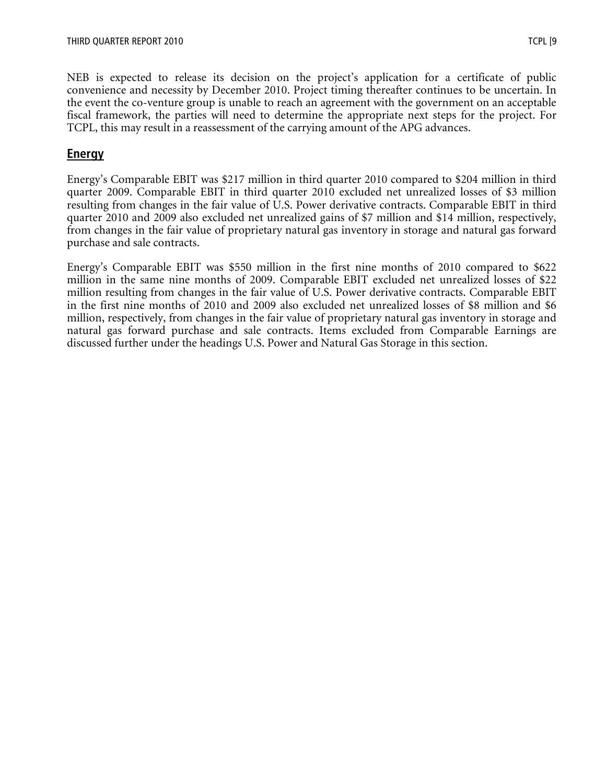NEB is expected to release its decision on the project's application for a certificate of public convenience and necessity by December 2010. Project timing thereafter continues to be uncertain. In the event the co-venture group is unable to reach an agreement with the government on an acceptable fiscal framework, the parties will need to determine the appropriate next steps for the project. For TCPL, this may result in a reassessment of the carrying amount of the APG advances.

## Energy

Energy's Comparable EBIT was \$217 million in third quarter 2010 compared to \$204 million in third quarter 2009. Comparable EBIT in third quarter 2010 excluded net unrealized losses of \$3 million resulting from changes in the fair value of U.S. Power derivative contracts. Comparable EBIT in third quarter 2010 and 2009 also excluded net unrealized gains of \$7 million and \$14 million, respectively, from changes in the fair value of proprietary natural gas inventory in storage and natural gas forward purchase and sale contracts.

Energy's Comparable EBIT was \$550 million in the first nine months of 2010 compared to \$622 million in the same nine months of 2009. Comparable EBIT excluded net unrealized losses of \$22 million resulting from changes in the fair value of U.S. Power derivative contracts. Comparable EBIT in the first nine months of 2010 and 2009 also excluded net unrealized losses of \$8 million and \$6 million, respectively, from changes in the fair value of proprietary natural gas inventory in storage and natural gas forward purchase and sale contracts. Items excluded from Comparable Earnings are discussed further under the headings U.S. Power and Natural Gas Storage in this section.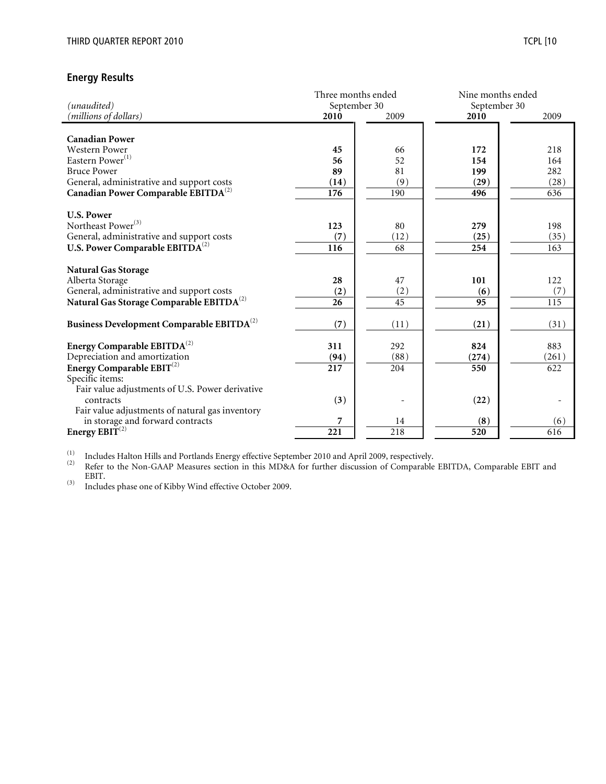#### Energy Results

|                                                       | Three months ended |                  | Nine months ended |                  |
|-------------------------------------------------------|--------------------|------------------|-------------------|------------------|
| (unaudited)                                           | September 30       |                  | September 30      |                  |
| (millions of dollars)                                 | 2010               | 2009             | 2010              | 2009             |
|                                                       |                    |                  |                   |                  |
| <b>Canadian Power</b>                                 |                    |                  |                   |                  |
| Western Power                                         | 45                 | 66               | 172               | 218              |
| Eastern Power <sup>(1)</sup>                          | 56                 | 52               | 154               | 164              |
| <b>Bruce Power</b>                                    | 89                 | 81               | 199               | 282              |
| General, administrative and support costs             | (14)               | (9)              | (29)              | (28)             |
| Canadian Power Comparable EBITDA <sup>(2)</sup>       | 176                | 190              | 496               | 636              |
|                                                       |                    |                  |                   |                  |
| <b>U.S. Power</b>                                     |                    |                  |                   |                  |
| Northeast Power <sup>(3)</sup>                        | 123                | 80               | 279               | 198              |
| General, administrative and support costs             | (7)                | (12)             | (25)              | (35)             |
| U.S. Power Comparable EBITDA <sup>(2)</sup>           | 116                | 68               | 254               | 163              |
|                                                       |                    |                  |                   |                  |
| <b>Natural Gas Storage</b>                            |                    |                  |                   |                  |
| Alberta Storage                                       | 28                 | 47               | 101               | 122              |
| General, administrative and support costs             | (2)                | (2)              | (6)               | (7)              |
| Natural Gas Storage Comparable EBITDA <sup>(2)</sup>  | 26                 | $\overline{45}$  | 95                | $\overline{115}$ |
|                                                       |                    |                  |                   |                  |
| Business Development Comparable EBITDA <sup>(2)</sup> | (7)                | (11)             | (21)              | (31)             |
|                                                       |                    |                  |                   |                  |
| Energy Comparable $EBITDA^{(2)}$                      | 311                | 292              | 824               | 883              |
| Depreciation and amortization                         | (94)               | (88)             | (274)             | (261)            |
| Energy Comparable EBIT <sup>(2)</sup>                 | 217                | 204              | 550               | 622              |
| Specific items:                                       |                    |                  |                   |                  |
| Fair value adjustments of U.S. Power derivative       |                    |                  |                   |                  |
| contracts                                             | (3)                |                  | (22)              |                  |
| Fair value adjustments of natural gas inventory       |                    |                  |                   |                  |
| in storage and forward contracts                      | 7                  | 14               | (8)               | (6)              |
| Energy EBIT <sup>(2)</sup>                            | 221                | $\overline{218}$ | $\overline{520}$  | 616              |

 $\rm^{(1)}$  Includes Halton Hills and Portlands Energy effective September 2010 and April 2009, respectively.

<sup>(2)</sup> Refer to the Non-GAAP Measures section in this MD&A for further discussion of Comparable EBITDA, Comparable EBIT and EBIT.

(3) Includes phase one of Kibby Wind effective October 2009.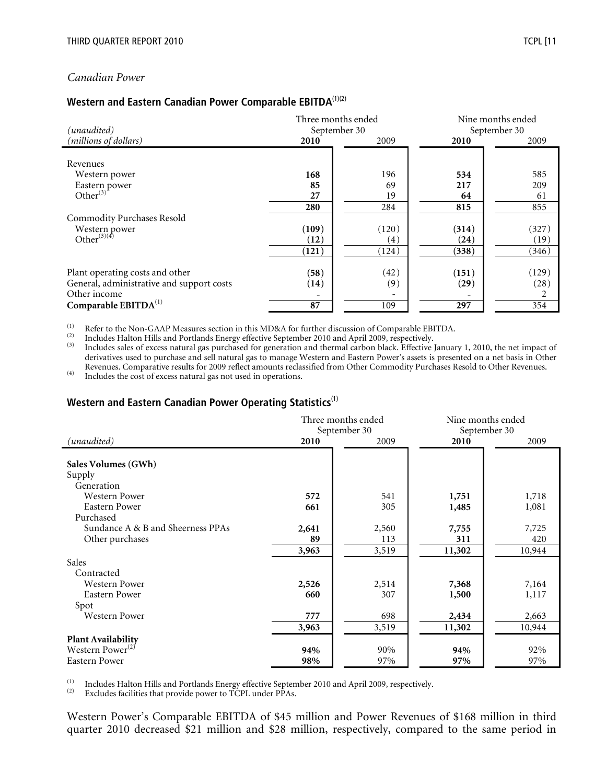#### Canadian Power

#### Western and Eastern Canadian Power Comparable <code>EBITDA</code> $^{(1)(2)}$

| (unaudited)                               |       | Three months ended<br>September 30 |       | Nine months ended<br>September 30 |
|-------------------------------------------|-------|------------------------------------|-------|-----------------------------------|
| (millions of dollars)                     | 2010  | 2009                               | 2010  | 2009                              |
|                                           |       |                                    |       |                                   |
| Revenues                                  |       |                                    |       |                                   |
| Western power                             | 168   | 196                                | 534   | 585                               |
| Eastern power<br>Other<br>(3)             | 85    | 69                                 | 217   | 209                               |
|                                           | 27    | 19                                 | 64    | 61                                |
|                                           | 280   | 284                                | 815   | 855                               |
| <b>Commodity Purchases Resold</b>         |       |                                    |       |                                   |
| Western power                             | (109) | (120)                              | (314) | (327)                             |
| Other <sup>(3)(4)</sup>                   | (12)  | (4)                                | (24)  | (19)                              |
|                                           | (121) | (124)                              | (338) | (346)                             |
|                                           |       |                                    |       |                                   |
| Plant operating costs and other           | (58)  | (42)                               | (151) | (129)                             |
| General, administrative and support costs | (14)  | (9)                                | (29)  | (28)                              |
| Other income                              |       |                                    |       |                                   |
| Comparable EBITDA <sup>(1)</sup>          | 87    | 109                                | 297   | 354                               |

(1) Refer to the Non-GAAP Measures section in this MD&A for further discussion of Comparable EBITDA.

 $\frac{1}{2}$  Includes Halton Hills and Portlands Energy effective September 2010 and April 2009, respectively.

(3) Includes sales of excess natural gas purchased for generation and thermal carbon black. Effective January 1, 2010, the net impact of derivatives used to purchase and sell natural gas to manage Western and Eastern Power's assets is presented on a net basis in Other Revenues. Comparative results for 2009 reflect amounts reclassified from Other Commodity Purchases Resold to Other Revenues.

(4) Includes the cost of excess natural gas not used in operations.

#### Western and Eastern Canadian Power Operating Statistics<sup>(1)</sup>

|                                                                            | Three months ended<br>September 30 |                       | Nine months ended<br>September 30 |                        |
|----------------------------------------------------------------------------|------------------------------------|-----------------------|-----------------------------------|------------------------|
| (unaudited)                                                                | 2010                               | 2009                  | 2010                              | 2009                   |
| Sales Volumes (GWh)<br>Supply<br>Generation                                |                                    |                       |                                   |                        |
| Western Power                                                              | 572                                | 541                   | 1,751                             | 1,718                  |
| Eastern Power<br>Purchased                                                 | 661                                | 305                   | 1,485                             | 1,081                  |
| Sundance A & B and Sheerness PPAs<br>Other purchases                       | 2,641<br>89<br>3,963               | 2,560<br>113<br>3,519 | 7,755<br>311<br>11,302            | 7,725<br>420<br>10,944 |
| Sales                                                                      |                                    |                       |                                   |                        |
| Contracted<br>Western Power<br>Eastern Power<br>Spot                       | 2,526<br>660                       | 2,514<br>307          | 7,368<br>1,500                    | 7,164<br>1,117         |
| Western Power                                                              | 777<br>3,963                       | 698<br>3,519          | 2,434<br>11,302                   | 2,663<br>10,944        |
| <b>Plant Availability</b><br>Western Power <sup>(2)</sup><br>Eastern Power | 94%<br>98%                         | 90%<br>97%            | 94%<br>97%                        | 92%<br>97%             |

(1) Includes Halton Hills and Portlands Energy effective September 2010 and April 2009, respectively.<br>(2) Excludes facilities that provide power to TCPL under PPAs.

Excludes facilities that provide power to TCPL under PPAs.

Western Power's Comparable EBITDA of \$45 million and Power Revenues of \$168 million in third quarter 2010 decreased \$21 million and \$28 million, respectively, compared to the same period in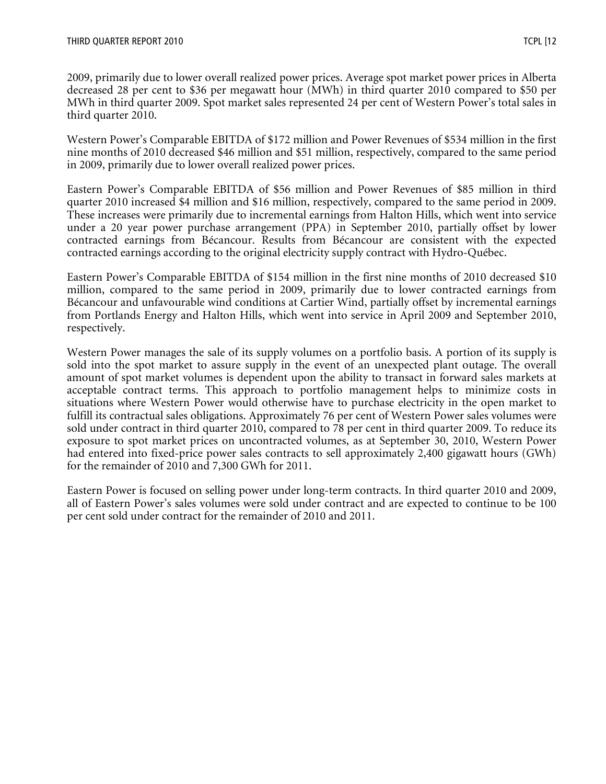2009, primarily due to lower overall realized power prices. Average spot market power prices in Alberta decreased 28 per cent to \$36 per megawatt hour (MWh) in third quarter 2010 compared to \$50 per MWh in third quarter 2009. Spot market sales represented 24 per cent of Western Power's total sales in third quarter 2010.

Western Power's Comparable EBITDA of \$172 million and Power Revenues of \$534 million in the first nine months of 2010 decreased \$46 million and \$51 million, respectively, compared to the same period in 2009, primarily due to lower overall realized power prices.

Eastern Power's Comparable EBITDA of \$56 million and Power Revenues of \$85 million in third quarter 2010 increased \$4 million and \$16 million, respectively, compared to the same period in 2009. These increases were primarily due to incremental earnings from Halton Hills, which went into service under a 20 year power purchase arrangement (PPA) in September 2010, partially offset by lower contracted earnings from Bécancour. Results from Bécancour are consistent with the expected contracted earnings according to the original electricity supply contract with Hydro-Québec.

Eastern Power's Comparable EBITDA of \$154 million in the first nine months of 2010 decreased \$10 million, compared to the same period in 2009, primarily due to lower contracted earnings from Bécancour and unfavourable wind conditions at Cartier Wind, partially offset by incremental earnings from Portlands Energy and Halton Hills, which went into service in April 2009 and September 2010, respectively.

Western Power manages the sale of its supply volumes on a portfolio basis. A portion of its supply is sold into the spot market to assure supply in the event of an unexpected plant outage. The overall amount of spot market volumes is dependent upon the ability to transact in forward sales markets at acceptable contract terms. This approach to portfolio management helps to minimize costs in situations where Western Power would otherwise have to purchase electricity in the open market to fulfill its contractual sales obligations. Approximately 76 per cent of Western Power sales volumes were sold under contract in third quarter 2010, compared to 78 per cent in third quarter 2009. To reduce its exposure to spot market prices on uncontracted volumes, as at September 30, 2010, Western Power had entered into fixed-price power sales contracts to sell approximately 2,400 gigawatt hours (GWh) for the remainder of 2010 and 7,300 GWh for 2011.

Eastern Power is focused on selling power under long-term contracts. In third quarter 2010 and 2009, all of Eastern Power's sales volumes were sold under contract and are expected to continue to be 100 per cent sold under contract for the remainder of 2010 and 2011.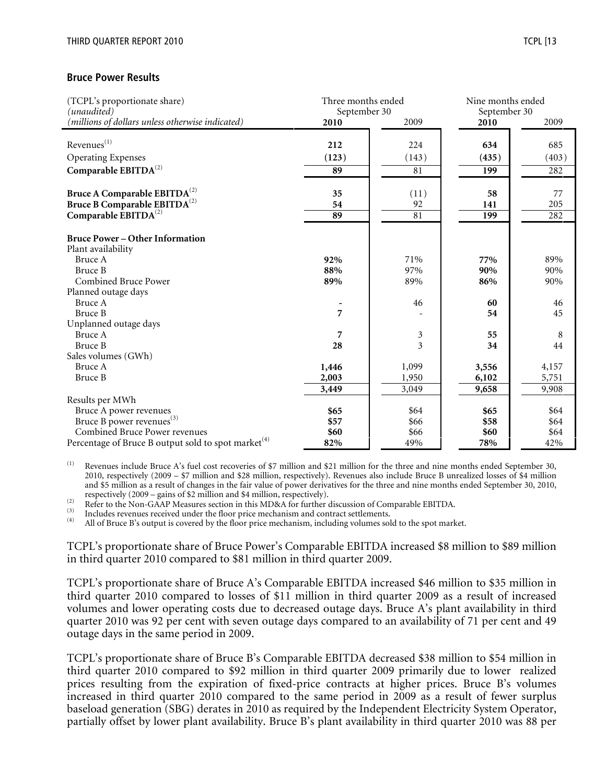#### Bruce Power Results

| (TCPL's proportionate share)<br>(unaudited)                     | Three months ended<br>September 30 |       | Nine months ended<br>September 30 |       |  |
|-----------------------------------------------------------------|------------------------------------|-------|-----------------------------------|-------|--|
| (millions of dollars unless otherwise indicated)                | 2010                               | 2009  | 2010                              | 2009  |  |
| Revenues <sup>(1)</sup>                                         | 212                                | 224   | 634                               | 685   |  |
|                                                                 |                                    |       |                                   |       |  |
| Operating Expenses                                              | (123)                              | (143) | (435)                             | (403) |  |
| Comparable $EBITDA^{(2)}$                                       | 89                                 | 81    | 199                               | 282   |  |
| Bruce A Comparable EBITDA <sup>(2)</sup>                        | 35                                 | (11)  | 58                                | 77    |  |
| Bruce B Comparable EBITDA <sup>(2)</sup>                        | 54                                 | 92    | 141                               | 205   |  |
| Comparable $\mathrm{EBITDA}^{(2)}$                              | 89                                 | 81    | 199                               | 282   |  |
|                                                                 |                                    |       |                                   |       |  |
| <b>Bruce Power – Other Information</b><br>Plant availability    |                                    |       |                                   |       |  |
| Bruce A                                                         | 92%                                | 71%   | 77%                               | 89%   |  |
| <b>Bruce B</b>                                                  | 88%                                | 97%   | 90%                               | 90%   |  |
| <b>Combined Bruce Power</b>                                     | 89%                                | 89%   | 86%                               | 90%   |  |
| Planned outage days                                             |                                    |       |                                   |       |  |
| Bruce A                                                         |                                    | 46    | 60                                | 46    |  |
| <b>Bruce B</b>                                                  | 7                                  |       | 54                                | 45    |  |
| Unplanned outage days                                           |                                    |       |                                   |       |  |
| Bruce A                                                         | 7                                  | 3     | 55                                | 8     |  |
| Bruce B                                                         | 28                                 | 3     | 34                                | 44    |  |
| Sales volumes (GWh)                                             |                                    |       |                                   |       |  |
| Bruce A                                                         | 1,446                              | 1,099 | 3,556                             | 4,157 |  |
| Bruce B                                                         | 2,003                              | 1,950 | 6,102                             | 5,751 |  |
|                                                                 | 3,449                              | 3,049 | 9,658                             | 9,908 |  |
| Results per MWh                                                 |                                    |       |                                   |       |  |
| Bruce A power revenues                                          | \$65                               | \$64  | \$65                              | \$64  |  |
| Bruce B power revenues <sup>(3)</sup>                           | \$57                               | \$66  | \$58                              | \$64  |  |
| <b>Combined Bruce Power revenues</b>                            | \$60                               | \$66  | \$60                              | \$64  |  |
| Percentage of Bruce B output sold to spot market <sup>(4)</sup> | 82%                                | 49%   | 78%                               | 42%   |  |

(1) Revenues include Bruce A's fuel cost recoveries of \$7 million and \$21 million for the three and nine months ended September 30, 2010, respectively (2009 – \$7 million and \$28 million, respectively). Revenues also include Bruce B unrealized losses of \$4 million and \$5 million as a result of changes in the fair value of power derivatives for the three and nine months ended September 30, 2010, respectively (2009 – gains of \$2 million and \$4 million, respectively).

(2) Refer to the Non-GAAP Measures section in this MD&A for further discussion of Comparable EBITDA.

 $\binom{3}{4}$  Includes revenues received under the floor price mechanism and contract settlements.

All of Bruce B's output is covered by the floor price mechanism, including volumes sold to the spot market.

TCPL's proportionate share of Bruce Power's Comparable EBITDA increased \$8 million to \$89 million in third quarter 2010 compared to \$81 million in third quarter 2009.

TCPL's proportionate share of Bruce A's Comparable EBITDA increased \$46 million to \$35 million in third quarter 2010 compared to losses of \$11 million in third quarter 2009 as a result of increased volumes and lower operating costs due to decreased outage days. Bruce A's plant availability in third quarter 2010 was 92 per cent with seven outage days compared to an availability of 71 per cent and 49 outage days in the same period in 2009.

TCPL's proportionate share of Bruce B's Comparable EBITDA decreased \$38 million to \$54 million in third quarter 2010 compared to \$92 million in third quarter 2009 primarily due to lower realized prices resulting from the expiration of fixed-price contracts at higher prices. Bruce B's volumes increased in third quarter 2010 compared to the same period in 2009 as a result of fewer surplus baseload generation (SBG) derates in 2010 as required by the Independent Electricity System Operator, partially offset by lower plant availability. Bruce B's plant availability in third quarter 2010 was 88 per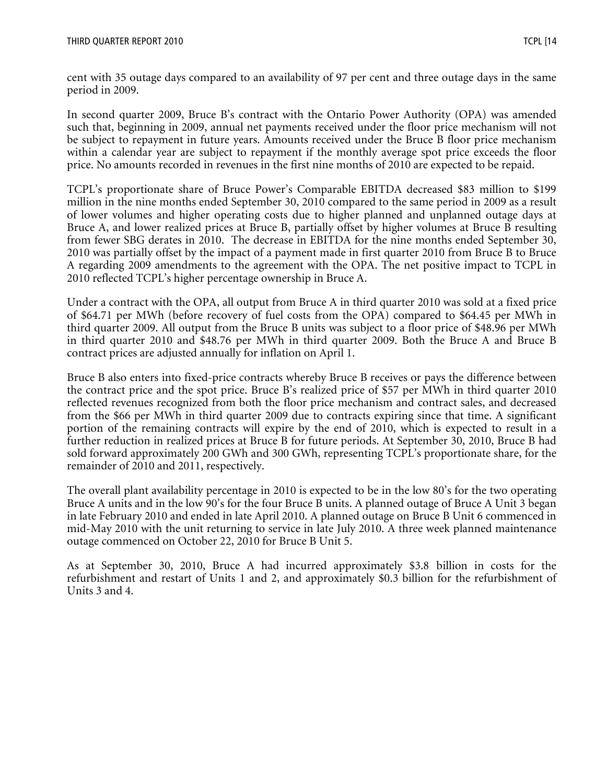cent with 35 outage days compared to an availability of 97 per cent and three outage days in the same period in 2009.

In second quarter 2009, Bruce B's contract with the Ontario Power Authority (OPA) was amended such that, beginning in 2009, annual net payments received under the floor price mechanism will not be subject to repayment in future years. Amounts received under the Bruce B floor price mechanism within a calendar year are subject to repayment if the monthly average spot price exceeds the floor price. No amounts recorded in revenues in the first nine months of 2010 are expected to be repaid.

TCPL's proportionate share of Bruce Power's Comparable EBITDA decreased \$83 million to \$199 million in the nine months ended September 30, 2010 compared to the same period in 2009 as a result of lower volumes and higher operating costs due to higher planned and unplanned outage days at Bruce A, and lower realized prices at Bruce B, partially offset by higher volumes at Bruce B resulting from fewer SBG derates in 2010. The decrease in EBITDA for the nine months ended September 30, 2010 was partially offset by the impact of a payment made in first quarter 2010 from Bruce B to Bruce A regarding 2009 amendments to the agreement with the OPA. The net positive impact to TCPL in 2010 reflected TCPL's higher percentage ownership in Bruce A.

Under a contract with the OPA, all output from Bruce A in third quarter 2010 was sold at a fixed price of \$64.71 per MWh (before recovery of fuel costs from the OPA) compared to \$64.45 per MWh in third quarter 2009. All output from the Bruce B units was subject to a floor price of \$48.96 per MWh in third quarter 2010 and \$48.76 per MWh in third quarter 2009. Both the Bruce A and Bruce B contract prices are adjusted annually for inflation on April 1.

Bruce B also enters into fixed-price contracts whereby Bruce B receives or pays the difference between the contract price and the spot price. Bruce B's realized price of \$57 per MWh in third quarter 2010 reflected revenues recognized from both the floor price mechanism and contract sales, and decreased from the \$66 per MWh in third quarter 2009 due to contracts expiring since that time. A significant portion of the remaining contracts will expire by the end of 2010, which is expected to result in a further reduction in realized prices at Bruce B for future periods. At September 30, 2010, Bruce B had sold forward approximately 200 GWh and 300 GWh, representing TCPL's proportionate share, for the remainder of 2010 and 2011, respectively.

The overall plant availability percentage in 2010 is expected to be in the low 80's for the two operating Bruce A units and in the low 90's for the four Bruce B units. A planned outage of Bruce A Unit 3 began in late February 2010 and ended in late April 2010. A planned outage on Bruce B Unit 6 commenced in mid-May 2010 with the unit returning to service in late July 2010. A three week planned maintenance outage commenced on October 22, 2010 for Bruce B Unit 5.

As at September 30, 2010, Bruce A had incurred approximately \$3.8 billion in costs for the refurbishment and restart of Units 1 and 2, and approximately \$0.3 billion for the refurbishment of Units 3 and 4.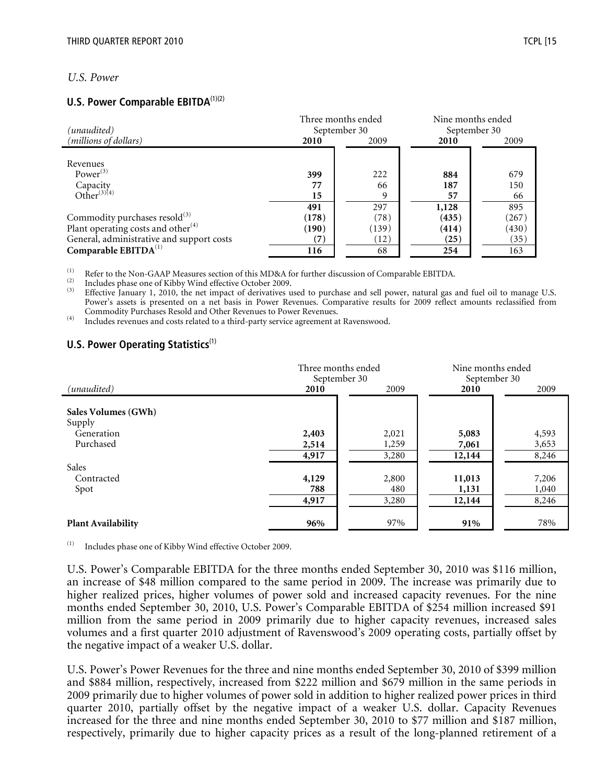#### U.S. Power

#### U.S. Power Comparable EBITDA<sup>(1)(2)</sup>

| (unaudited)                                                                        |                            | Three months ended<br>September 30 | Nine months ended<br>September 30 |                         |  |
|------------------------------------------------------------------------------------|----------------------------|------------------------------------|-----------------------------------|-------------------------|--|
| (millions of dollars)                                                              | 2010                       | 2009                               | 2010                              | 2009                    |  |
| Revenues<br>Power $^{(3)}$<br>Capacity<br>Other <sup>(3)(4)</sup>                  | 399<br>77<br>15<br>491     | 222<br>66<br>9<br>297              | 884<br>187<br>57<br>1,128         | 679<br>150<br>66<br>895 |  |
| Commodity purchases resold <sup>(3)</sup>                                          | (178)                      | (78)                               | (435)                             | (267)                   |  |
| Plant operating costs and other $(4)$<br>General, administrative and support costs | (190)<br>$\left( 7\right)$ | (139)<br>(12)                      | (414)<br>(25)                     | (430)<br>(35)           |  |
| Comparable $EBITDA(1)$                                                             | 116                        | 68                                 | 254                               | 163                     |  |

(1) Refer to the Non-GAAP Measures section of this MD&A for further discussion of Comparable EBITDA.<br>(2) Includes these are of Kikky Wind offertive Ostaber 2000.

 $\frac{1}{2}$  Includes phase one of Kibby Wind effective October 2009.

Effective January 1, 2010, the net impact of derivatives used to purchase and sell power, natural gas and fuel oil to manage U.S. Power's assets is presented on a net basis in Power Revenues. Comparative results for 2009 reflect amounts reclassified from Commodity Purchases Resold and Other Revenues to Power Revenues.

(4) Includes revenues and costs related to a third-party service agreement at Ravenswood.

#### U.S. Power Operating Statistics $<sup>(1)</sup>$ </sup>

|                           | Three months ended |       | Nine months ended |       |
|---------------------------|--------------------|-------|-------------------|-------|
|                           | September 30       |       | September 30      |       |
| (unaudited)               | 2010               | 2009  | 2010              | 2009  |
|                           |                    |       |                   |       |
| Sales Volumes (GWh)       |                    |       |                   |       |
| Supply                    |                    |       |                   |       |
| Generation                | 2,403              | 2,021 | 5,083             | 4,593 |
| Purchased                 | 2,514              | 1,259 | 7,061             | 3,653 |
|                           | 4,917              | 3,280 | 12,144            | 8,246 |
| Sales                     |                    |       |                   |       |
| Contracted                | 4,129              | 2,800 | 11,013            | 7,206 |
| Spot                      | 788                | 480   | 1,131             | 1,040 |
|                           | 4,917              | 3,280 | 12,144            | 8,246 |
|                           |                    |       |                   |       |
| <b>Plant Availability</b> | 96%                | 97%   | 91%               | 78%   |

(1) Includes phase one of Kibby Wind effective October 2009.

U.S. Power's Comparable EBITDA for the three months ended September 30, 2010 was \$116 million, an increase of \$48 million compared to the same period in 2009. The increase was primarily due to higher realized prices, higher volumes of power sold and increased capacity revenues. For the nine months ended September 30, 2010, U.S. Power's Comparable EBITDA of \$254 million increased \$91 million from the same period in 2009 primarily due to higher capacity revenues, increased sales volumes and a first quarter 2010 adjustment of Ravenswood's 2009 operating costs, partially offset by the negative impact of a weaker U.S. dollar.

U.S. Power's Power Revenues for the three and nine months ended September 30, 2010 of \$399 million and \$884 million, respectively, increased from \$222 million and \$679 million in the same periods in 2009 primarily due to higher volumes of power sold in addition to higher realized power prices in third quarter 2010, partially offset by the negative impact of a weaker U.S. dollar. Capacity Revenues increased for the three and nine months ended September 30, 2010 to \$77 million and \$187 million, respectively, primarily due to higher capacity prices as a result of the long-planned retirement of a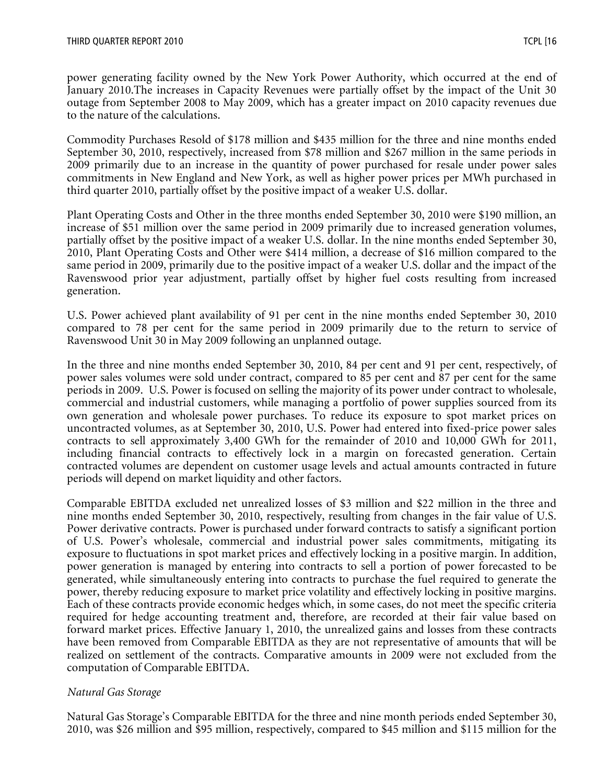power generating facility owned by the New York Power Authority, which occurred at the end of January 2010.The increases in Capacity Revenues were partially offset by the impact of the Unit 30 outage from September 2008 to May 2009, which has a greater impact on 2010 capacity revenues due to the nature of the calculations.

Commodity Purchases Resold of \$178 million and \$435 million for the three and nine months ended September 30, 2010, respectively, increased from \$78 million and \$267 million in the same periods in 2009 primarily due to an increase in the quantity of power purchased for resale under power sales commitments in New England and New York, as well as higher power prices per MWh purchased in third quarter 2010, partially offset by the positive impact of a weaker U.S. dollar.

Plant Operating Costs and Other in the three months ended September 30, 2010 were \$190 million, an increase of \$51 million over the same period in 2009 primarily due to increased generation volumes, partially offset by the positive impact of a weaker U.S. dollar. In the nine months ended September 30, 2010, Plant Operating Costs and Other were \$414 million, a decrease of \$16 million compared to the same period in 2009, primarily due to the positive impact of a weaker U.S. dollar and the impact of the Ravenswood prior year adjustment, partially offset by higher fuel costs resulting from increased generation.

U.S. Power achieved plant availability of 91 per cent in the nine months ended September 30, 2010 compared to 78 per cent for the same period in 2009 primarily due to the return to service of Ravenswood Unit 30 in May 2009 following an unplanned outage.

In the three and nine months ended September 30, 2010, 84 per cent and 91 per cent, respectively, of power sales volumes were sold under contract, compared to 85 per cent and 87 per cent for the same periods in 2009. U.S. Power is focused on selling the majority of its power under contract to wholesale, commercial and industrial customers, while managing a portfolio of power supplies sourced from its own generation and wholesale power purchases. To reduce its exposure to spot market prices on uncontracted volumes, as at September 30, 2010, U.S. Power had entered into fixed-price power sales contracts to sell approximately 3,400 GWh for the remainder of 2010 and 10,000 GWh for 2011, including financial contracts to effectively lock in a margin on forecasted generation. Certain contracted volumes are dependent on customer usage levels and actual amounts contracted in future periods will depend on market liquidity and other factors.

Comparable EBITDA excluded net unrealized losses of \$3 million and \$22 million in the three and nine months ended September 30, 2010, respectively, resulting from changes in the fair value of U.S. Power derivative contracts. Power is purchased under forward contracts to satisfy a significant portion of U.S. Power's wholesale, commercial and industrial power sales commitments, mitigating its exposure to fluctuations in spot market prices and effectively locking in a positive margin. In addition, power generation is managed by entering into contracts to sell a portion of power forecasted to be generated, while simultaneously entering into contracts to purchase the fuel required to generate the power, thereby reducing exposure to market price volatility and effectively locking in positive margins. Each of these contracts provide economic hedges which, in some cases, do not meet the specific criteria required for hedge accounting treatment and, therefore, are recorded at their fair value based on forward market prices. Effective January 1, 2010, the unrealized gains and losses from these contracts have been removed from Comparable EBITDA as they are not representative of amounts that will be realized on settlement of the contracts. Comparative amounts in 2009 were not excluded from the computation of Comparable EBITDA.

#### Natural Gas Storage

Natural Gas Storage's Comparable EBITDA for the three and nine month periods ended September 30, 2010, was \$26 million and \$95 million, respectively, compared to \$45 million and \$115 million for the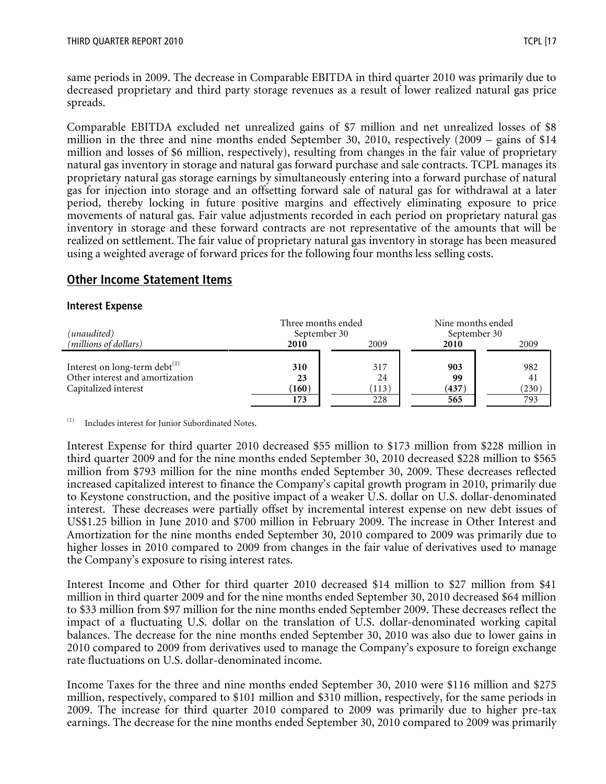same periods in 2009. The decrease in Comparable EBITDA in third quarter 2010 was primarily due to decreased proprietary and third party storage revenues as a result of lower realized natural gas price spreads.

Comparable EBITDA excluded net unrealized gains of \$7 million and net unrealized losses of \$8 million in the three and nine months ended September 30, 2010, respectively (2009 – gains of \$14 million and losses of \$6 million, respectively), resulting from changes in the fair value of proprietary natural gas inventory in storage and natural gas forward purchase and sale contracts. TCPL manages its proprietary natural gas storage earnings by simultaneously entering into a forward purchase of natural gas for injection into storage and an offsetting forward sale of natural gas for withdrawal at a later period, thereby locking in future positive margins and effectively eliminating exposure to price movements of natural gas. Fair value adjustments recorded in each period on proprietary natural gas inventory in storage and these forward contracts are not representative of the amounts that will be realized on settlement. The fair value of proprietary natural gas inventory in storage has been measured using a weighted average of forward prices for the following four months less selling costs.

#### **Other Income Statement Items**

#### Interest Expense

| (unaudited)                                                                                    | Three months ended<br>September 30 |                           | Nine months ended<br>September 30 |                           |  |
|------------------------------------------------------------------------------------------------|------------------------------------|---------------------------|-----------------------------------|---------------------------|--|
| (millions of dollars)                                                                          | 2009<br>2010                       |                           | 2010                              | 2009                      |  |
| Interest on long-term debt $^{(1)}$<br>Other interest and amortization<br>Capitalized interest | 310<br>23<br>(160)<br>173          | 317<br>24<br>(113)<br>228 | 903<br>99<br>(437)<br>565         | 982<br>41<br>(230)<br>793 |  |

Includes interest for Junior Subordinated Notes.

Interest Expense for third quarter 2010 decreased \$55 million to \$173 million from \$228 million in third quarter 2009 and for the nine months ended September 30, 2010 decreased \$228 million to \$565 million from \$793 million for the nine months ended September 30, 2009. These decreases reflected increased capitalized interest to finance the Company's capital growth program in 2010, primarily due to Keystone construction, and the positive impact of a weaker U.S. dollar on U.S. dollar-denominated interest. These decreases were partially offset by incremental interest expense on new debt issues of US\$1.25 billion in June 2010 and \$700 million in February 2009. The increase in Other Interest and Amortization for the nine months ended September 30, 2010 compared to 2009 was primarily due to higher losses in 2010 compared to 2009 from changes in the fair value of derivatives used to manage the Company's exposure to rising interest rates.

Interest Income and Other for third quarter 2010 decreased \$14 million to \$27 million from \$41 million in third quarter 2009 and for the nine months ended September 30, 2010 decreased \$64 million to \$33 million from \$97 million for the nine months ended September 2009. These decreases reflect the impact of a fluctuating U.S. dollar on the translation of U.S. dollar-denominated working capital balances. The decrease for the nine months ended September 30, 2010 was also due to lower gains in 2010 compared to 2009 from derivatives used to manage the Company's exposure to foreign exchange rate fluctuations on U.S. dollar-denominated income.

Income Taxes for the three and nine months ended September 30, 2010 were \$116 million and \$275 million, respectively, compared to \$101 million and \$310 million, respectively, for the same periods in 2009. The increase for third quarter 2010 compared to 2009 was primarily due to higher pre-tax earnings. The decrease for the nine months ended September 30, 2010 compared to 2009 was primarily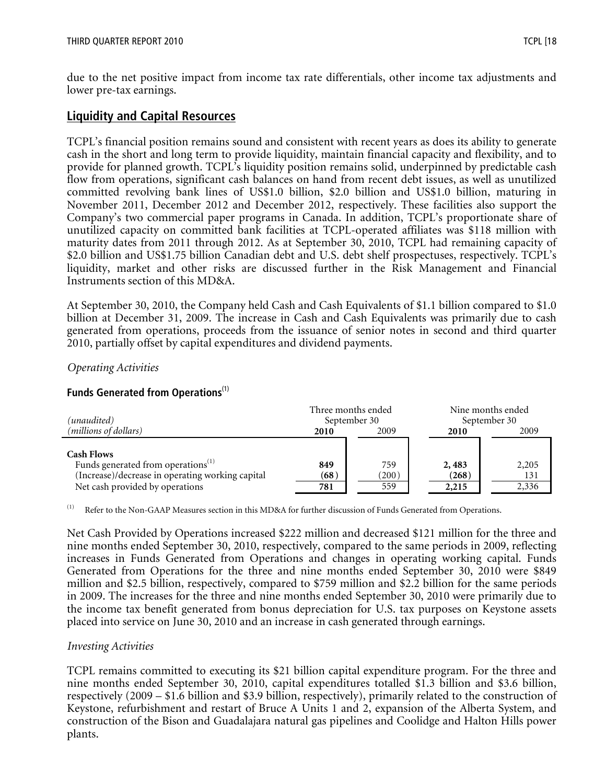due to the net positive impact from income tax rate differentials, other income tax adjustments and lower pre-tax earnings.

## Liquidity and Capital Resources

TCPL's financial position remains sound and consistent with recent years as does its ability to generate cash in the short and long term to provide liquidity, maintain financial capacity and flexibility, and to provide for planned growth. TCPL's liquidity position remains solid, underpinned by predictable cash flow from operations, significant cash balances on hand from recent debt issues, as well as unutilized committed revolving bank lines of US\$1.0 billion, \$2.0 billion and US\$1.0 billion, maturing in November 2011, December 2012 and December 2012, respectively. These facilities also support the Company's two commercial paper programs in Canada. In addition, TCPL's proportionate share of unutilized capacity on committed bank facilities at TCPL-operated affiliates was \$118 million with maturity dates from 2011 through 2012. As at September 30, 2010, TCPL had remaining capacity of \$2.0 billion and US\$1.75 billion Canadian debt and U.S. debt shelf prospectuses, respectively. TCPL's liquidity, market and other risks are discussed further in the Risk Management and Financial Instruments section of this MD&A.

At September 30, 2010, the Company held Cash and Cash Equivalents of \$1.1 billion compared to \$1.0 billion at December 31, 2009. The increase in Cash and Cash Equivalents was primarily due to cash generated from operations, proceeds from the issuance of senior notes in second and third quarter 2010, partially offset by capital expenditures and dividend payments.

#### Operating Activities

#### Funds Generated from Operations $<sup>(1)</sup>$ </sup>

| (unaudited)                                                                                                                                                | Three months ended<br>September 30 |                     | Nine months ended<br>September 30 |                       |  |
|------------------------------------------------------------------------------------------------------------------------------------------------------------|------------------------------------|---------------------|-----------------------------------|-----------------------|--|
| (millions of dollars)                                                                                                                                      | 2010                               | 2009                | 2010                              | 2009                  |  |
| <b>Cash Flows</b><br>Funds generated from operations <sup>(1)</sup><br>(Increase)/decrease in operating working capital<br>Net cash provided by operations | 849<br>(68)<br>781                 | 759<br>(200)<br>559 | 2,483<br>(268)<br>2,215           | 2,205<br>131<br>2,336 |  |

(1) Refer to the Non-GAAP Measures section in this MD&A for further discussion of Funds Generated from Operations.

Net Cash Provided by Operations increased \$222 million and decreased \$121 million for the three and nine months ended September 30, 2010, respectively, compared to the same periods in 2009, reflecting increases in Funds Generated from Operations and changes in operating working capital. Funds Generated from Operations for the three and nine months ended September 30, 2010 were \$849 million and \$2.5 billion, respectively, compared to \$759 million and \$2.2 billion for the same periods in 2009. The increases for the three and nine months ended September 30, 2010 were primarily due to the income tax benefit generated from bonus depreciation for U.S. tax purposes on Keystone assets placed into service on June 30, 2010 and an increase in cash generated through earnings.

#### Investing Activities

TCPL remains committed to executing its \$21 billion capital expenditure program. For the three and nine months ended September 30, 2010, capital expenditures totalled \$1.3 billion and \$3.6 billion, respectively (2009 – \$1.6 billion and \$3.9 billion, respectively), primarily related to the construction of Keystone, refurbishment and restart of Bruce A Units 1 and 2, expansion of the Alberta System, and construction of the Bison and Guadalajara natural gas pipelines and Coolidge and Halton Hills power plants.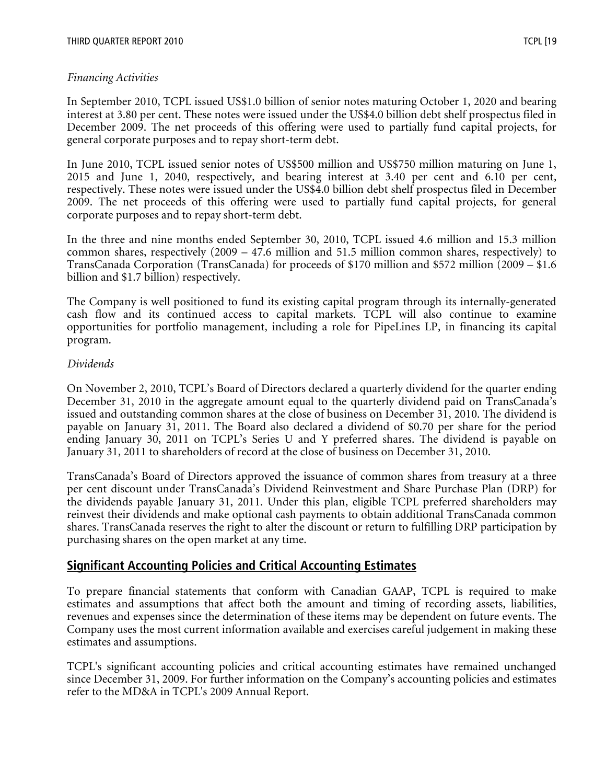### Financing Activities

In September 2010, TCPL issued US\$1.0 billion of senior notes maturing October 1, 2020 and bearing interest at 3.80 per cent. These notes were issued under the US\$4.0 billion debt shelf prospectus filed in December 2009. The net proceeds of this offering were used to partially fund capital projects, for general corporate purposes and to repay short-term debt.

In June 2010, TCPL issued senior notes of US\$500 million and US\$750 million maturing on June 1, 2015 and June 1, 2040, respectively, and bearing interest at 3.40 per cent and 6.10 per cent, respectively. These notes were issued under the US\$4.0 billion debt shelf prospectus filed in December 2009. The net proceeds of this offering were used to partially fund capital projects, for general corporate purposes and to repay short-term debt.

In the three and nine months ended September 30, 2010, TCPL issued 4.6 million and 15.3 million common shares, respectively (2009 – 47.6 million and 51.5 million common shares, respectively) to TransCanada Corporation (TransCanada) for proceeds of \$170 million and \$572 million (2009 – \$1.6 billion and \$1.7 billion) respectively.

The Company is well positioned to fund its existing capital program through its internally-generated cash flow and its continued access to capital markets. TCPL will also continue to examine opportunities for portfolio management, including a role for PipeLines LP, in financing its capital program.

#### Dividends

On November 2, 2010, TCPL's Board of Directors declared a quarterly dividend for the quarter ending December 31, 2010 in the aggregate amount equal to the quarterly dividend paid on TransCanada's issued and outstanding common shares at the close of business on December 31, 2010. The dividend is payable on January 31, 2011. The Board also declared a dividend of \$0.70 per share for the period ending January 30, 2011 on TCPL's Series U and Y preferred shares. The dividend is payable on January 31, 2011 to shareholders of record at the close of business on December 31, 2010.

TransCanada's Board of Directors approved the issuance of common shares from treasury at a three per cent discount under TransCanada's Dividend Reinvestment and Share Purchase Plan (DRP) for the dividends payable January 31, 2011. Under this plan, eligible TCPL preferred shareholders may reinvest their dividends and make optional cash payments to obtain additional TransCanada common shares. TransCanada reserves the right to alter the discount or return to fulfilling DRP participation by purchasing shares on the open market at any time.

## Significant Accounting Policies and Critical Accounting Estimates

To prepare financial statements that conform with Canadian GAAP, TCPL is required to make estimates and assumptions that affect both the amount and timing of recording assets, liabilities, revenues and expenses since the determination of these items may be dependent on future events. The Company uses the most current information available and exercises careful judgement in making these estimates and assumptions.

TCPL's significant accounting policies and critical accounting estimates have remained unchanged since December 31, 2009. For further information on the Company's accounting policies and estimates refer to the MD&A in TCPL's 2009 Annual Report.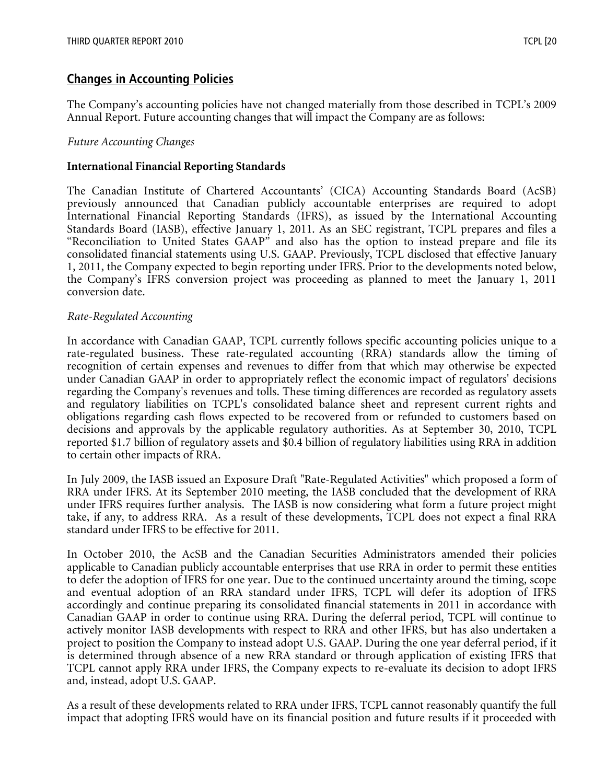## Changes in Accounting Policies

The Company's accounting policies have not changed materially from those described in TCPL's 2009 Annual Report. Future accounting changes that will impact the Company are as follows:

#### Future Accounting Changes

#### International Financial Reporting Standards

The Canadian Institute of Chartered Accountants' (CICA) Accounting Standards Board (AcSB) previously announced that Canadian publicly accountable enterprises are required to adopt International Financial Reporting Standards (IFRS), as issued by the International Accounting Standards Board (IASB), effective January 1, 2011. As an SEC registrant, TCPL prepares and files a "Reconciliation to United States GAAP" and also has the option to instead prepare and file its consolidated financial statements using U.S. GAAP. Previously, TCPL disclosed that effective January 1, 2011, the Company expected to begin reporting under IFRS. Prior to the developments noted below, the Company's IFRS conversion project was proceeding as planned to meet the January 1, 2011 conversion date.

#### Rate-Regulated Accounting

In accordance with Canadian GAAP, TCPL currently follows specific accounting policies unique to a rate-regulated business. These rate-regulated accounting (RRA) standards allow the timing of recognition of certain expenses and revenues to differ from that which may otherwise be expected under Canadian GAAP in order to appropriately reflect the economic impact of regulators' decisions regarding the Company's revenues and tolls. These timing differences are recorded as regulatory assets and regulatory liabilities on TCPL's consolidated balance sheet and represent current rights and obligations regarding cash flows expected to be recovered from or refunded to customers based on decisions and approvals by the applicable regulatory authorities. As at September 30, 2010, TCPL reported \$1.7 billion of regulatory assets and \$0.4 billion of regulatory liabilities using RRA in addition to certain other impacts of RRA.

In July 2009, the IASB issued an Exposure Draft "Rate-Regulated Activities" which proposed a form of RRA under IFRS. At its September 2010 meeting, the IASB concluded that the development of RRA under IFRS requires further analysis. The IASB is now considering what form a future project might take, if any, to address RRA. As a result of these developments, TCPL does not expect a final RRA standard under IFRS to be effective for 2011.

In October 2010, the AcSB and the Canadian Securities Administrators amended their policies applicable to Canadian publicly accountable enterprises that use RRA in order to permit these entities to defer the adoption of IFRS for one year. Due to the continued uncertainty around the timing, scope and eventual adoption of an RRA standard under IFRS, TCPL will defer its adoption of IFRS accordingly and continue preparing its consolidated financial statements in 2011 in accordance with Canadian GAAP in order to continue using RRA. During the deferral period, TCPL will continue to actively monitor IASB developments with respect to RRA and other IFRS, but has also undertaken a project to position the Company to instead adopt U.S. GAAP. During the one year deferral period, if it is determined through absence of a new RRA standard or through application of existing IFRS that TCPL cannot apply RRA under IFRS, the Company expects to re-evaluate its decision to adopt IFRS and, instead, adopt U.S. GAAP.

As a result of these developments related to RRA under IFRS, TCPL cannot reasonably quantify the full impact that adopting IFRS would have on its financial position and future results if it proceeded with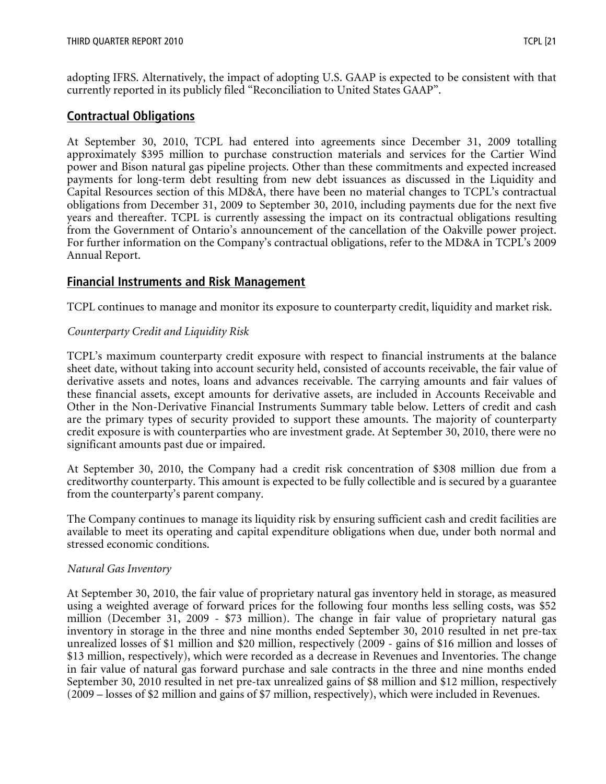adopting IFRS. Alternatively, the impact of adopting U.S. GAAP is expected to be consistent with that currently reported in its publicly filed "Reconciliation to United States GAAP".

## Contractual Obligations

At September 30, 2010, TCPL had entered into agreements since December 31, 2009 totalling approximately \$395 million to purchase construction materials and services for the Cartier Wind power and Bison natural gas pipeline projects. Other than these commitments and expected increased payments for long-term debt resulting from new debt issuances as discussed in the Liquidity and Capital Resources section of this MD&A, there have been no material changes to TCPL's contractual obligations from December 31, 2009 to September 30, 2010, including payments due for the next five years and thereafter. TCPL is currently assessing the impact on its contractual obligations resulting from the Government of Ontario's announcement of the cancellation of the Oakville power project. For further information on the Company's contractual obligations, refer to the MD&A in TCPL's 2009 Annual Report.

## Financial Instruments and Risk Management

TCPL continues to manage and monitor its exposure to counterparty credit, liquidity and market risk.

#### Counterparty Credit and Liquidity Risk

TCPL's maximum counterparty credit exposure with respect to financial instruments at the balance sheet date, without taking into account security held, consisted of accounts receivable, the fair value of derivative assets and notes, loans and advances receivable. The carrying amounts and fair values of these financial assets, except amounts for derivative assets, are included in Accounts Receivable and Other in the Non-Derivative Financial Instruments Summary table below. Letters of credit and cash are the primary types of security provided to support these amounts. The majority of counterparty credit exposure is with counterparties who are investment grade. At September 30, 2010, there were no significant amounts past due or impaired.

At September 30, 2010, the Company had a credit risk concentration of \$308 million due from a creditworthy counterparty. This amount is expected to be fully collectible and is secured by a guarantee from the counterparty's parent company.

The Company continues to manage its liquidity risk by ensuring sufficient cash and credit facilities are available to meet its operating and capital expenditure obligations when due, under both normal and stressed economic conditions.

#### Natural Gas Inventory

At September 30, 2010, the fair value of proprietary natural gas inventory held in storage, as measured using a weighted average of forward prices for the following four months less selling costs, was \$52 million (December 31, 2009 - \$73 million). The change in fair value of proprietary natural gas inventory in storage in the three and nine months ended September 30, 2010 resulted in net pre-tax unrealized losses of \$1 million and \$20 million, respectively (2009 - gains of \$16 million and losses of \$13 million, respectively), which were recorded as a decrease in Revenues and Inventories. The change in fair value of natural gas forward purchase and sale contracts in the three and nine months ended September 30, 2010 resulted in net pre-tax unrealized gains of \$8 million and \$12 million, respectively (2009 – losses of \$2 million and gains of \$7 million, respectively), which were included in Revenues.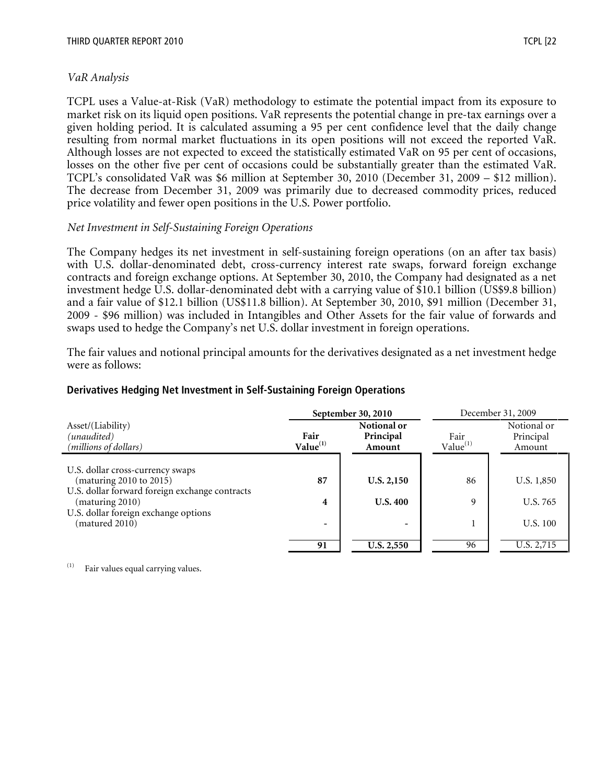TCPL uses a Value-at-Risk (VaR) methodology to estimate the potential impact from its exposure to market risk on its liquid open positions. VaR represents the potential change in pre-tax earnings over a given holding period. It is calculated assuming a 95 per cent confidence level that the daily change resulting from normal market fluctuations in its open positions will not exceed the reported VaR. Although losses are not expected to exceed the statistically estimated VaR on 95 per cent of occasions, losses on the other five per cent of occasions could be substantially greater than the estimated VaR. TCPL's consolidated VaR was \$6 million at September 30, 2010 (December 31, 2009 – \$12 million). The decrease from December 31, 2009 was primarily due to decreased commodity prices, reduced price volatility and fewer open positions in the U.S. Power portfolio.

#### Net Investment in Self-Sustaining Foreign Operations

The Company hedges its net investment in self-sustaining foreign operations (on an after tax basis) with U.S. dollar-denominated debt, cross-currency interest rate swaps, forward foreign exchange contracts and foreign exchange options. At September 30, 2010, the Company had designated as a net investment hedge U.S. dollar-denominated debt with a carrying value of \$10.1 billion (US\$9.8 billion) and a fair value of \$12.1 billion (US\$11.8 billion). At September 30, 2010, \$91 million (December 31, 2009 - \$96 million) was included in Intangibles and Other Assets for the fair value of forwards and swaps used to hedge the Company's net U.S. dollar investment in foreign operations.

The fair values and notional principal amounts for the derivatives designated as a net investment hedge were as follows:

| Derivatives Hedging Net Investment in Self-Sustaining Foreign Operations |  |  |
|--------------------------------------------------------------------------|--|--|
|                                                                          |  |  |

|                                                                   |                              | September 30, 2010                 |                     | December 31, 2009                  |
|-------------------------------------------------------------------|------------------------------|------------------------------------|---------------------|------------------------------------|
| Asset/(Liability)<br>(unaudited)<br>(millions of dollars)         | Fair<br>Value <sup>(1)</sup> | Notional or<br>Principal<br>Amount | Fair<br>Value $(1)$ | Notional or<br>Principal<br>Amount |
|                                                                   |                              |                                    |                     |                                    |
| U.S. dollar cross-currency swaps<br>(maturing 2010 to 2015)       | 87                           | U.S. 2,150                         | 86                  | U.S. 1,850                         |
| U.S. dollar forward foreign exchange contracts<br>(maturing 2010) | 4                            | <b>U.S. 400</b>                    | 9                   | U.S. 765                           |
| U.S. dollar foreign exchange options<br>(matured 2010)            | $\overline{\phantom{0}}$     | $\overline{\phantom{a}}$           |                     | U.S. 100                           |
|                                                                   |                              |                                    |                     |                                    |
|                                                                   | 91                           | <b>U.S. 2,550</b>                  | 96                  | U.S. 2,715                         |

(1) Fair values equal carrying values.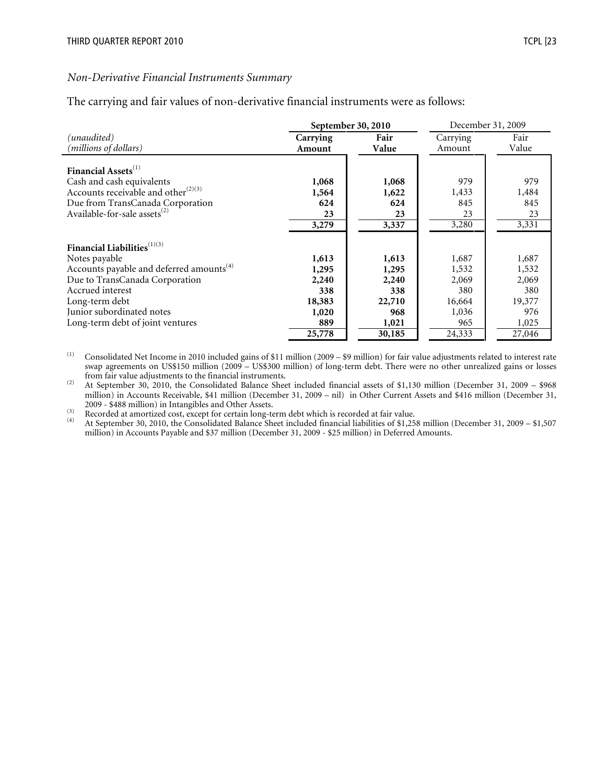#### Non-Derivative Financial Instruments Summary

The carrying and fair values of non-derivative financial instruments were as follows:

|                                                      |                    | September 30, 2010 | December 31, 2009  |               |  |
|------------------------------------------------------|--------------------|--------------------|--------------------|---------------|--|
| (unaudited)<br>(millions of dollars)                 | Carrying<br>Amount | Fair<br>Value      | Carrying<br>Amount | Fair<br>Value |  |
| Financial Assets <sup>(1)</sup>                      |                    |                    |                    |               |  |
| Cash and cash equivalents                            | 1,068              | 1,068              | 979                | 979           |  |
| Accounts receivable and other $^{(2)(3)}$            | 1,564              | 1,622              | 1,433              | 1,484         |  |
| Due from TransCanada Corporation                     | 624                | 624                | 845                | 845           |  |
| Available-for-sale assets <sup>(2)</sup>             | 23                 | 23                 | 23                 | 23            |  |
|                                                      | 3,279              | 3,337              | 3,280              | 3,331         |  |
| Financial Liabilities $^{(1)(3)}$                    |                    |                    |                    |               |  |
| Notes payable                                        | 1,613              | 1,613              | 1,687              | 1,687         |  |
| Accounts payable and deferred amounts <sup>(4)</sup> | 1,295              | 1,295              | 1,532              | 1,532         |  |
| Due to TransCanada Corporation                       | 2,240              | 2,240              | 2,069              | 2,069         |  |
| Accrued interest                                     | 338                | 338                | 380                | 380           |  |
| Long-term debt                                       | 18,383             | 22,710             | 16,664             | 19,377        |  |
| Junior subordinated notes                            | 1,020              | 968                | 1,036              | 976           |  |
| Long-term debt of joint ventures                     | 889                | 1,021              | 965                | 1,025         |  |
|                                                      | 25,778             | 30,185             | 24,333             | 27,046        |  |

 $(1)$  Consolidated Net Income in 2010 included gains of \$11 million (2009 – \$9 million) for fair value adjustments related to interest rate swap agreements on US\$150 million (2009 – US\$300 million) of long-term debt. There were no other unrealized gains or losses from fair value adjustments to the financial instruments.

(2) At September 30, 2010, the Consolidated Balance Sheet included financial assets of \$1,130 million (December 31, 2009 – \$968 million) in Accounts Receivable, \$41 million (December 31, 2009 – nil) in Other Current Assets and \$416 million (December 31, 2009 - \$488 million) in Intangibles and Other Assets.

(3) Recorded at amortized cost, except for certain long-term debt which is recorded at fair value.<br>
(4) At September 30, 2010, the Consolidated Balance Sheet included financial liabilities of \$1.25

(4) At September 30, 2010, the Consolidated Balance Sheet included financial liabilities of \$1,258 million (December 31, 2009 – \$1,507 million) in Accounts Payable and \$37 million (December 31, 2009 - \$25 million) in Deferred Amounts.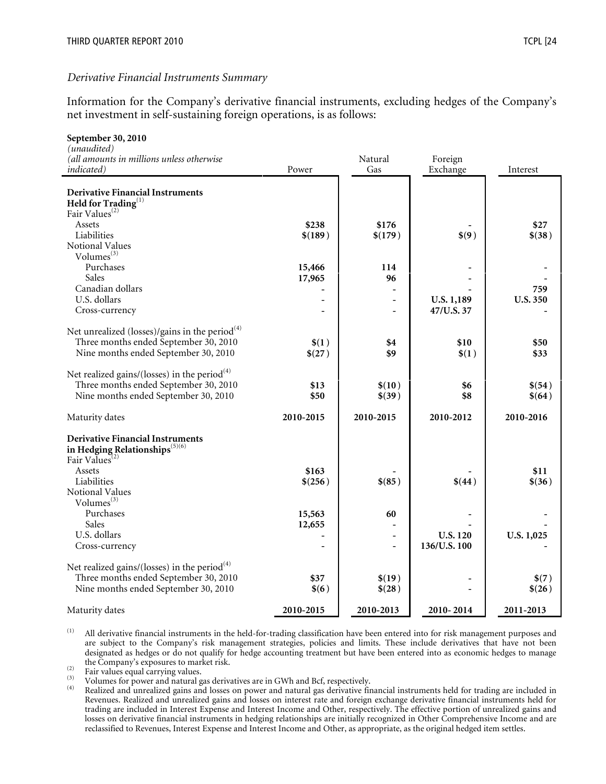#### Derivative Financial Instruments Summary

Information for the Company's derivative financial instruments, excluding hedges of the Company's net investment in self-sustaining foreign operations, is as follows:

| September 30, 2010                                            |                 |                  |                 |                 |
|---------------------------------------------------------------|-----------------|------------------|-----------------|-----------------|
| (unaudited)                                                   |                 |                  |                 |                 |
| (all amounts in millions unless otherwise                     |                 | Natural          | Foreign         |                 |
| indicated)                                                    | Power           | Gas              | Exchange        | Interest        |
|                                                               |                 |                  |                 |                 |
| <b>Derivative Financial Instruments</b>                       |                 |                  |                 |                 |
| Held for Trading <sup>(1)</sup><br>Fair Values <sup>(2)</sup> |                 |                  |                 |                 |
|                                                               |                 |                  |                 |                 |
| Assets                                                        | \$238           | \$176            |                 | \$27            |
| Liabilities                                                   | \$(189)         | \$(179)          | \$(9)           | \$(38)          |
| Notional Values<br>Volumes $^{(3)}$                           |                 |                  |                 |                 |
| Purchases                                                     |                 |                  |                 |                 |
| Sales                                                         | 15,466          | 114              |                 |                 |
|                                                               | 17,965          | 96               |                 |                 |
| Canadian dollars<br>U.S. dollars                              |                 |                  |                 | 759             |
|                                                               |                 | $\blacksquare$   | U.S. 1,189      | <b>U.S. 350</b> |
| Cross-currency                                                |                 |                  | 47/U.S. 37      |                 |
| Net unrealized (losses)/gains in the period <sup>(4)</sup>    |                 |                  |                 |                 |
| Three months ended September 30, 2010                         |                 |                  | \$10            | \$50            |
|                                                               | \$(1)<br>\$(27) | \$4<br>\$9       |                 | \$33            |
| Nine months ended September 30, 2010                          |                 |                  | \$(1)           |                 |
| Net realized gains/(losses) in the period <sup>(4)</sup>      |                 |                  |                 |                 |
| Three months ended September 30, 2010                         | \$13            | \$(10)           | \$6             | \$(54)          |
| Nine months ended September 30, 2010                          | \$50            | \$(39)           | \$8             | \$(64)          |
|                                                               |                 |                  |                 |                 |
| Maturity dates                                                | 2010-2015       | 2010-2015        | 2010-2012       | 2010-2016       |
|                                                               |                 |                  |                 |                 |
| <b>Derivative Financial Instruments</b>                       |                 |                  |                 |                 |
| in Hedging Relationships <sup>(5)(6)</sup>                    |                 |                  |                 |                 |
| Fair Values <sup>(2)</sup>                                    |                 |                  |                 |                 |
| Assets                                                        | \$163           |                  |                 | \$11            |
| Liabilities                                                   | \$(256)         | \$(85)           | \$(44)          | \$(36)          |
| Notional Values                                               |                 |                  |                 |                 |
| Volumes <sup>(3)</sup>                                        |                 |                  |                 |                 |
| Purchases                                                     | 15,563          | 60               |                 |                 |
| Sales                                                         | 12,655          |                  |                 |                 |
| U.S. dollars                                                  |                 | $\blacksquare$   | <b>U.S. 120</b> | U.S. 1,025      |
| Cross-currency                                                |                 |                  | 136/U.S. 100    |                 |
| Net realized gains/(losses) in the period <sup>(4)</sup>      |                 |                  |                 |                 |
| Three months ended September 30, 2010                         | \$37            |                  |                 |                 |
| Nine months ended September 30, 2010                          | \$(6)           | \$(19)<br>\$(28) |                 | \$(7)<br>\$(26) |
|                                                               |                 |                  |                 |                 |
| Maturity dates                                                | 2010-2015       | 2010-2013        | 2010-2014       | 2011-2013       |

(1) All derivative financial instruments in the held-for-trading classification have been entered into for risk management purposes and are subject to the Company's risk management strategies, policies and limits. These include derivatives that have not been designated as hedges or do not qualify for hedge accounting treatment but have been entered into as economic hedges to manage the Company's exposures to market risk.

 $\begin{array}{lll}\n\text{(2)} & \text{Fair values equal carrying values.} \\
\text{(3)} & \text{Volume for power and natural}\n\end{array}$ 

(3) Volumes for power and natural gas derivatives are in GWh and Bcf, respectively.<br>  $\frac{1}{2}$  Reglized and unrealized gains and losses on power and natural gas derivative first

Realized and unrealized gains and losses on power and natural gas derivative financial instruments held for trading are included in Revenues. Realized and unrealized gains and losses on interest rate and foreign exchange derivative financial instruments held for trading are included in Interest Expense and Interest Income and Other, respectively. The effective portion of unrealized gains and losses on derivative financial instruments in hedging relationships are initially recognized in Other Comprehensive Income and are reclassified to Revenues, Interest Expense and Interest Income and Other, as appropriate, as the original hedged item settles.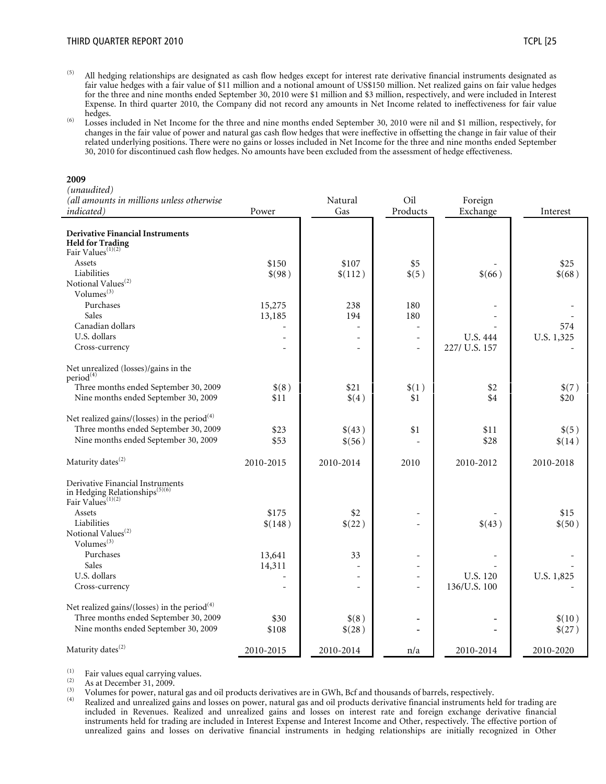- $^{(5)}$  All hedging relationships are designated as cash flow hedges except for interest rate derivative financial instruments designated as fair value hedges with a fair value of \$11 million and a notional amount of US\$150 million. Net realized gains on fair value hedges for the three and nine months ended September 30, 2010 were \$1 million and \$3 million, respectively, and were included in Interest Expense. In third quarter 2010, the Company did not record any amounts in Net Income related to ineffectiveness for fair value hedges.
- (6) Losses included in Net Income for the three and nine months ended September 30, 2010 were nil and \$1 million, respectively, for changes in the fair value of power and natural gas cash flow hedges that were ineffective in offsetting the change in fair value of their related underlying positions. There were no gains or losses included in Net Income for the three and nine months ended September 30, 2010 for discontinued cash flow hedges. No amounts have been excluded from the assessment of hedge effectiveness.

#### 2009

#### (unaudited)

| (all amounts in millions unless otherwise                                                                                                 |              | Natural          | Oil                      | Foreign                  |                 |
|-------------------------------------------------------------------------------------------------------------------------------------------|--------------|------------------|--------------------------|--------------------------|-----------------|
| <i>indicated</i> )                                                                                                                        | Power        | Gas              | Products                 | Exchange                 | Interest        |
| <b>Derivative Financial Instruments</b><br><b>Held for Trading</b><br>Fair Values <sup>(1)(2)</sup>                                       |              |                  |                          |                          |                 |
| Assets                                                                                                                                    | \$150        | \$107            | \$5                      |                          | \$25            |
| Liabilities                                                                                                                               | \$(98)       | \$(112)          | \$(5)                    | \$(66)                   | \$(68)          |
| Notional Values <sup>(2)</sup>                                                                                                            |              |                  |                          |                          |                 |
| Volumes <sup>(3)</sup>                                                                                                                    |              |                  |                          |                          |                 |
| Purchases                                                                                                                                 | 15,275       | 238              | 180                      |                          |                 |
| Sales                                                                                                                                     | 13,185       | 194              | 180                      |                          |                 |
| Canadian dollars                                                                                                                          |              |                  | $\overline{\phantom{a}}$ |                          | 574             |
| U.S. dollars                                                                                                                              |              |                  | ÷                        | <b>U.S. 444</b>          | U.S. 1,325      |
| Cross-currency                                                                                                                            |              |                  | ÷                        | 227/ U.S. 157            |                 |
| Net unrealized (losses)/gains in the<br>period <sup>(4)</sup>                                                                             |              |                  |                          |                          |                 |
| Three months ended September 30, 2009                                                                                                     | \$(8)        | \$21             | \$(1)                    | \$2                      | \$(7)           |
| Nine months ended September 30, 2009                                                                                                      | \$11         | \$(4)            | \$1                      | \$4                      | \$20            |
| Net realized gains/(losses) in the period <sup>(4)</sup><br>Three months ended September 30, 2009<br>Nine months ended September 30, 2009 | \$23<br>\$53 | \$(43)<br>\$(56) | \$1                      | \$11<br>\$28             | \$(5)<br>\$(14) |
| Maturity dates <sup>(2)</sup>                                                                                                             | 2010-2015    | 2010-2014        | 2010                     | 2010-2012                | 2010-2018       |
| Derivative Financial Instruments<br>in Hedging Relationships <sup>(5)(6)</sup><br>Fair Values <sup>(1)(2)</sup>                           |              |                  |                          |                          |                 |
| Assets                                                                                                                                    | \$175        | \$2              |                          |                          | \$15            |
| Liabilities<br>Notional Values <sup>(2)</sup><br>Volumes <sup>(3)</sup>                                                                   | \$(148)      | \$(22)           |                          | \$(43)                   | \$(50)          |
| Purchases                                                                                                                                 | 13,641       | 33               |                          |                          |                 |
| Sales                                                                                                                                     | 14,311       |                  |                          |                          |                 |
| U.S. dollars                                                                                                                              |              |                  |                          | U.S. 120                 | U.S. 1,825      |
| Cross-currency                                                                                                                            |              | ä,               | ÷.                       | 136/U.S. 100             |                 |
| Net realized gains/(losses) in the period <sup>(4)</sup><br>Three months ended September 30, 2009                                         | \$30         | \$(8)            |                          | $\overline{\phantom{a}}$ | \$(10)          |
| Nine months ended September 30, 2009                                                                                                      | \$108        | \$(28)           |                          |                          | \$(27)          |
| Maturity dates <sup>(2)</sup>                                                                                                             | 2010-2015    | 2010-2014        | n/a                      | 2010-2014                | 2010-2020       |

(1) Fair values equal carrying values.

 $\frac{1}{2}$  As at December 31, 2009.

(3) Volumes for power, natural gas and oil products derivatives are in GWh, Bcf and thousands of barrels, respectively.<br>(4) Beolined and unrealized gains and losses on power, natural gas and oil products derivative financ

Realized and unrealized gains and losses on power, natural gas and oil products derivative financial instruments held for trading are included in Revenues. Realized and unrealized gains and losses on interest rate and foreign exchange derivative financial instruments held for trading are included in Interest Expense and Interest Income and Other, respectively. The effective portion of unrealized gains and losses on derivative financial instruments in hedging relationships are initially recognized in Other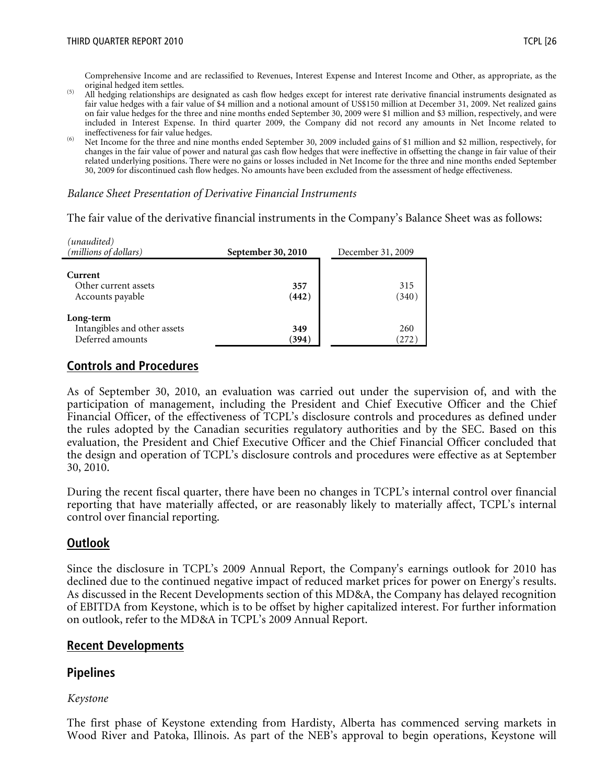Comprehensive Income and are reclassified to Revenues, Interest Expense and Interest Income and Other, as appropriate, as the original hedged item settles.

- (5) All hedging relationships are designated as cash flow hedges except for interest rate derivative financial instruments designated as fair value hedges with a fair value of \$4 million and a notional amount of US\$150 million at December 31, 2009. Net realized gains on fair value hedges for the three and nine months ended September 30, 2009 were \$1 million and \$3 million, respectively, and were included in Interest Expense. In third quarter 2009, the Company did not record any amounts in Net Income related to ineffectiveness for fair value hedges.
- (6) Net Income for the three and nine months ended September 30, 2009 included gains of \$1 million and \$2 million, respectively, for changes in the fair value of power and natural gas cash flow hedges that were ineffective in offsetting the change in fair value of their related underlying positions. There were no gains or losses included in Net Income for the three and nine months ended September 30, 2009 for discontinued cash flow hedges. No amounts have been excluded from the assessment of hedge effectiveness.

#### Balance Sheet Presentation of Derivative Financial Instruments

The fair value of the derivative financial instruments in the Company's Balance Sheet was as follows:

| (unaudited)<br>(millions of dollars)                          | September 30, 2010 | December 31, 2009 |  |
|---------------------------------------------------------------|--------------------|-------------------|--|
| Current<br>Other current assets<br>Accounts payable           | 357<br>(442)       | 315<br>(340)      |  |
| Long-term<br>Intangibles and other assets<br>Deferred amounts | 349<br>(394)       | 260<br>(272       |  |

## Controls and Procedures

As of September 30, 2010, an evaluation was carried out under the supervision of, and with the participation of management, including the President and Chief Executive Officer and the Chief Financial Officer, of the effectiveness of TCPL's disclosure controls and procedures as defined under the rules adopted by the Canadian securities regulatory authorities and by the SEC. Based on this evaluation, the President and Chief Executive Officer and the Chief Financial Officer concluded that the design and operation of TCPL's disclosure controls and procedures were effective as at September 30, 2010.

During the recent fiscal quarter, there have been no changes in TCPL's internal control over financial reporting that have materially affected, or are reasonably likely to materially affect, TCPL's internal control over financial reporting.

#### Outlook

Since the disclosure in TCPL's 2009 Annual Report, the Company's earnings outlook for 2010 has declined due to the continued negative impact of reduced market prices for power on Energy's results. As discussed in the Recent Developments section of this MD&A, the Company has delayed recognition of EBITDA from Keystone, which is to be offset by higher capitalized interest. For further information on outlook, refer to the MD&A in TCPL's 2009 Annual Report.

#### Recent Developments

#### Pipelines

#### Keystone

The first phase of Keystone extending from Hardisty, Alberta has commenced serving markets in Wood River and Patoka, Illinois. As part of the NEB's approval to begin operations, Keystone will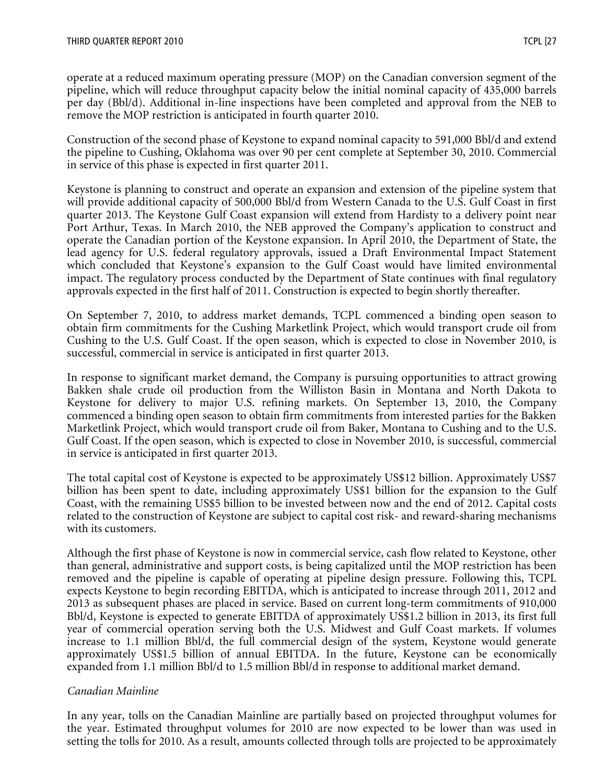operate at a reduced maximum operating pressure (MOP) on the Canadian conversion segment of the pipeline, which will reduce throughput capacity below the initial nominal capacity of 435,000 barrels per day (Bbl/d). Additional in-line inspections have been completed and approval from the NEB to remove the MOP restriction is anticipated in fourth quarter 2010.

Construction of the second phase of Keystone to expand nominal capacity to 591,000 Bbl/d and extend the pipeline to Cushing, Oklahoma was over 90 per cent complete at September 30, 2010. Commercial in service of this phase is expected in first quarter 2011.

Keystone is planning to construct and operate an expansion and extension of the pipeline system that will provide additional capacity of 500,000 Bbl/d from Western Canada to the U.S. Gulf Coast in first quarter 2013. The Keystone Gulf Coast expansion will extend from Hardisty to a delivery point near Port Arthur, Texas. In March 2010, the NEB approved the Company's application to construct and operate the Canadian portion of the Keystone expansion. In April 2010, the Department of State, the lead agency for U.S. federal regulatory approvals, issued a Draft Environmental Impact Statement which concluded that Keystone's expansion to the Gulf Coast would have limited environmental impact. The regulatory process conducted by the Department of State continues with final regulatory approvals expected in the first half of 2011. Construction is expected to begin shortly thereafter.

On September 7, 2010, to address market demands, TCPL commenced a binding open season to obtain firm commitments for the Cushing Marketlink Project, which would transport crude oil from Cushing to the U.S. Gulf Coast. If the open season, which is expected to close in November 2010, is successful, commercial in service is anticipated in first quarter 2013.

In response to significant market demand, the Company is pursuing opportunities to attract growing Bakken shale crude oil production from the Williston Basin in Montana and North Dakota to Keystone for delivery to major U.S. refining markets. On September 13, 2010, the Company commenced a binding open season to obtain firm commitments from interested parties for the Bakken Marketlink Project, which would transport crude oil from Baker, Montana to Cushing and to the U.S. Gulf Coast. If the open season, which is expected to close in November 2010, is successful, commercial in service is anticipated in first quarter 2013.

The total capital cost of Keystone is expected to be approximately US\$12 billion. Approximately US\$7 billion has been spent to date, including approximately US\$1 billion for the expansion to the Gulf Coast, with the remaining US\$5 billion to be invested between now and the end of 2012. Capital costs related to the construction of Keystone are subject to capital cost risk- and reward-sharing mechanisms with its customers.

Although the first phase of Keystone is now in commercial service, cash flow related to Keystone, other than general, administrative and support costs, is being capitalized until the MOP restriction has been removed and the pipeline is capable of operating at pipeline design pressure. Following this, TCPL expects Keystone to begin recording EBITDA, which is anticipated to increase through 2011, 2012 and 2013 as subsequent phases are placed in service. Based on current long-term commitments of 910,000 Bbl/d, Keystone is expected to generate EBITDA of approximately US\$1.2 billion in 2013, its first full year of commercial operation serving both the U.S. Midwest and Gulf Coast markets. If volumes increase to 1.1 million Bbl/d, the full commercial design of the system, Keystone would generate approximately US\$1.5 billion of annual EBITDA. In the future, Keystone can be economically expanded from 1.1 million Bbl/d to 1.5 million Bbl/d in response to additional market demand.

#### Canadian Mainline

In any year, tolls on the Canadian Mainline are partially based on projected throughput volumes for the year. Estimated throughput volumes for 2010 are now expected to be lower than was used in setting the tolls for 2010. As a result, amounts collected through tolls are projected to be approximately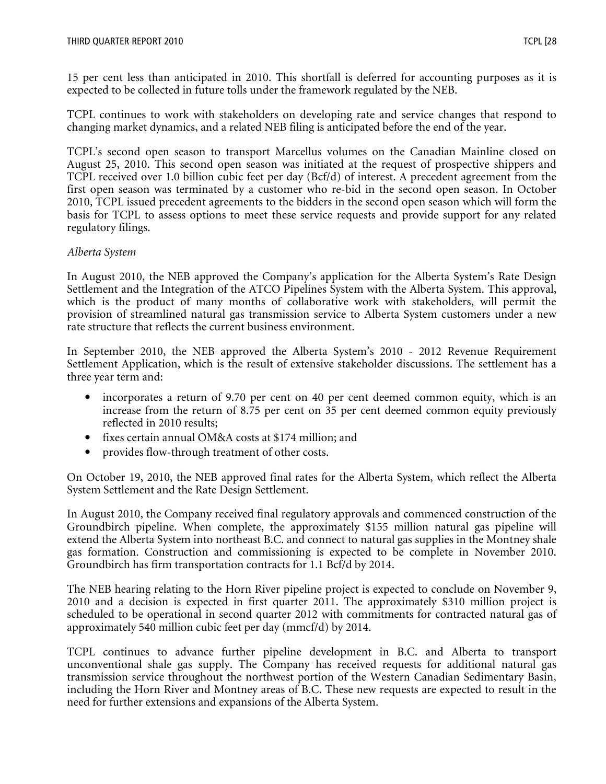15 per cent less than anticipated in 2010. This shortfall is deferred for accounting purposes as it is expected to be collected in future tolls under the framework regulated by the NEB.

TCPL continues to work with stakeholders on developing rate and service changes that respond to changing market dynamics, and a related NEB filing is anticipated before the end of the year.

TCPL's second open season to transport Marcellus volumes on the Canadian Mainline closed on August 25, 2010. This second open season was initiated at the request of prospective shippers and TCPL received over 1.0 billion cubic feet per day (Bcf/d) of interest. A precedent agreement from the first open season was terminated by a customer who re-bid in the second open season. In October 2010, TCPL issued precedent agreements to the bidders in the second open season which will form the basis for TCPL to assess options to meet these service requests and provide support for any related regulatory filings.

#### Alberta System

In August 2010, the NEB approved the Company's application for the Alberta System's Rate Design Settlement and the Integration of the ATCO Pipelines System with the Alberta System. This approval, which is the product of many months of collaborative work with stakeholders, will permit the provision of streamlined natural gas transmission service to Alberta System customers under a new rate structure that reflects the current business environment.

In September 2010, the NEB approved the Alberta System's 2010 - 2012 Revenue Requirement Settlement Application, which is the result of extensive stakeholder discussions. The settlement has a three year term and:

- incorporates a return of 9.70 per cent on 40 per cent deemed common equity, which is an increase from the return of 8.75 per cent on 35 per cent deemed common equity previously reflected in 2010 results;
- fixes certain annual OM&A costs at \$174 million; and
- provides flow-through treatment of other costs.

On October 19, 2010, the NEB approved final rates for the Alberta System, which reflect the Alberta System Settlement and the Rate Design Settlement.

In August 2010, the Company received final regulatory approvals and commenced construction of the Groundbirch pipeline. When complete, the approximately \$155 million natural gas pipeline will extend the Alberta System into northeast B.C. and connect to natural gas supplies in the Montney shale gas formation. Construction and commissioning is expected to be complete in November 2010. Groundbirch has firm transportation contracts for 1.1 Bcf/d by 2014.

The NEB hearing relating to the Horn River pipeline project is expected to conclude on November 9, 2010 and a decision is expected in first quarter 2011. The approximately \$310 million project is scheduled to be operational in second quarter 2012 with commitments for contracted natural gas of approximately 540 million cubic feet per day (mmcf/d) by 2014.

TCPL continues to advance further pipeline development in B.C. and Alberta to transport unconventional shale gas supply. The Company has received requests for additional natural gas transmission service throughout the northwest portion of the Western Canadian Sedimentary Basin, including the Horn River and Montney areas of B.C. These new requests are expected to result in the need for further extensions and expansions of the Alberta System.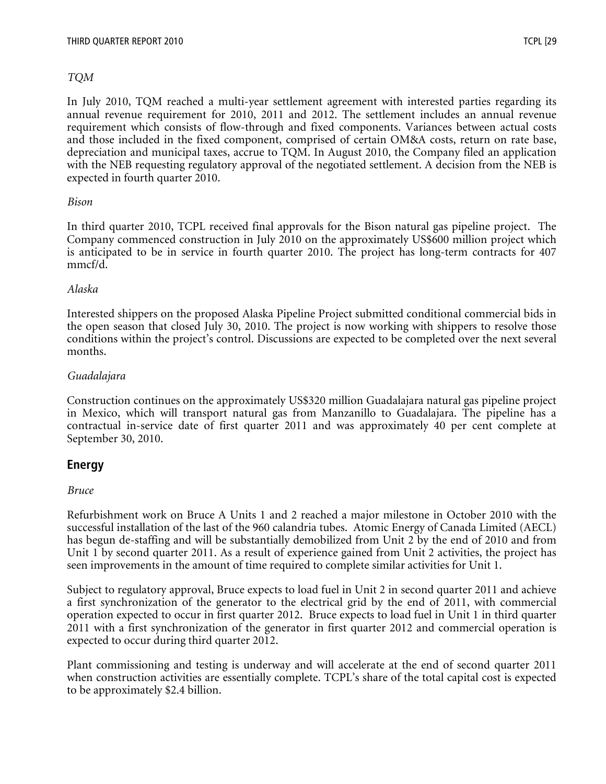#### TQM

In July 2010, TQM reached a multi-year settlement agreement with interested parties regarding its annual revenue requirement for 2010, 2011 and 2012. The settlement includes an annual revenue requirement which consists of flow-through and fixed components. Variances between actual costs and those included in the fixed component, comprised of certain OM&A costs, return on rate base, depreciation and municipal taxes, accrue to TQM. In August 2010, the Company filed an application with the NEB requesting regulatory approval of the negotiated settlement. A decision from the NEB is expected in fourth quarter 2010.

#### Bison

In third quarter 2010, TCPL received final approvals for the Bison natural gas pipeline project. The Company commenced construction in July 2010 on the approximately US\$600 million project which is anticipated to be in service in fourth quarter 2010. The project has long-term contracts for 407 mmcf/d.

#### Alaska

Interested shippers on the proposed Alaska Pipeline Project submitted conditional commercial bids in the open season that closed July 30, 2010. The project is now working with shippers to resolve those conditions within the project's control. Discussions are expected to be completed over the next several months.

#### Guadalajara

Construction continues on the approximately US\$320 million Guadalajara natural gas pipeline project in Mexico, which will transport natural gas from Manzanillo to Guadalajara. The pipeline has a contractual in-service date of first quarter 2011 and was approximately 40 per cent complete at September 30, 2010.

## Energy

#### Bruce

Refurbishment work on Bruce A Units 1 and 2 reached a major milestone in October 2010 with the successful installation of the last of the 960 calandria tubes. Atomic Energy of Canada Limited (AECL) has begun de-staffing and will be substantially demobilized from Unit 2 by the end of 2010 and from Unit 1 by second quarter 2011. As a result of experience gained from Unit 2 activities, the project has seen improvements in the amount of time required to complete similar activities for Unit 1.

Subject to regulatory approval, Bruce expects to load fuel in Unit 2 in second quarter 2011 and achieve a first synchronization of the generator to the electrical grid by the end of 2011, with commercial operation expected to occur in first quarter 2012. Bruce expects to load fuel in Unit 1 in third quarter 2011 with a first synchronization of the generator in first quarter 2012 and commercial operation is expected to occur during third quarter 2012.

Plant commissioning and testing is underway and will accelerate at the end of second quarter 2011 when construction activities are essentially complete. TCPL's share of the total capital cost is expected to be approximately \$2.4 billion.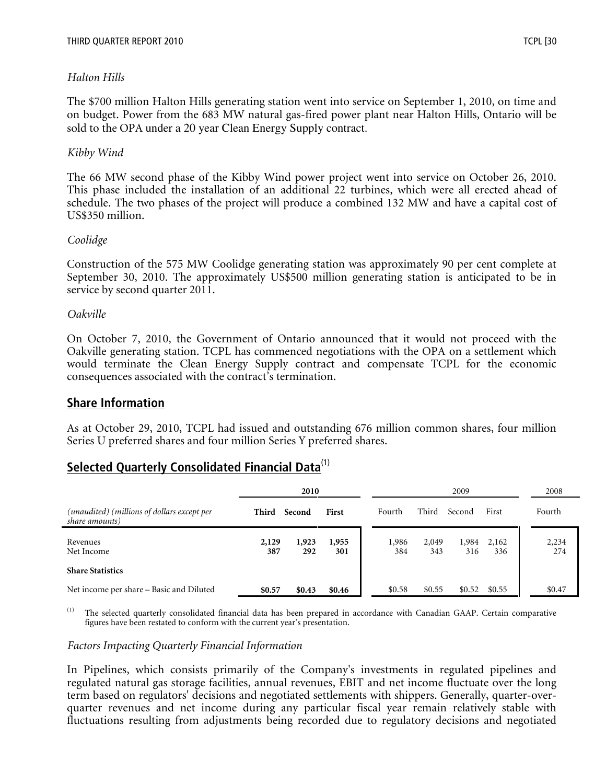#### Halton Hills

The \$700 million Halton Hills generating station went into service on September 1, 2010, on time and on budget. Power from the 683 MW natural gas-fired power plant near Halton Hills, Ontario will be sold to the OPA under a 20 year Clean Energy Supply contract.

#### Kibby Wind

The 66 MW second phase of the Kibby Wind power project went into service on October 26, 2010. This phase included the installation of an additional 22 turbines, which were all erected ahead of schedule. The two phases of the project will produce a combined 132 MW and have a capital cost of US\$350 million.

#### Coolidge

Construction of the 575 MW Coolidge generating station was approximately 90 per cent complete at September 30, 2010. The approximately US\$500 million generating station is anticipated to be in service by second quarter 2011.

#### Oakville

On October 7, 2010, the Government of Ontario announced that it would not proceed with the Oakville generating station. TCPL has commenced negotiations with the OPA on a settlement which would terminate the Clean Energy Supply contract and compensate TCPL for the economic consequences associated with the contract's termination.

#### Share Information

As at October 29, 2010, TCPL had issued and outstanding 676 million common shares, four million Series U preferred shares and four million Series Y preferred shares.

# Selected Quarterly Consolidated Financial Data<sup>(1)</sup>

|                                                               | 2010         |              |              | 2009         |              |              | 2008         |              |
|---------------------------------------------------------------|--------------|--------------|--------------|--------------|--------------|--------------|--------------|--------------|
| (unaudited) (millions of dollars except per<br>share amounts) | Third        | Second       | First        | Fourth       | Third        | Second       | First        | Fourth       |
| Revenues<br>Net Income                                        | 2,129<br>387 | 1,923<br>292 | 1,955<br>301 | 1,986<br>384 | 2,049<br>343 | 1,984<br>316 | 2,162<br>336 | 2,234<br>274 |
| <b>Share Statistics</b>                                       |              |              |              |              |              |              |              |              |
| Net income per share – Basic and Diluted                      | \$0.57       | \$0.43       | \$0.46       | \$0.58       | \$0.55       | \$0.52       | \$0.55       | \$0.47       |

The selected quarterly consolidated financial data has been prepared in accordance with Canadian GAAP. Certain comparative figures have been restated to conform with the current year's presentation.

#### Factors Impacting Quarterly Financial Information

In Pipelines, which consists primarily of the Company's investments in regulated pipelines and regulated natural gas storage facilities, annual revenues, EBIT and net income fluctuate over the long term based on regulators' decisions and negotiated settlements with shippers. Generally, quarter-overquarter revenues and net income during any particular fiscal year remain relatively stable with fluctuations resulting from adjustments being recorded due to regulatory decisions and negotiated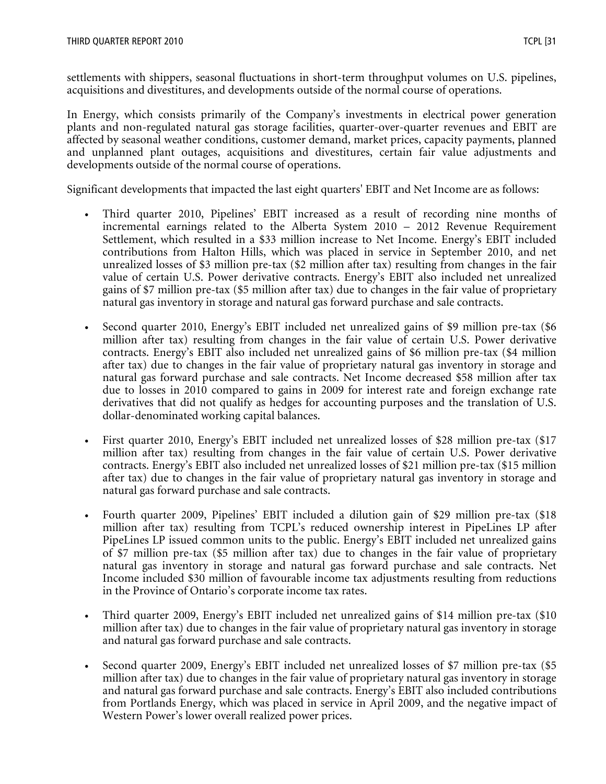settlements with shippers, seasonal fluctuations in short-term throughput volumes on U.S. pipelines, acquisitions and divestitures, and developments outside of the normal course of operations.

In Energy, which consists primarily of the Company's investments in electrical power generation plants and non-regulated natural gas storage facilities, quarter-over-quarter revenues and EBIT are affected by seasonal weather conditions, customer demand, market prices, capacity payments, planned and unplanned plant outages, acquisitions and divestitures, certain fair value adjustments and developments outside of the normal course of operations.

Significant developments that impacted the last eight quarters' EBIT and Net Income are as follows:

- Third quarter 2010, Pipelines' EBIT increased as a result of recording nine months of incremental earnings related to the Alberta System 2010 – 2012 Revenue Requirement Settlement, which resulted in a \$33 million increase to Net Income. Energy's EBIT included contributions from Halton Hills, which was placed in service in September 2010, and net unrealized losses of \$3 million pre-tax (\$2 million after tax) resulting from changes in the fair value of certain U.S. Power derivative contracts. Energy's EBIT also included net unrealized gains of \$7 million pre-tax (\$5 million after tax) due to changes in the fair value of proprietary natural gas inventory in storage and natural gas forward purchase and sale contracts.
- Second quarter 2010, Energy's EBIT included net unrealized gains of \$9 million pre-tax (\$6 million after tax) resulting from changes in the fair value of certain U.S. Power derivative contracts. Energy's EBIT also included net unrealized gains of \$6 million pre-tax (\$4 million after tax) due to changes in the fair value of proprietary natural gas inventory in storage and natural gas forward purchase and sale contracts. Net Income decreased \$58 million after tax due to losses in 2010 compared to gains in 2009 for interest rate and foreign exchange rate derivatives that did not qualify as hedges for accounting purposes and the translation of U.S. dollar-denominated working capital balances.
- First quarter 2010, Energy's EBIT included net unrealized losses of \$28 million pre-tax (\$17 million after tax) resulting from changes in the fair value of certain U.S. Power derivative contracts. Energy's EBIT also included net unrealized losses of \$21 million pre-tax (\$15 million after tax) due to changes in the fair value of proprietary natural gas inventory in storage and natural gas forward purchase and sale contracts.
- Fourth quarter 2009, Pipelines' EBIT included a dilution gain of \$29 million pre-tax (\$18 million after tax) resulting from TCPL's reduced ownership interest in PipeLines LP after PipeLines LP issued common units to the public. Energy's EBIT included net unrealized gains of \$7 million pre-tax (\$5 million after tax) due to changes in the fair value of proprietary natural gas inventory in storage and natural gas forward purchase and sale contracts. Net Income included \$30 million of favourable income tax adjustments resulting from reductions in the Province of Ontario's corporate income tax rates.
- Third quarter 2009, Energy's EBIT included net unrealized gains of \$14 million pre-tax (\$10 million after tax) due to changes in the fair value of proprietary natural gas inventory in storage and natural gas forward purchase and sale contracts.
- Second quarter 2009, Energy's EBIT included net unrealized losses of \$7 million pre-tax (\$5 million after tax) due to changes in the fair value of proprietary natural gas inventory in storage and natural gas forward purchase and sale contracts. Energy's EBIT also included contributions from Portlands Energy, which was placed in service in April 2009, and the negative impact of Western Power's lower overall realized power prices.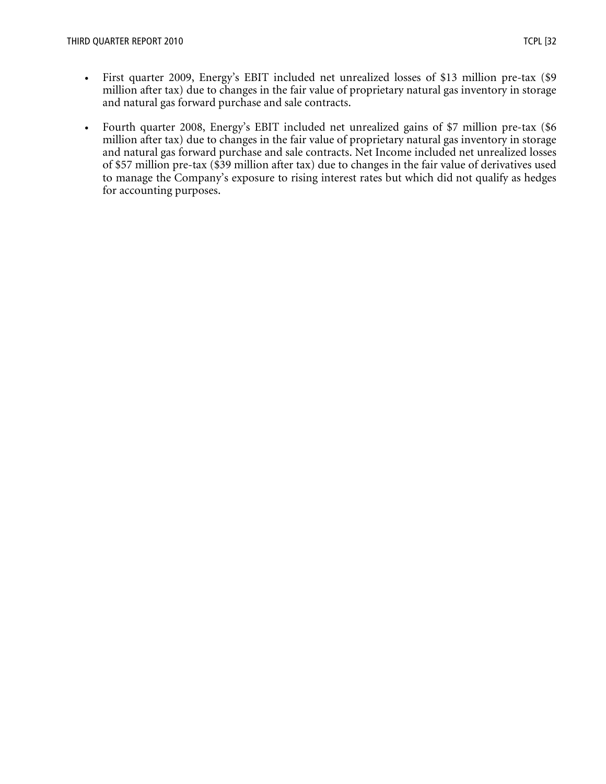- First quarter 2009, Energy's EBIT included net unrealized losses of \$13 million pre-tax (\$9 million after tax) due to changes in the fair value of proprietary natural gas inventory in storage and natural gas forward purchase and sale contracts.
- Fourth quarter 2008, Energy's EBIT included net unrealized gains of \$7 million pre-tax (\$6 million after tax) due to changes in the fair value of proprietary natural gas inventory in storage and natural gas forward purchase and sale contracts. Net Income included net unrealized losses of \$57 million pre-tax (\$39 million after tax) due to changes in the fair value of derivatives used to manage the Company's exposure to rising interest rates but which did not qualify as hedges for accounting purposes.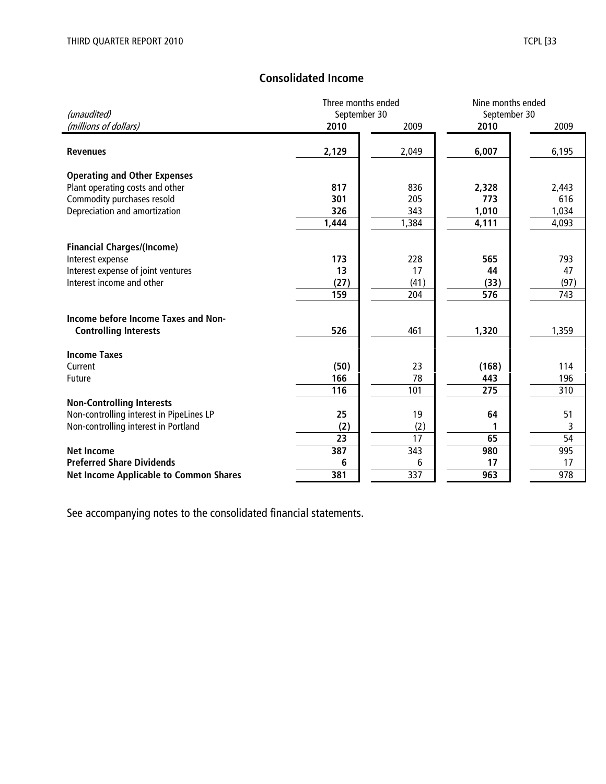## Consolidated Income

|                                               | Three months ended |       | Nine months ended |       |  |
|-----------------------------------------------|--------------------|-------|-------------------|-------|--|
| (unaudited)                                   | September 30       |       | September 30      |       |  |
| (millions of dollars)                         | 2010               | 2009  | 2010              | 2009  |  |
|                                               |                    |       |                   |       |  |
| <b>Revenues</b>                               | 2,129              | 2,049 | 6,007             | 6,195 |  |
| <b>Operating and Other Expenses</b>           |                    |       |                   |       |  |
| Plant operating costs and other               | 817                | 836   | 2,328             | 2,443 |  |
| Commodity purchases resold                    | 301                | 205   | 773               | 616   |  |
| Depreciation and amortization                 | 326                | 343   | 1,010             | 1,034 |  |
|                                               | 1,444              | 1,384 | 4,111             | 4,093 |  |
|                                               |                    |       |                   |       |  |
| <b>Financial Charges/(Income)</b>             |                    |       |                   |       |  |
| Interest expense                              | 173                | 228   | 565               | 793   |  |
| Interest expense of joint ventures            | 13                 | 17    | 44                | 47    |  |
| Interest income and other                     | (27)               | (41)  | (33)              | (97)  |  |
|                                               | 159                | 204   | 576               | 743   |  |
|                                               |                    |       |                   |       |  |
| Income before Income Taxes and Non-           |                    |       |                   |       |  |
| <b>Controlling Interests</b>                  | 526                | 461   | 1,320             | 1,359 |  |
| <b>Income Taxes</b>                           |                    |       |                   |       |  |
| Current                                       | (50)               | 23    | (168)             | 114   |  |
| Future                                        | 166                | 78    | 443               | 196   |  |
|                                               | 116                | 101   | 275               | 310   |  |
| <b>Non-Controlling Interests</b>              |                    |       |                   |       |  |
| Non-controlling interest in PipeLines LP      | 25                 | 19    | 64                | 51    |  |
| Non-controlling interest in Portland          | (2)                | (2)   |                   | 3     |  |
|                                               | 23                 | 17    | 65                | 54    |  |
| <b>Net Income</b>                             | 387                | 343   | 980               | 995   |  |
| <b>Preferred Share Dividends</b>              | 6                  | 6     | 17                | 17    |  |
| <b>Net Income Applicable to Common Shares</b> | 381                | 337   | 963               | 978   |  |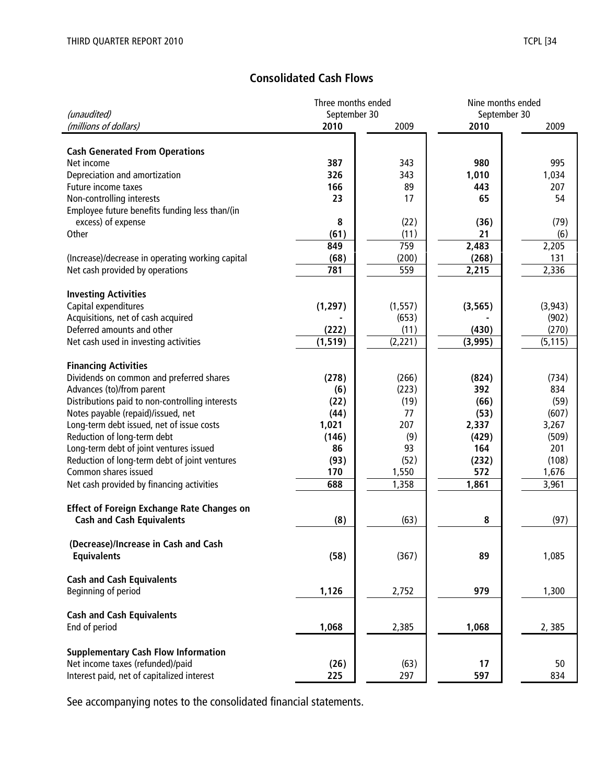## Consolidated Cash Flows

|                                                   | Three months ended |          |              | Nine months ended |  |  |
|---------------------------------------------------|--------------------|----------|--------------|-------------------|--|--|
| (unaudited)                                       | September 30       |          | September 30 |                   |  |  |
| (millions of dollars)                             | 2010               | 2009     | 2010         | 2009              |  |  |
| <b>Cash Generated From Operations</b>             |                    |          |              |                   |  |  |
| Net income                                        | 387                | 343      | 980          | 995               |  |  |
| Depreciation and amortization                     | 326                | 343      | 1,010        | 1,034             |  |  |
| Future income taxes                               | 166                | 89       | 443          | 207               |  |  |
| Non-controlling interests                         | 23                 | 17       | 65           | 54                |  |  |
| Employee future benefits funding less than/(in    |                    |          |              |                   |  |  |
| excess) of expense                                | 8                  | (22)     | (36)         | (79)              |  |  |
| Other                                             | (61)               | (11)     | 21           | (6)               |  |  |
|                                                   | 849                | 759      | 2,483        | 2,205             |  |  |
| (Increase)/decrease in operating working capital  | (68)               | (200)    | (268)        | 131               |  |  |
| Net cash provided by operations                   | 781                | 559      | 2,215        | 2,336             |  |  |
|                                                   |                    |          |              |                   |  |  |
| <b>Investing Activities</b>                       |                    |          |              |                   |  |  |
| Capital expenditures                              | (1, 297)           | (1, 557) | (3, 565)     | (3, 943)          |  |  |
| Acquisitions, net of cash acquired                |                    | (653)    |              | (902)             |  |  |
| Deferred amounts and other                        | (222)              | (11)     | (430)        | (270)             |  |  |
| Net cash used in investing activities             | (1, 519)           | (2, 221) | (3,995)      | (5, 115)          |  |  |
|                                                   |                    |          |              |                   |  |  |
| <b>Financing Activities</b>                       |                    |          |              |                   |  |  |
| Dividends on common and preferred shares          | (278)              | (266)    | (824)        | (734)             |  |  |
| Advances (to)/from parent                         | (6)                | (223)    | 392          | 834               |  |  |
| Distributions paid to non-controlling interests   | (22)               | (19)     | (66)         | (59)              |  |  |
| Notes payable (repaid)/issued, net                | (44)               | 77       | (53)         | (607)             |  |  |
| Long-term debt issued, net of issue costs         | 1,021              | 207      | 2,337        | 3,267             |  |  |
| Reduction of long-term debt                       | (146)              | (9)      | (429)        | (509)             |  |  |
| Long-term debt of joint ventures issued           | 86                 | 93       | 164          | 201               |  |  |
| Reduction of long-term debt of joint ventures     | (93)               | (52)     | (232)        | (108)             |  |  |
| Common shares issued                              | 170                | 1,550    | 572          | 1,676             |  |  |
| Net cash provided by financing activities         | 688                | 1,358    | 1,861        | 3,961             |  |  |
|                                                   |                    |          |              |                   |  |  |
| <b>Effect of Foreign Exchange Rate Changes on</b> |                    |          |              |                   |  |  |
| <b>Cash and Cash Equivalents</b>                  | (8)                | (63)     | 8            | (97)              |  |  |
| (Decrease)/Increase in Cash and Cash              |                    |          |              |                   |  |  |
| <b>Equivalents</b>                                | (58)               | (367)    | 89           | 1,085             |  |  |
|                                                   |                    |          |              |                   |  |  |
| <b>Cash and Cash Equivalents</b>                  |                    |          |              |                   |  |  |
| Beginning of period                               | 1,126              | 2,752    | 979          | 1,300             |  |  |
|                                                   |                    |          |              |                   |  |  |
| <b>Cash and Cash Equivalents</b>                  |                    |          |              |                   |  |  |
| End of period                                     | 1,068              | 2,385    | 1,068        | 2,385             |  |  |
|                                                   |                    |          |              |                   |  |  |
| <b>Supplementary Cash Flow Information</b>        |                    |          |              |                   |  |  |
| Net income taxes (refunded)/paid                  | (26)               | (63)     | 17           | 50                |  |  |
| Interest paid, net of capitalized interest        | 225                | 297      | 597          | 834               |  |  |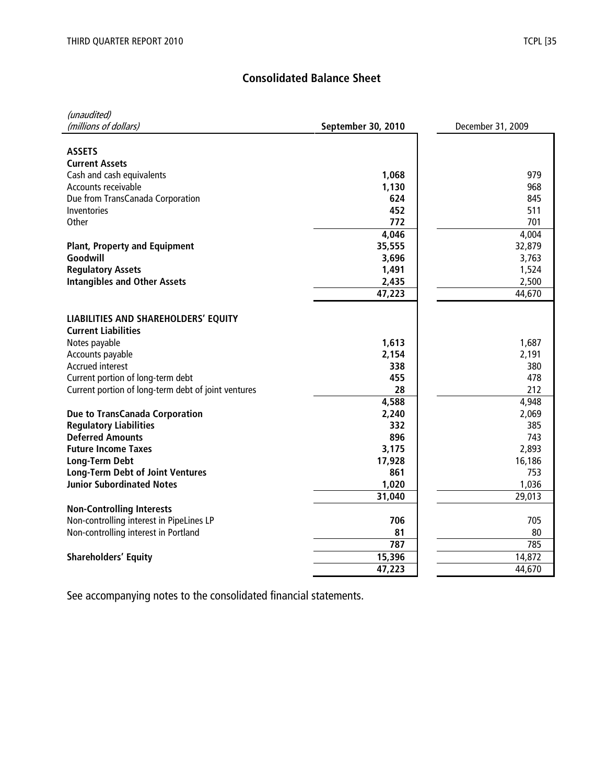## Consolidated Balance Sheet

| (unaudited)                                                        |                    |                   |
|--------------------------------------------------------------------|--------------------|-------------------|
| (millions of dollars)                                              | September 30, 2010 | December 31, 2009 |
|                                                                    |                    |                   |
| <b>ASSETS</b>                                                      |                    |                   |
| <b>Current Assets</b>                                              |                    |                   |
| Cash and cash equivalents                                          | 1,068              | 979               |
| Accounts receivable                                                | 1,130              | 968               |
| Due from TransCanada Corporation                                   | 624                | 845               |
| Inventories                                                        | 452                | 511               |
| Other                                                              | 772                | 701               |
|                                                                    | 4,046              | 4,004             |
| <b>Plant, Property and Equipment</b>                               | 35,555             | 32,879            |
| Goodwill                                                           | 3,696              | 3,763             |
| <b>Regulatory Assets</b>                                           | 1,491              | 1,524             |
| <b>Intangibles and Other Assets</b>                                | 2,435              | 2,500<br>44,670   |
|                                                                    | 47,223             |                   |
|                                                                    |                    |                   |
| LIABILITIES AND SHAREHOLDERS' EQUITY<br><b>Current Liabilities</b> |                    |                   |
| Notes payable                                                      | 1,613              | 1,687             |
| Accounts payable                                                   | 2,154              | 2,191             |
| Accrued interest                                                   | 338                | 380               |
| Current portion of long-term debt                                  | 455                | 478               |
| Current portion of long-term debt of joint ventures                | 28                 | 212               |
|                                                                    | 4,588              | 4,948             |
| Due to TransCanada Corporation                                     | 2,240              | 2,069             |
| <b>Regulatory Liabilities</b>                                      | 332                | 385               |
| <b>Deferred Amounts</b>                                            | 896                | 743               |
| <b>Future Income Taxes</b>                                         | 3,175              | 2,893             |
| <b>Long-Term Debt</b>                                              | 17,928             | 16,186            |
| <b>Long-Term Debt of Joint Ventures</b>                            | 861                | 753               |
| <b>Junior Subordinated Notes</b>                                   | 1,020              | 1,036             |
|                                                                    | 31,040             | 29,013            |
| <b>Non-Controlling Interests</b>                                   |                    |                   |
| Non-controlling interest in PipeLines LP                           | 706                | 705               |
| Non-controlling interest in Portland                               | 81                 | 80                |
|                                                                    | 787                | 785               |
| <b>Shareholders' Equity</b>                                        | 15,396             | 14,872            |
|                                                                    | 47,223             | 44,670            |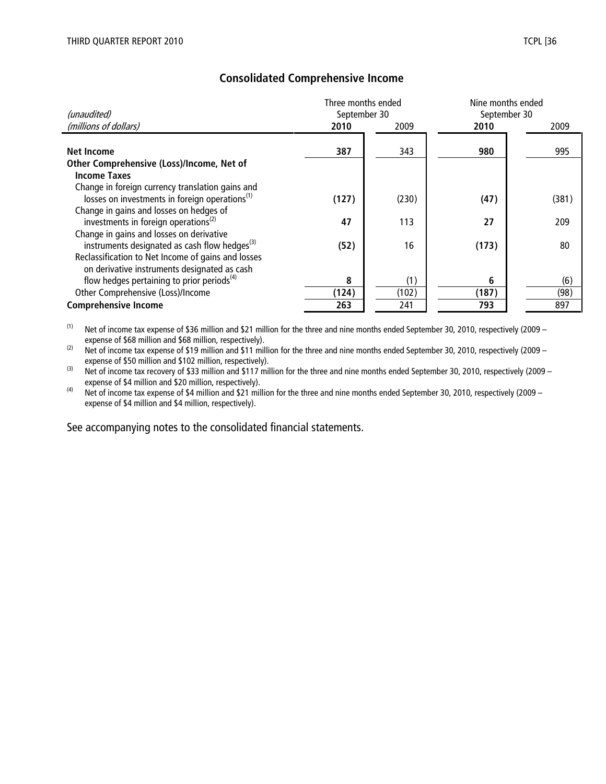| (unaudited)                                                                                                                                                 | Three months ended<br>September 30 |              | Nine months ended<br>September 30 |             |
|-------------------------------------------------------------------------------------------------------------------------------------------------------------|------------------------------------|--------------|-----------------------------------|-------------|
| (millions of dollars)                                                                                                                                       | 2010                               | 2009         | 2010                              | 2009        |
| Net Income                                                                                                                                                  | 387                                | 343          | 980                               | 995         |
| Other Comprehensive (Loss)/Income, Net of<br><b>Income Taxes</b>                                                                                            |                                    |              |                                   |             |
| Change in foreign currency translation gains and<br>losses on investments in foreign operations <sup>(1)</sup>                                              | (127)                              | (230)        | (47)                              | (381)       |
| Change in gains and losses on hedges of<br>investments in foreign operations <sup>(2)</sup>                                                                 | 47                                 | 113          | 27                                | 209         |
| Change in gains and losses on derivative<br>instruments designated as cash flow hedges <sup>(3)</sup><br>Reclassification to Net Income of gains and losses | (52)                               | 16           | (173)                             | 80          |
| on derivative instruments designated as cash                                                                                                                |                                    |              |                                   |             |
| flow hedges pertaining to prior periods <sup>(4)</sup><br>Other Comprehensive (Loss)/Income                                                                 | 8<br>(124)                         | (1)<br>(102) | 6<br>(187)                        | (6)<br>(98) |
| <b>Comprehensive Income</b>                                                                                                                                 | 263                                | 241          | 793                               | 897         |

## Consolidated Comprehensive Income

 $(1)$  Net of income tax expense of \$36 million and \$21 million for the three and nine months ended September 30, 2010, respectively (2009 – expense of \$68 million and \$68 million, respectively).

(2) Net of income tax expense of \$19 million and \$11 million for the three and nine months ended September 30, 2010, respectively (2009 – expense of \$50 million and \$102 million, respectively).

(3) Net of income tax recovery of \$33 million and \$117 million for the three and nine months ended September 30, 2010, respectively (2009 – expense of \$4 million and \$20 million, respectively).

 $(4)$  Net of income tax expense of \$4 million and \$21 million for the three and nine months ended September 30, 2010, respectively (2009 – expense of \$4 million and \$4 million, respectively).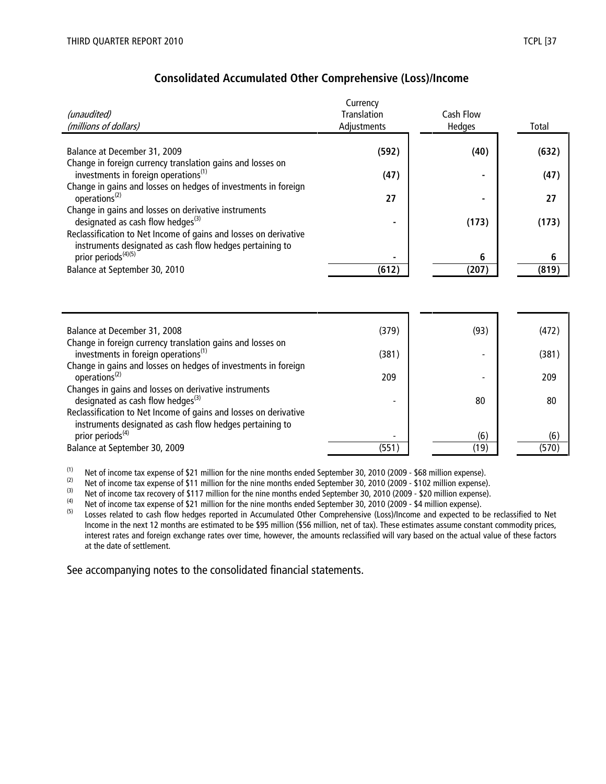|                                                                                                       | Currency           |           |       |
|-------------------------------------------------------------------------------------------------------|--------------------|-----------|-------|
| (unaudited)                                                                                           | <b>Translation</b> | Cash Flow |       |
| (millions of dollars)                                                                                 | Adjustments        | Hedges    | Total |
|                                                                                                       |                    |           |       |
| Balance at December 31, 2009                                                                          | (592)              | (40)      | (632) |
| Change in foreign currency translation gains and losses on                                            |                    |           |       |
| investments in foreign operations <sup>(1)</sup>                                                      | (47)               |           | (47)  |
| Change in gains and losses on hedges of investments in foreign<br>operations <sup>(2)</sup>           | 27                 |           | 27    |
|                                                                                                       |                    |           |       |
| Change in gains and losses on derivative instruments<br>designated as cash flow hedges <sup>(3)</sup> |                    | (173)     | (173) |
| Reclassification to Net Income of gains and losses on derivative                                      |                    |           |       |
| instruments designated as cash flow hedges pertaining to                                              |                    |           |       |
| prior periods <sup>(4)(5)</sup>                                                                       |                    | 6         | 6     |
| Balance at September 30, 2010                                                                         | (612)              | (207)     | (819) |
|                                                                                                       |                    |           |       |
|                                                                                                       |                    |           |       |
|                                                                                                       |                    |           |       |
|                                                                                                       |                    |           |       |
| Balance at December 31, 2008                                                                          | (379)              | (93)      | (472) |
| Change in foreign currency translation gains and losses on                                            |                    |           |       |
| investments in foreign operations <sup>(1)</sup>                                                      | (381)              |           | (381) |
| Change in gains and losses on hedges of investments in foreign                                        |                    |           |       |
| operations <sup>(2)</sup>                                                                             | 209                |           | 209   |
| Changes in gains and losses on derivative instruments                                                 |                    |           |       |
| designated as cash flow hedges <sup>(3)</sup>                                                         |                    | 80        | 80    |

#### Consolidated Accumulated Other Comprehensive (Loss)/Income

| change in foreign carrency translation gams and losses on<br>investments in foreign operations <sup>(1)</sup> | (381) |      | (381) |
|---------------------------------------------------------------------------------------------------------------|-------|------|-------|
| Change in gains and losses on hedges of investments in foreign                                                |       |      |       |
| operations <sup>(2)</sup>                                                                                     | 209   |      | 209   |
| Changes in gains and losses on derivative instruments                                                         |       |      |       |
| designated as cash flow hedges $^{(3)}$                                                                       |       | 80   | 80    |
| Reclassification to Net Income of gains and losses on derivative                                              |       |      |       |
| instruments designated as cash flow hedges pertaining to                                                      |       |      |       |
| prior periods <sup>(4)</sup>                                                                                  |       | (6)  | (6)   |
| Balance at September 30, 2009                                                                                 | (551) | (19) | (570) |
|                                                                                                               |       |      |       |

(1) Net of income tax expense of \$21 million for the nine months ended September 30, 2010 (2009 - \$68 million expense).<br>(2) Net of income tax expense of \$11 million for the nine months ended September 30, 2010 (2009 - \$10

(2) Net of income tax expense of \$11 million for the nine months ended September 30, 2010 (2009 - \$102 million expense).<br>(3) Net of income tax recovery of \$117 million for the nine months ended September 30, 2010 (2009 -

(3) Net of income tax recovery of \$117 million for the nine months ended September 30, 2010 (2009 - \$20 million expense).<br>(4) Net of income tax expense of \$21 million for the nine months ended September 30, 2010 (2009 - \$

(4) Net of income tax expense of \$21 million for the nine months ended September 30, 2010 (2009 - \$4 million expense).<br>(5) Losses related to cash flow bedges reported in Accumulated Other Comprehensive (Loss)/Income and e

Losses related to cash flow hedges reported in Accumulated Other Comprehensive (Loss)/Income and expected to be reclassified to Net Income in the next 12 months are estimated to be \$95 million (\$56 million, net of tax). These estimates assume constant commodity prices, interest rates and foreign exchange rates over time, however, the amounts reclassified will vary based on the actual value of these factors at the date of settlement.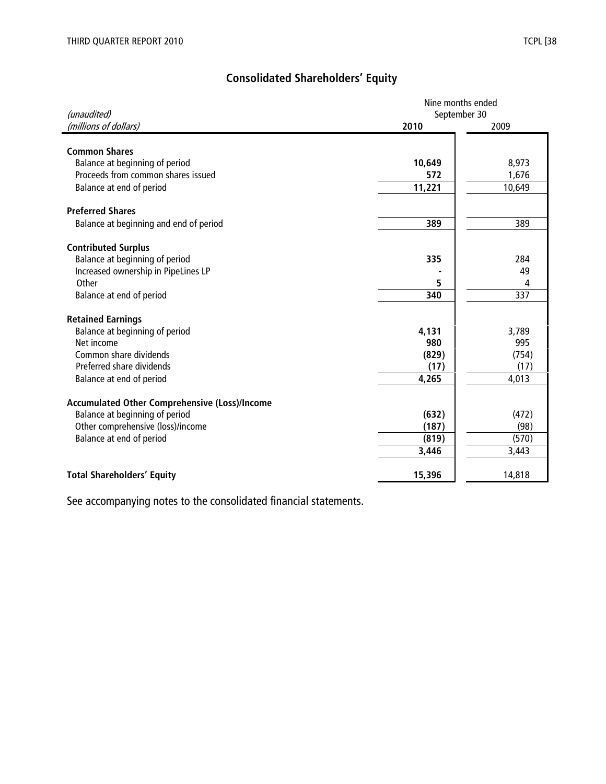# Consolidated Shareholders' Equity

| (unaudited)                                   | Nine months ended<br>September 30 |        |  |  |
|-----------------------------------------------|-----------------------------------|--------|--|--|
| (millions of dollars)                         | 2010                              | 2009   |  |  |
|                                               |                                   |        |  |  |
| <b>Common Shares</b>                          |                                   |        |  |  |
| Balance at beginning of period                | 10,649                            | 8,973  |  |  |
| Proceeds from common shares issued            | 572                               | 1,676  |  |  |
| Balance at end of period                      | 11,221                            | 10,649 |  |  |
| <b>Preferred Shares</b>                       |                                   |        |  |  |
| Balance at beginning and end of period        | 389                               | 389    |  |  |
| <b>Contributed Surplus</b>                    |                                   |        |  |  |
| Balance at beginning of period                | 335                               | 284    |  |  |
| Increased ownership in PipeLines LP           |                                   | 49     |  |  |
| Other                                         | 5                                 | 4      |  |  |
| Balance at end of period                      | 340                               | 337    |  |  |
| <b>Retained Earnings</b>                      |                                   |        |  |  |
| Balance at beginning of period                | 4,131                             | 3,789  |  |  |
| Net income                                    | 980                               | 995    |  |  |
| Common share dividends                        | (829)                             | (754)  |  |  |
| Preferred share dividends                     | (17)                              | (17)   |  |  |
| Balance at end of period                      | 4,265                             | 4,013  |  |  |
| Accumulated Other Comprehensive (Loss)/Income |                                   |        |  |  |
| Balance at beginning of period                | (632)                             | (472)  |  |  |
| Other comprehensive (loss)/income             | (187)                             | (98)   |  |  |
| Balance at end of period                      | (819)                             | (570)  |  |  |
|                                               | 3,446                             | 3,443  |  |  |
| <b>Total Shareholders' Equity</b>             | 15,396                            | 14,818 |  |  |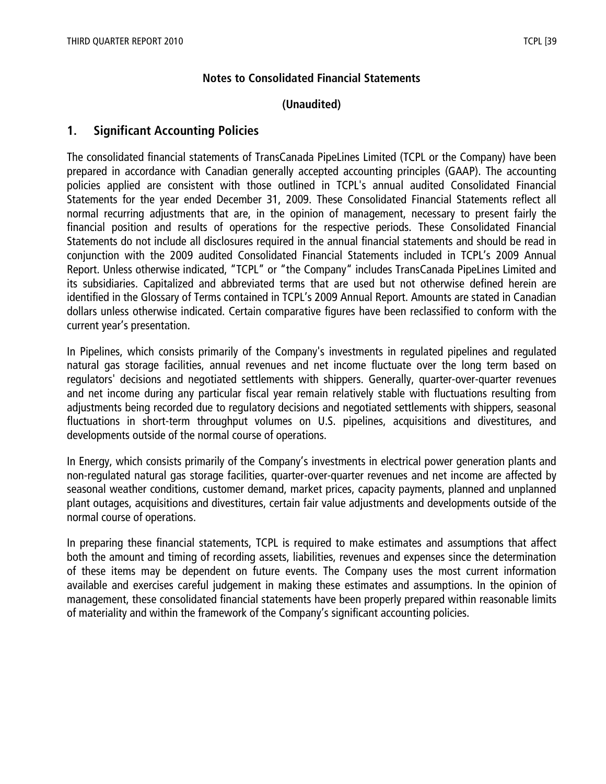#### Notes to Consolidated Financial Statements

#### (Unaudited)

### 1. Significant Accounting Policies

The consolidated financial statements of TransCanada PipeLines Limited (TCPL or the Company) have been prepared in accordance with Canadian generally accepted accounting principles (GAAP). The accounting policies applied are consistent with those outlined in TCPL's annual audited Consolidated Financial Statements for the year ended December 31, 2009. These Consolidated Financial Statements reflect all normal recurring adjustments that are, in the opinion of management, necessary to present fairly the financial position and results of operations for the respective periods. These Consolidated Financial Statements do not include all disclosures required in the annual financial statements and should be read in conjunction with the 2009 audited Consolidated Financial Statements included in TCPL's 2009 Annual Report. Unless otherwise indicated, "TCPL" or "the Company" includes TransCanada PipeLines Limited and its subsidiaries. Capitalized and abbreviated terms that are used but not otherwise defined herein are identified in the Glossary of Terms contained in TCPL's 2009 Annual Report. Amounts are stated in Canadian dollars unless otherwise indicated. Certain comparative figures have been reclassified to conform with the current year's presentation.

In Pipelines, which consists primarily of the Company's investments in regulated pipelines and regulated natural gas storage facilities, annual revenues and net income fluctuate over the long term based on regulators' decisions and negotiated settlements with shippers. Generally, quarter-over-quarter revenues and net income during any particular fiscal year remain relatively stable with fluctuations resulting from adjustments being recorded due to regulatory decisions and negotiated settlements with shippers, seasonal fluctuations in short-term throughput volumes on U.S. pipelines, acquisitions and divestitures, and developments outside of the normal course of operations.

In Energy, which consists primarily of the Company's investments in electrical power generation plants and non-regulated natural gas storage facilities, quarter-over-quarter revenues and net income are affected by seasonal weather conditions, customer demand, market prices, capacity payments, planned and unplanned plant outages, acquisitions and divestitures, certain fair value adjustments and developments outside of the normal course of operations.

In preparing these financial statements, TCPL is required to make estimates and assumptions that affect both the amount and timing of recording assets, liabilities, revenues and expenses since the determination of these items may be dependent on future events. The Company uses the most current information available and exercises careful judgement in making these estimates and assumptions. In the opinion of management, these consolidated financial statements have been properly prepared within reasonable limits of materiality and within the framework of the Company's significant accounting policies.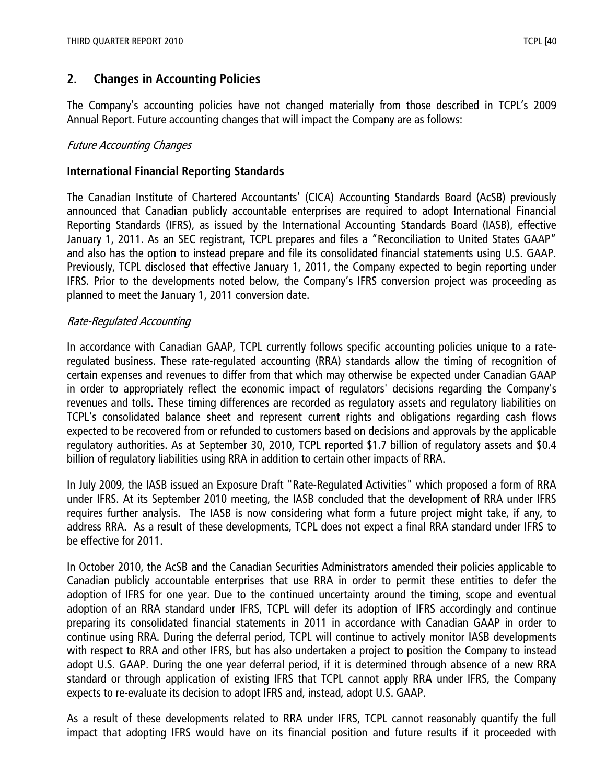## 2. Changes in Accounting Policies

The Company's accounting policies have not changed materially from those described in TCPL's 2009 Annual Report. Future accounting changes that will impact the Company are as follows:

#### Future Accounting Changes

#### International Financial Reporting Standards

The Canadian Institute of Chartered Accountants' (CICA) Accounting Standards Board (AcSB) previously announced that Canadian publicly accountable enterprises are required to adopt International Financial Reporting Standards (IFRS), as issued by the International Accounting Standards Board (IASB), effective January 1, 2011. As an SEC registrant, TCPL prepares and files a "Reconciliation to United States GAAP" and also has the option to instead prepare and file its consolidated financial statements using U.S. GAAP. Previously, TCPL disclosed that effective January 1, 2011, the Company expected to begin reporting under IFRS. Prior to the developments noted below, the Company's IFRS conversion project was proceeding as planned to meet the January 1, 2011 conversion date.

#### Rate-Regulated Accounting

In accordance with Canadian GAAP, TCPL currently follows specific accounting policies unique to a rateregulated business. These rate-regulated accounting (RRA) standards allow the timing of recognition of certain expenses and revenues to differ from that which may otherwise be expected under Canadian GAAP in order to appropriately reflect the economic impact of regulators' decisions regarding the Company's revenues and tolls. These timing differences are recorded as regulatory assets and regulatory liabilities on TCPL's consolidated balance sheet and represent current rights and obligations regarding cash flows expected to be recovered from or refunded to customers based on decisions and approvals by the applicable regulatory authorities. As at September 30, 2010, TCPL reported \$1.7 billion of regulatory assets and \$0.4 billion of regulatory liabilities using RRA in addition to certain other impacts of RRA.

In July 2009, the IASB issued an Exposure Draft "Rate-Regulated Activities" which proposed a form of RRA under IFRS. At its September 2010 meeting, the IASB concluded that the development of RRA under IFRS requires further analysis. The IASB is now considering what form a future project might take, if any, to address RRA. As a result of these developments, TCPL does not expect a final RRA standard under IFRS to be effective for 2011.

In October 2010, the AcSB and the Canadian Securities Administrators amended their policies applicable to Canadian publicly accountable enterprises that use RRA in order to permit these entities to defer the adoption of IFRS for one year. Due to the continued uncertainty around the timing, scope and eventual adoption of an RRA standard under IFRS, TCPL will defer its adoption of IFRS accordingly and continue preparing its consolidated financial statements in 2011 in accordance with Canadian GAAP in order to continue using RRA. During the deferral period, TCPL will continue to actively monitor IASB developments with respect to RRA and other IFRS, but has also undertaken a project to position the Company to instead adopt U.S. GAAP. During the one year deferral period, if it is determined through absence of a new RRA standard or through application of existing IFRS that TCPL cannot apply RRA under IFRS, the Company expects to re-evaluate its decision to adopt IFRS and, instead, adopt U.S. GAAP.

As a result of these developments related to RRA under IFRS, TCPL cannot reasonably quantify the full impact that adopting IFRS would have on its financial position and future results if it proceeded with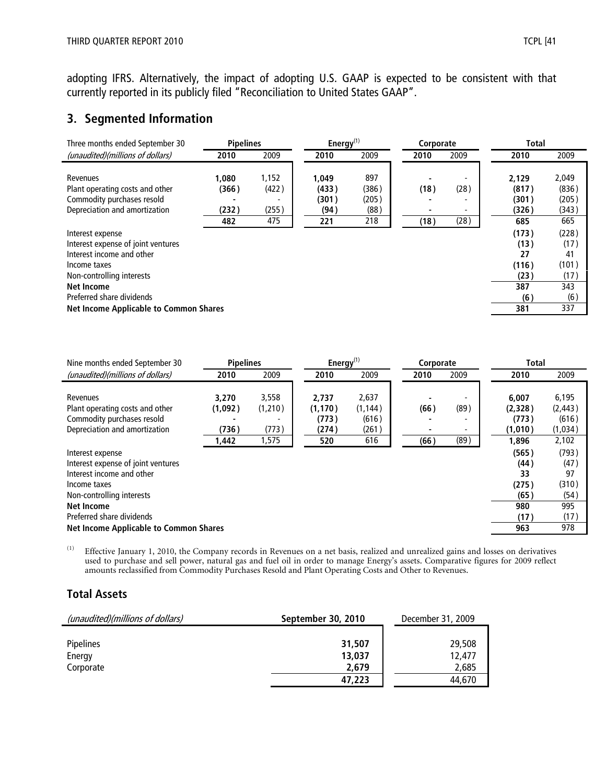adopting IFRS. Alternatively, the impact of adopting U.S. GAAP is expected to be consistent with that currently reported in its publicly filed "Reconciliation to United States GAAP".

## 3. Segmented Information

| Three months ended September 30                                                                                                                                                                                                     | <b>Pipelines</b>               |                                | Energy $(1)$                           |                                      | Corporate                                |                   | <b>Total</b>                                              |                                                           |
|-------------------------------------------------------------------------------------------------------------------------------------------------------------------------------------------------------------------------------------|--------------------------------|--------------------------------|----------------------------------------|--------------------------------------|------------------------------------------|-------------------|-----------------------------------------------------------|-----------------------------------------------------------|
| (unaudited)(millions of dollars)                                                                                                                                                                                                    | 2010                           | 2009                           | 2010                                   | 2009                                 | 2010                                     | 2009              | 2010                                                      | 2009                                                      |
| Revenues<br>Plant operating costs and other<br>Commodity purchases resold<br>Depreciation and amortization                                                                                                                          | 1.080<br>(366)<br>(232)<br>482 | 1,152<br>(422)<br>(255)<br>475 | 1,049<br>(433)<br>(301)<br>(94)<br>221 | 897<br>(386)<br>(205)<br>(88)<br>218 | (18)<br>$\overline{\phantom{0}}$<br>(18) | (28)<br>۰<br>(28) | 2,129<br>(817)<br>(301)<br>(326)<br>685                   | 2,049<br>(836)<br>(205)<br>(343)<br>665                   |
| Interest expense<br>Interest expense of joint ventures<br>Interest income and other<br>Income taxes<br>Non-controlling interests<br><b>Net Income</b><br>Preferred share dividends<br><b>Net Income Applicable to Common Shares</b> |                                |                                |                                        |                                      |                                          |                   | (173)<br>(13)<br>27<br>(116)<br>(23)<br>387<br>(6)<br>381 | (228)<br>(17)<br>41<br>(101)<br>(17)<br>343<br>(6)<br>337 |

| Nine months ended September 30                | <b>Pipelines</b> |         | Energy $^{(1)}$ |          | Corporate |      | <b>Total</b> |          |
|-----------------------------------------------|------------------|---------|-----------------|----------|-----------|------|--------------|----------|
| (unaudited)(millions of dollars)              | 2010             | 2009    | 2010            | 2009     | 2010      | 2009 | 2010         | 2009     |
|                                               |                  |         |                 |          |           |      |              |          |
| Revenues                                      | 3,270            | 3,558   | 2,737           | 2,637    |           |      | 6.007        | 6,195    |
| Plant operating costs and other               | (1,092)          | (1,210) | (1, 170)        | (1, 144) | (66)      | (89) | (2,328)      | (2, 443) |
| Commodity purchases resold                    |                  |         | (773)           | (616)    |           |      | (773)        | (616)    |
| Depreciation and amortization                 | (736)            | (773)   | (274)           | (261)    |           |      | (1,010)      | (1,034)  |
|                                               | 1,442            | 1,575   | 520             | 616      | (66)      | (89) | 1,896        | 2,102    |
| Interest expense                              |                  |         |                 |          |           |      | (565)        | (793)    |
| Interest expense of joint ventures            |                  |         |                 |          |           |      | (44)         | (47)     |
| Interest income and other                     |                  |         |                 |          |           |      | 33           | 97       |
| Income taxes                                  |                  |         |                 |          |           |      | (275)        | (310)    |
| Non-controlling interests                     |                  |         |                 |          |           |      | (65)         | (54)     |
| <b>Net Income</b>                             |                  |         |                 |          |           |      | 980          | 995      |
| Preferred share dividends                     |                  |         |                 |          |           |      | (17)         | (17)     |
| <b>Net Income Applicable to Common Shares</b> |                  |         |                 |          |           |      | 963          | 978      |

(1) Effective January 1, 2010, the Company records in Revenues on a net basis, realized and unrealized gains and losses on derivatives used to purchase and sell power, natural gas and fuel oil in order to manage Energy's assets. Comparative figures for 2009 reflect amounts reclassified from Commodity Purchases Resold and Plant Operating Costs and Other to Revenues.

## Total Assets

| (unaudited)(millions of dollars) | September 30, 2010 | December 31, 2009 |
|----------------------------------|--------------------|-------------------|
| <b>Pipelines</b>                 | 31,507             | 29,508            |
| Energy                           | 13,037             | 12,477            |
| Corporate                        | 2.679              | 2.685             |
|                                  | 47,223             | 44.670            |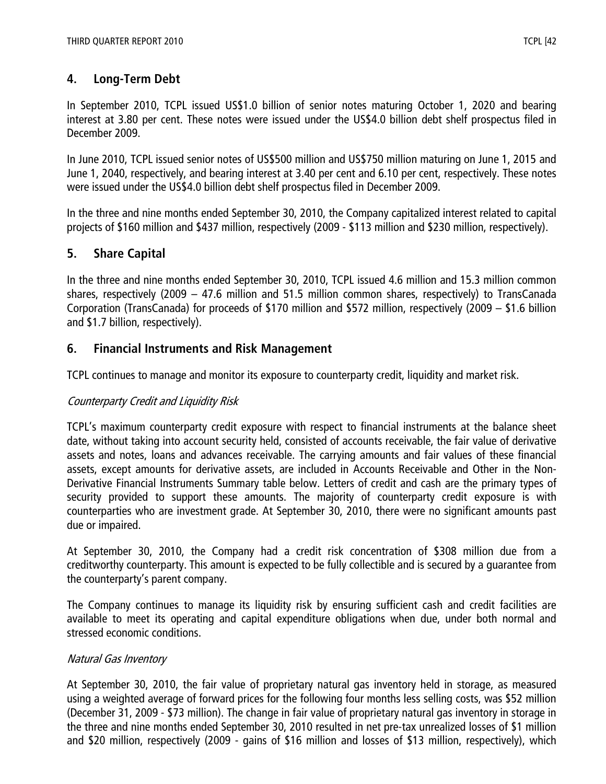# 4. Long-Term Debt

In September 2010, TCPL issued US\$1.0 billion of senior notes maturing October 1, 2020 and bearing interest at 3.80 per cent. These notes were issued under the US\$4.0 billion debt shelf prospectus filed in December 2009.

In June 2010, TCPL issued senior notes of US\$500 million and US\$750 million maturing on June 1, 2015 and June 1, 2040, respectively, and bearing interest at 3.40 per cent and 6.10 per cent, respectively. These notes were issued under the US\$4.0 billion debt shelf prospectus filed in December 2009.

In the three and nine months ended September 30, 2010, the Company capitalized interest related to capital projects of \$160 million and \$437 million, respectively (2009 - \$113 million and \$230 million, respectively).

# 5. Share Capital

In the three and nine months ended September 30, 2010, TCPL issued 4.6 million and 15.3 million common shares, respectively (2009 – 47.6 million and 51.5 million common shares, respectively) to TransCanada Corporation (TransCanada) for proceeds of \$170 million and \$572 million, respectively (2009 – \$1.6 billion and \$1.7 billion, respectively).

# 6. Financial Instruments and Risk Management

TCPL continues to manage and monitor its exposure to counterparty credit, liquidity and market risk.

## Counterparty Credit and Liquidity Risk

TCPL's maximum counterparty credit exposure with respect to financial instruments at the balance sheet date, without taking into account security held, consisted of accounts receivable, the fair value of derivative assets and notes, loans and advances receivable. The carrying amounts and fair values of these financial assets, except amounts for derivative assets, are included in Accounts Receivable and Other in the Non-Derivative Financial Instruments Summary table below. Letters of credit and cash are the primary types of security provided to support these amounts. The majority of counterparty credit exposure is with counterparties who are investment grade. At September 30, 2010, there were no significant amounts past due or impaired.

At September 30, 2010, the Company had a credit risk concentration of \$308 million due from a creditworthy counterparty. This amount is expected to be fully collectible and is secured by a guarantee from the counterparty's parent company.

The Company continues to manage its liquidity risk by ensuring sufficient cash and credit facilities are available to meet its operating and capital expenditure obligations when due, under both normal and stressed economic conditions.

## Natural Gas Inventory

At September 30, 2010, the fair value of proprietary natural gas inventory held in storage, as measured using a weighted average of forward prices for the following four months less selling costs, was \$52 million (December 31, 2009 - \$73 million). The change in fair value of proprietary natural gas inventory in storage in the three and nine months ended September 30, 2010 resulted in net pre-tax unrealized losses of \$1 million and \$20 million, respectively (2009 - gains of \$16 million and losses of \$13 million, respectively), which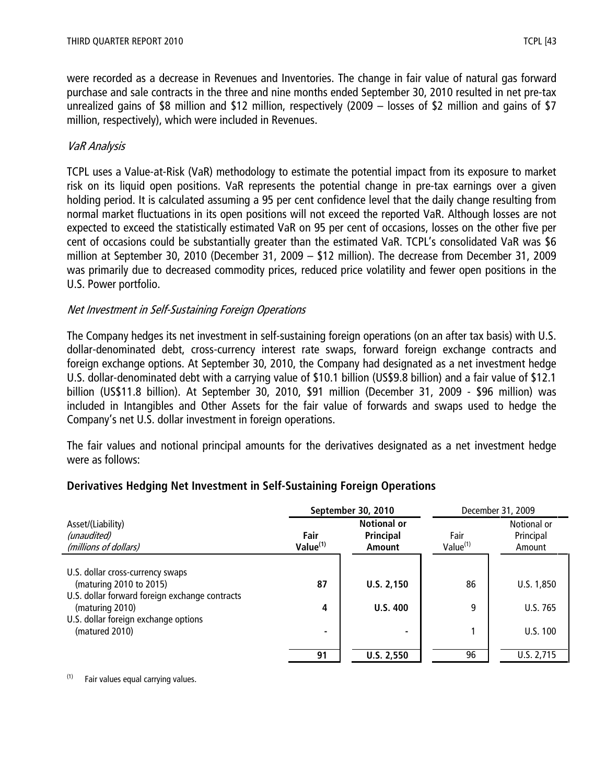were recorded as a decrease in Revenues and Inventories. The change in fair value of natural gas forward purchase and sale contracts in the three and nine months ended September 30, 2010 resulted in net pre-tax unrealized gains of \$8 million and \$12 million, respectively (2009 – losses of \$2 million and gains of \$7 million, respectively), which were included in Revenues.

## VaR Analysis

TCPL uses a Value-at-Risk (VaR) methodology to estimate the potential impact from its exposure to market risk on its liquid open positions. VaR represents the potential change in pre-tax earnings over a given holding period. It is calculated assuming a 95 per cent confidence level that the daily change resulting from normal market fluctuations in its open positions will not exceed the reported VaR. Although losses are not expected to exceed the statistically estimated VaR on 95 per cent of occasions, losses on the other five per cent of occasions could be substantially greater than the estimated VaR. TCPL's consolidated VaR was \$6 million at September 30, 2010 (December 31, 2009 – \$12 million). The decrease from December 31, 2009 was primarily due to decreased commodity prices, reduced price volatility and fewer open positions in the U.S. Power portfolio.

#### Net Investment in Self-Sustaining Foreign Operations

The Company hedges its net investment in self-sustaining foreign operations (on an after tax basis) with U.S. dollar-denominated debt, cross-currency interest rate swaps, forward foreign exchange contracts and foreign exchange options. At September 30, 2010, the Company had designated as a net investment hedge U.S. dollar-denominated debt with a carrying value of \$10.1 billion (US\$9.8 billion) and a fair value of \$12.1 billion (US\$11.8 billion). At September 30, 2010, \$91 million (December 31, 2009 - \$96 million) was included in Intangibles and Other Assets for the fair value of forwards and swaps used to hedge the Company's net U.S. dollar investment in foreign operations.

The fair values and notional principal amounts for the derivatives designated as a net investment hedge were as follows:

#### September 30, 2010 December 31, 2009 Asset/(Liability) (unaudited) (millions of dollars) Fair  $Value<sup>(1)</sup>$ Notional or Principal Amount Fair  $Value<sup>(1)</sup>$ Notional or Principal Amount U.S. dollar cross-currency swaps (maturing 2010 to 2015) **87 Propict 2010 to 2015 86 Propict 2010 to 2015 86 U.S. 1,850** U.S. dollar forward foreign exchange contracts (maturing 2010) 1.5.2 and 2010) 1.5.2 and 2010 1.5.2 and 2010 1.5.2 and 2010 1.5.2 and 2010 1.5.2 and 2010 1.5 and 2010 1.5.2 and 2010 1.5.2 and 2010 1.5.2 and 2010 1.5.2 and 2010 1.5.2 and 2010 1.5.2 and 2010 1.5.2 and 20 U.S. dollar foreign exchange options (matured 2010) 0.5.100 91 | U.S. 2,550 | 96 | U.S. 2,715

## Derivatives Hedging Net Investment in Self-Sustaining Foreign Operations

 $(1)$  Fair values equal carrying values.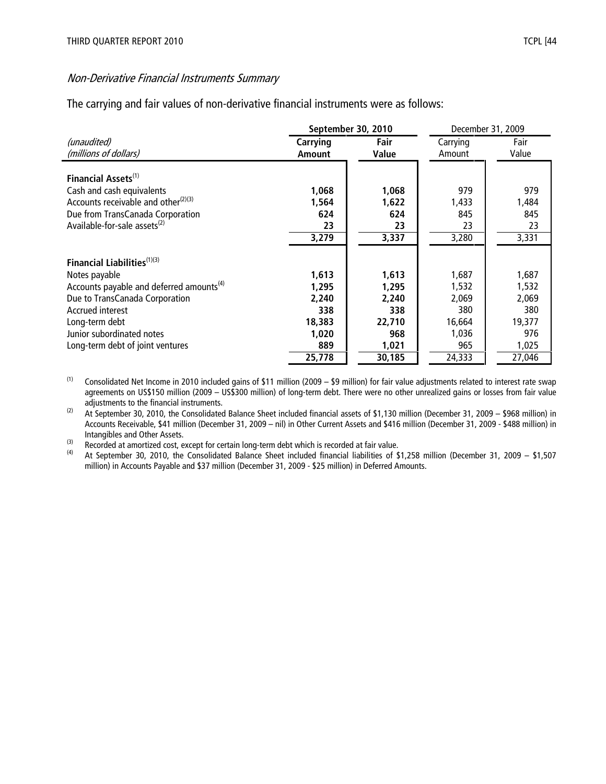#### Non-Derivative Financial Instruments Summary

The carrying and fair values of non-derivative financial instruments were as follows:

|                                                      |               | September 30, 2010 | December 31, 2009 |        |
|------------------------------------------------------|---------------|--------------------|-------------------|--------|
| (unaudited)                                          | Carrying      | Fair               | Carrying          | Fair   |
| (millions of dollars)                                | <b>Amount</b> | Value              | Amount            | Value  |
|                                                      |               |                    |                   |        |
| Financial Assets <sup>(1)</sup>                      |               |                    |                   |        |
| Cash and cash equivalents                            | 1,068         | 1,068              | 979               | 979    |
| Accounts receivable and other $(2)(3)$               | 1,564         | 1,622              | 1,433             | 1,484  |
| Due from TransCanada Corporation                     | 624           | 624                | 845               | 845    |
| Available-for-sale assets <sup>(2)</sup>             | 23            | 23                 | 23                | 23     |
|                                                      | 3,279         | 3,337              | 3,280             | 3,331  |
|                                                      |               |                    |                   |        |
| Financial Liabilities <sup>(1)(3)</sup>              |               |                    |                   |        |
| Notes payable                                        | 1,613         | 1,613              | 1,687             | 1,687  |
| Accounts payable and deferred amounts <sup>(4)</sup> | 1,295         | 1,295              | 1,532             | 1,532  |
| Due to TransCanada Corporation                       | 2,240         | 2,240              | 2,069             | 2,069  |
| Accrued interest                                     | 338           | 338                | 380               | 380    |
| Long-term debt                                       | 18,383        | 22,710             | 16,664            | 19,377 |
| Junior subordinated notes                            | 1,020         | 968                | 1,036             | 976    |
| Long-term debt of joint ventures                     | 889           | 1,021              | 965               | 1,025  |
|                                                      | 25,778        | 30,185             | 24,333            | 27,046 |

 $(1)$  Consolidated Net Income in 2010 included gains of \$11 million (2009 – \$9 million) for fair value adjustments related to interest rate swap agreements on US\$150 million (2009 – US\$300 million) of long-term debt. There were no other unrealized gains or losses from fair value adjustments to the financial instruments.

 $(2)$  At September 30, 2010, the Consolidated Balance Sheet included financial assets of \$1,130 million (December 31, 2009 – \$968 million) in Accounts Receivable, \$41 million (December 31, 2009 – nil) in Other Current Assets and \$416 million (December 31, 2009 - \$488 million) in Intangibles and Other Assets.

(3) Recorded at amortized cost, except for certain long-term debt which is recorded at fair value.<br>
(4) At Sentember 30, 2010, the Consolidated Balance Sheet included financial liabilities of \$

(4) At September 30, 2010, the Consolidated Balance Sheet included financial liabilities of \$1,258 million (December 31, 2009 – \$1,507 million) in Accounts Payable and \$37 million (December 31, 2009 - \$25 million) in Deferred Amounts.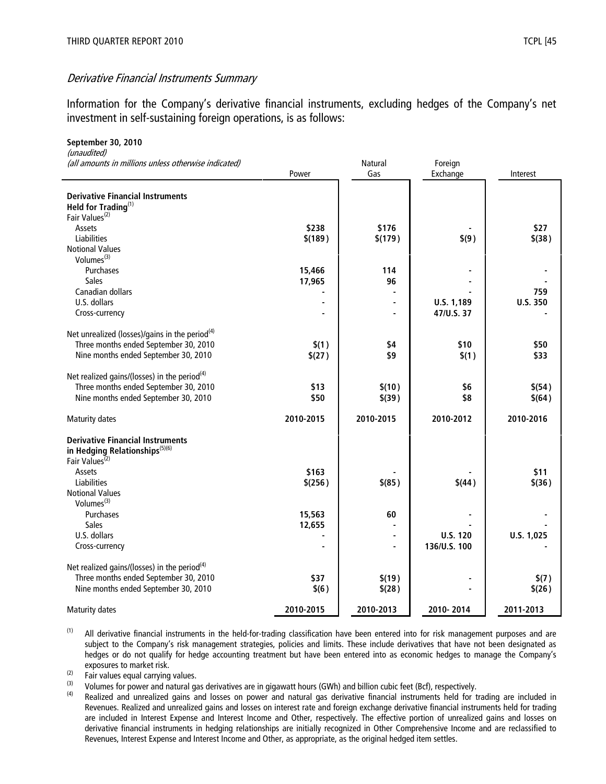September 30, 2010

#### Derivative Financial Instruments Summary

Information for the Company's derivative financial instruments, excluding hedges of the Company's net investment in self-sustaining foreign operations, is as follows:

| (unaudited)<br>(all amounts in millions unless otherwise indicated) |           | <b>Natural</b> | Foreign         |            |
|---------------------------------------------------------------------|-----------|----------------|-----------------|------------|
|                                                                     | Power     | Gas            | Exchange        | Interest   |
|                                                                     |           |                |                 |            |
| <b>Derivative Financial Instruments</b>                             |           |                |                 |            |
| Held for Trading(1)                                                 |           |                |                 |            |
| Fair Values <sup>(2)</sup>                                          |           |                |                 |            |
| Assets                                                              | \$238     | \$176          |                 | \$27       |
| Liabilities                                                         | \$(189)   | \$(179)        | \$(9)           | $$$ (38)   |
| <b>Notional Values</b>                                              |           |                |                 |            |
| Volumes $(3)$                                                       |           |                |                 |            |
| Purchases                                                           | 15,466    | 114            |                 |            |
| <b>Sales</b>                                                        | 17,965    | 96             |                 |            |
| Canadian dollars                                                    |           |                |                 | 759        |
| U.S. dollars                                                        |           |                | U.S. 1,189      | U.S. 350   |
| Cross-currency                                                      |           | ä,             | 47/U.S. 37      |            |
| Net unrealized (losses)/gains in the period <sup>(4)</sup>          |           |                |                 |            |
| Three months ended September 30, 2010                               | \$(1)     | \$4            | \$10            | \$50       |
| Nine months ended September 30, 2010                                | \$(27)    | \$9            | \$(1)           | \$33       |
|                                                                     |           |                |                 |            |
| Net realized gains/(losses) in the period <sup>(4)</sup>            |           |                |                 |            |
| Three months ended September 30, 2010                               | \$13      | \$(10)         | \$6             | \$(54)     |
| Nine months ended September 30, 2010                                | \$50      | \$(39)         | \$8             | \$(64)     |
|                                                                     | 2010-2015 | 2010-2015      | 2010-2012       | 2010-2016  |
| <b>Maturity dates</b>                                               |           |                |                 |            |
| <b>Derivative Financial Instruments</b>                             |           |                |                 |            |
| in Hedging Relationships <sup>(5)(6)</sup>                          |           |                |                 |            |
| Fair Values <sup>(2)</sup>                                          |           |                |                 |            |
| Assets                                                              | \$163     |                |                 | \$11       |
| Liabilities                                                         | \$(256)   | $$$ (85)       | \$(44)          | \$(36)     |
| <b>Notional Values</b>                                              |           |                |                 |            |
| Volumes $(3)$                                                       |           |                |                 |            |
| Purchases                                                           | 15,563    | 60             |                 |            |
| <b>Sales</b>                                                        | 12,655    |                |                 |            |
| U.S. dollars                                                        |           | $\blacksquare$ | <b>U.S. 120</b> | U.S. 1,025 |
| Cross-currency                                                      |           | ÷,             | 136/U.S. 100    |            |
|                                                                     |           |                |                 |            |
| Net realized gains/(losses) in the period <sup>(4)</sup>            |           |                |                 |            |
| Three months ended September 30, 2010                               | \$37      | \$(19)         |                 | \$(7)      |
| Nine months ended September 30, 2010                                | \$(6)     | \$(28)         |                 | \$(26)     |
| Maturity dates                                                      | 2010-2015 | 2010-2013      | 2010-2014       | 2011-2013  |

<sup>(1)</sup> All derivative financial instruments in the held-for-trading classification have been entered into for risk management purposes and are subject to the Company's risk management strategies, policies and limits. These include derivatives that have not been designated as hedges or do not qualify for hedge accounting treatment but have been entered into as economic hedges to manage the Company's exposures to market risk.

 $\frac{1}{2}$  Fair values equal carrying values.

(3) Volumes for power and natural gas derivatives are in gigawatt hours (GWh) and billion cubic feet (Bcf), respectively.<br>(4) Boolized and unrealized gains and losses an power and patural gas derivative financial instrume

Realized and unrealized gains and losses on power and natural gas derivative financial instruments held for trading are included in Revenues. Realized and unrealized gains and losses on interest rate and foreign exchange derivative financial instruments held for trading are included in Interest Expense and Interest Income and Other, respectively. The effective portion of unrealized gains and losses on derivative financial instruments in hedging relationships are initially recognized in Other Comprehensive Income and are reclassified to Revenues, Interest Expense and Interest Income and Other, as appropriate, as the original hedged item settles.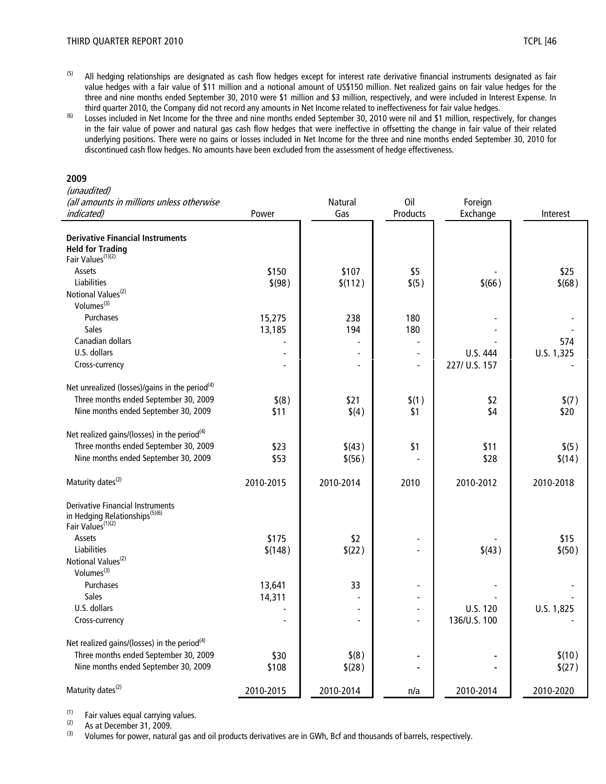- <sup>(5)</sup> All hedging relationships are designated as cash flow hedges except for interest rate derivative financial instruments designated as fair value hedges with a fair value of \$11 million and a notional amount of US\$150 million. Net realized gains on fair value hedges for the three and nine months ended September 30, 2010 were \$1 million and \$3 million, respectively, and were included in Interest Expense. In third quarter 2010, the Company did not record any amounts in Net Income related to ineffectiveness for fair value hedges.
- (6) Losses included in Net Income for the three and nine months ended September 30, 2010 were nil and \$1 million, respectively, for changes in the fair value of power and natural gas cash flow hedges that were ineffective in offsetting the change in fair value of their related underlying positions. There were no gains or losses included in Net Income for the three and nine months ended September 30, 2010 for discontinued cash flow hedges. No amounts have been excluded from the assessment of hedge effectiveness.

#### 2009

#### (unaudited)

| (all amounts in millions unless otherwise                  |           | Natural        | Oil            | Foreign       |            |
|------------------------------------------------------------|-----------|----------------|----------------|---------------|------------|
| indicated)                                                 | Power     | Gas            | Products       | Exchange      | Interest   |
|                                                            |           |                |                |               |            |
| <b>Derivative Financial Instruments</b>                    |           |                |                |               |            |
| <b>Held for Trading</b>                                    |           |                |                |               |            |
| Fair Values <sup>(1)(2)</sup>                              |           |                |                |               |            |
| Assets                                                     | \$150     | \$107          | \$5            |               | \$25       |
| Liabilities                                                | \$ (98)   | \$(112)        | \$(5)          | \$(66)        | \$(68)     |
| Notional Values <sup>(2)</sup>                             |           |                |                |               |            |
| Volumes <sup>(3)</sup>                                     |           |                |                |               |            |
| Purchases                                                  | 15,275    | 238            | 180            |               |            |
| <b>Sales</b>                                               | 13,185    | 194            | 180            |               |            |
| Canadian dollars                                           |           |                |                |               | 574        |
| U.S. dollars                                               |           | $\overline{a}$ |                | U.S. 444      | U.S. 1,325 |
| Cross-currency                                             |           |                | $\overline{a}$ | 227/ U.S. 157 |            |
|                                                            |           |                |                |               |            |
| Net unrealized (losses)/gains in the period <sup>(4)</sup> |           |                |                |               |            |
| Three months ended September 30, 2009                      | $$^{(8)}$ | \$21           | \$(1)          | \$2           | \$(7)      |
| Nine months ended September 30, 2009                       | \$11      | \$(4)          | \$1            | \$4           | \$20       |
|                                                            |           |                |                |               |            |
| Net realized gains/(losses) in the period <sup>(4)</sup>   |           |                |                |               |            |
| Three months ended September 30, 2009                      | \$23      | \$(43)         | \$1            | \$11          | \$(5)      |
| Nine months ended September 30, 2009                       | \$53      | \$(56)         |                | \$28          | \$(14)     |
| Maturity dates <sup>(2)</sup>                              | 2010-2015 | 2010-2014      | 2010           | 2010-2012     | 2010-2018  |
|                                                            |           |                |                |               |            |
| <b>Derivative Financial Instruments</b>                    |           |                |                |               |            |
| in Hedging Relationships <sup>(5)(6)</sup>                 |           |                |                |               |            |
| Fair Values <sup>(1)(2)</sup>                              |           |                |                |               |            |
| Assets                                                     | \$175     | \$2            |                |               | \$15       |
| <b>Liabilities</b>                                         | \$(148)   | \$(22)         |                | \$(43)        | \$(50)     |
| Notional Values <sup>(2)</sup>                             |           |                |                |               |            |
| Volumes <sup>(3)</sup>                                     |           |                |                |               |            |
| Purchases                                                  | 13,641    | 33             |                |               |            |
| <b>Sales</b>                                               | 14,311    |                |                |               |            |
| U.S. dollars                                               |           |                |                | U.S. 120      | U.S. 1,825 |
| Cross-currency                                             |           |                |                | 136/U.S. 100  |            |
| Net realized gains/(losses) in the period <sup>(4)</sup>   |           |                |                |               |            |
| Three months ended September 30, 2009                      |           | \$(8)          |                |               | \$(10)     |
| Nine months ended September 30, 2009                       | \$30      |                |                |               |            |
|                                                            | \$108     | \$(28)         |                |               | \$(27)     |
| Maturity dates <sup>(2)</sup>                              | 2010-2015 | 2010-2014      | n/a            | 2010-2014     | 2010-2020  |

 $(1)$  Fair values equal carrying values.<br> $(2)$  As at Desember 21, 2000.

 $\frac{1}{2}$  As at December 31, 2009.<br>(3) Volumes for nower natural

(3) Volumes for power, natural gas and oil products derivatives are in GWh, Bcf and thousands of barrels, respectively.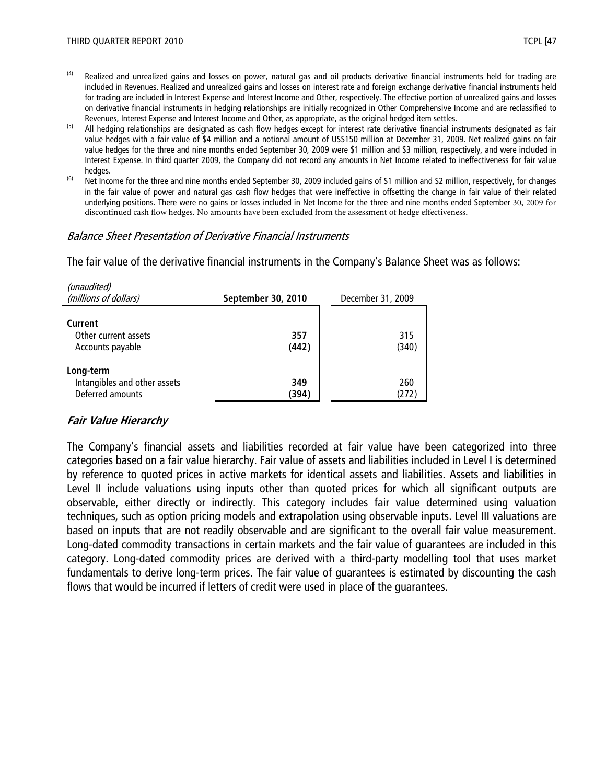- $(4)$  Realized and unrealized gains and losses on power, natural gas and oil products derivative financial instruments held for trading are included in Revenues. Realized and unrealized gains and losses on interest rate and foreign exchange derivative financial instruments held for trading are included in Interest Expense and Interest Income and Other, respectively. The effective portion of unrealized gains and losses on derivative financial instruments in hedging relationships are initially recognized in Other Comprehensive Income and are reclassified to Revenues, Interest Expense and Interest Income and Other, as appropriate, as the original hedged item settles.
- (5) All hedging relationships are designated as cash flow hedges except for interest rate derivative financial instruments designated as fair value hedges with a fair value of \$4 million and a notional amount of US\$150 million at December 31, 2009. Net realized gains on fair value hedges for the three and nine months ended September 30, 2009 were \$1 million and \$3 million, respectively, and were included in Interest Expense. In third quarter 2009, the Company did not record any amounts in Net Income related to ineffectiveness for fair value hedges.
- (6) Net Income for the three and nine months ended September 30, 2009 included gains of \$1 million and \$2 million, respectively, for changes in the fair value of power and natural gas cash flow hedges that were ineffective in offsetting the change in fair value of their related underlying positions. There were no gains or losses included in Net Income for the three and nine months ended September 30, 2009 for discontinued cash flow hedges. No amounts have been excluded from the assessment of hedge effectiveness.

#### Balance Sheet Presentation of Derivative Financial Instruments

The fair value of the derivative financial instruments in the Company's Balance Sheet was as follows:

| (unaudited)<br>(millions of dollars)                          | September 30, 2010 | December 31, 2009 |  |
|---------------------------------------------------------------|--------------------|-------------------|--|
| Current<br>Other current assets<br>Accounts payable           | 357<br>(442)       | 315<br>(340)      |  |
| Long-term<br>Intangibles and other assets<br>Deferred amounts | 349<br>(394)       | 260<br>(272)      |  |

#### Fair Value Hierarchy

The Company's financial assets and liabilities recorded at fair value have been categorized into three categories based on a fair value hierarchy. Fair value of assets and liabilities included in Level I is determined by reference to quoted prices in active markets for identical assets and liabilities. Assets and liabilities in Level II include valuations using inputs other than quoted prices for which all significant outputs are observable, either directly or indirectly. This category includes fair value determined using valuation techniques, such as option pricing models and extrapolation using observable inputs. Level III valuations are based on inputs that are not readily observable and are significant to the overall fair value measurement. Long-dated commodity transactions in certain markets and the fair value of guarantees are included in this category. Long-dated commodity prices are derived with a third-party modelling tool that uses market fundamentals to derive long-term prices. The fair value of guarantees is estimated by discounting the cash flows that would be incurred if letters of credit were used in place of the guarantees.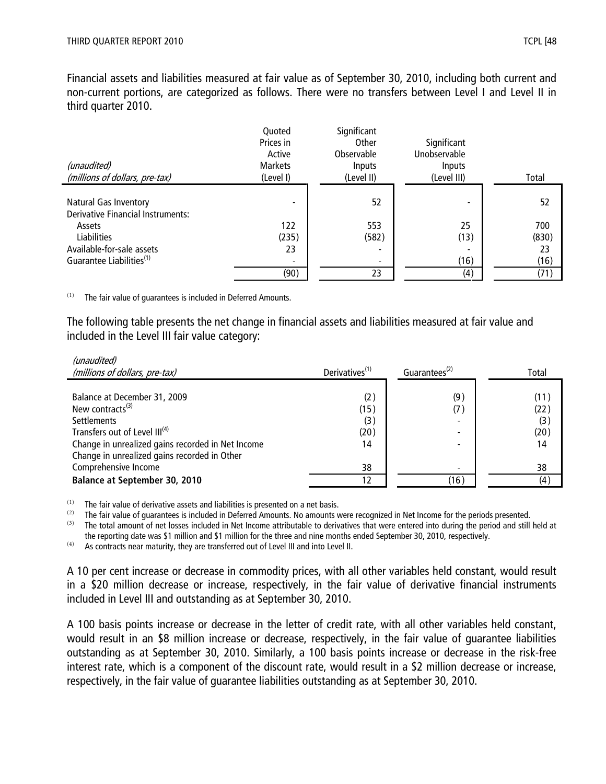$\mathcal{L}$ 

Financial assets and liabilities measured at fair value as of September 30, 2010, including both current and non-current portions, are categorized as follows. There were no transfers between Level I and Level II in third quarter 2010.

| (unaudited)<br>(millions of dollars, pre-tax)                            | Quoted<br>Prices in<br>Active<br><b>Markets</b><br>(Level I) | Significant<br>Other<br>Observable<br>Inputs<br>(Level II) | Significant<br>Unobservable<br><b>Inputs</b><br>(Level III) | Total |
|--------------------------------------------------------------------------|--------------------------------------------------------------|------------------------------------------------------------|-------------------------------------------------------------|-------|
|                                                                          |                                                              |                                                            |                                                             |       |
| <b>Natural Gas Inventory</b><br><b>Derivative Financial Instruments:</b> | $\overline{\phantom{0}}$                                     | 52                                                         |                                                             | 52    |
| Assets                                                                   | 122                                                          | 553                                                        | 25                                                          | 700   |
| <b>Liabilities</b>                                                       | (235)                                                        | (582)                                                      | (13)                                                        | (830) |
| Available-for-sale assets                                                | 23                                                           |                                                            |                                                             | 23    |
| Guarantee Liabilities <sup>(1)</sup>                                     | $\overline{\phantom{a}}$                                     |                                                            | (16)                                                        | (16)  |
|                                                                          | (90)                                                         | 23                                                         | (4)                                                         | (71)  |

 $(1)$  The fair value of quarantees is included in Deferred Amounts.

The following table presents the net change in financial assets and liabilities measured at fair value and included in the Level III fair value category:

| <i>(unaudited)</i><br>(millions of dollars, pre-tax)                 | Derivatives <sup>(1)</sup> | Guarantees <sup>(2)</sup> | Total        |
|----------------------------------------------------------------------|----------------------------|---------------------------|--------------|
| Balance at December 31, 2009<br>New contracts $(3)$                  | (2)<br>(15)                | (9)<br>(7)                | (11)<br>(22) |
| <b>Settlements</b><br>Transfers out of Level III <sup>(4)</sup>      | (3)<br>(20)                |                           | (3)<br>(20)  |
| Change in unrealized gains recorded in Net Income                    | 14                         |                           | 14           |
| Change in unrealized gains recorded in Other<br>Comprehensive Income | 38                         |                           | 38           |
| <b>Balance at September 30, 2010</b>                                 |                            | (16)                      | (4)          |

 $(1)$  The fair value of derivative assets and liabilities is presented on a net basis.

(2) The fair value of guarantees is included in Deferred Amounts. No amounts were recognized in Net Income for the periods presented.<br>
(3) The total amount of not locces included in Net Income attributable to derivatives

(3) The total amount of net losses included in Net Income attributable to derivatives that were entered into during the period and still held at the reporting date was \$1 million and \$1 million for the three and nine months ended September 30, 2010, respectively.

 $(4)$  As contracts near maturity, they are transferred out of Level III and into Level II.

A 10 per cent increase or decrease in commodity prices, with all other variables held constant, would result in a \$20 million decrease or increase, respectively, in the fair value of derivative financial instruments included in Level III and outstanding as at September 30, 2010.

A 100 basis points increase or decrease in the letter of credit rate, with all other variables held constant, would result in an \$8 million increase or decrease, respectively, in the fair value of guarantee liabilities outstanding as at September 30, 2010. Similarly, a 100 basis points increase or decrease in the risk-free interest rate, which is a component of the discount rate, would result in a \$2 million decrease or increase, respectively, in the fair value of guarantee liabilities outstanding as at September 30, 2010.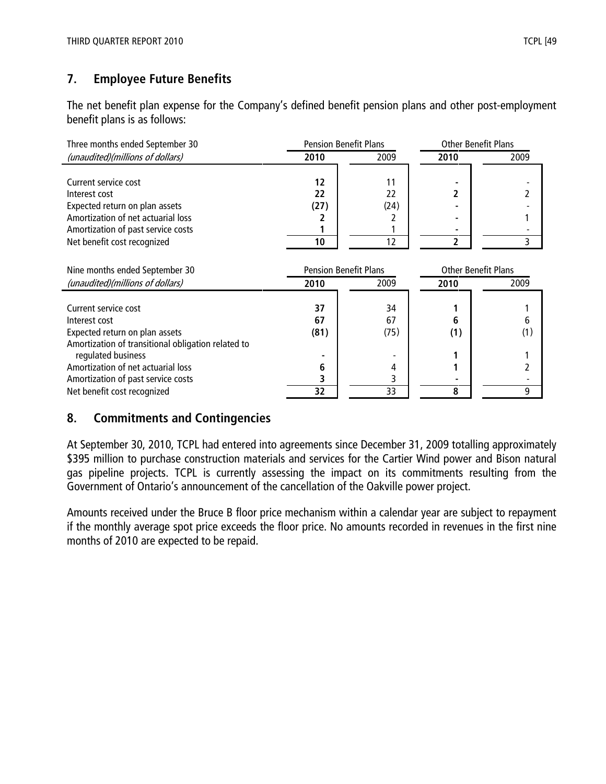# 7. Employee Future Benefits

The net benefit plan expense for the Company's defined benefit pension plans and other post-employment benefit plans is as follows:

| Three months ended September 30                    | <b>Pension Benefit Plans</b> |      |      | <b>Other Benefit Plans</b> |  |
|----------------------------------------------------|------------------------------|------|------|----------------------------|--|
| (unaudited)(millions of dollars)                   | 2010                         | 2009 | 2010 | 2009                       |  |
|                                                    |                              |      |      |                            |  |
| Current service cost                               | 12                           | 11   |      |                            |  |
| Interest cost                                      | 22                           | 22   |      | 2                          |  |
| Expected return on plan assets                     | (27)                         | (24) |      |                            |  |
| Amortization of net actuarial loss                 |                              |      |      |                            |  |
| Amortization of past service costs                 |                              |      |      |                            |  |
| Net benefit cost recognized                        | 10                           | 12   | 2    | 3                          |  |
|                                                    |                              |      |      |                            |  |
| Nine months ended September 30                     | <b>Pension Benefit Plans</b> |      |      | <b>Other Benefit Plans</b> |  |
| (unaudited)(millions of dollars)                   | 2010                         | 2009 | 2010 | 2009                       |  |
|                                                    |                              |      |      |                            |  |
| Current service cost                               | 37                           | 34   |      |                            |  |
| Interest cost                                      | 67                           | 67   | 6    | 6                          |  |
| Expected return on plan assets                     | (81)                         | (75) | (1)  | (1)                        |  |
| Amortization of transitional obligation related to |                              |      |      |                            |  |
| regulated business                                 |                              |      |      |                            |  |
| Amortization of net actuarial loss                 | 6                            | 4    |      |                            |  |
| Amortization of past service costs                 |                              | 3    |      |                            |  |
| Net benefit cost recognized                        | 32                           | 33   | 8    | 9                          |  |

## 8. Commitments and Contingencies

At September 30, 2010, TCPL had entered into agreements since December 31, 2009 totalling approximately \$395 million to purchase construction materials and services for the Cartier Wind power and Bison natural gas pipeline projects. TCPL is currently assessing the impact on its commitments resulting from the Government of Ontario's announcement of the cancellation of the Oakville power project.

Amounts received under the Bruce B floor price mechanism within a calendar year are subject to repayment if the monthly average spot price exceeds the floor price. No amounts recorded in revenues in the first nine months of 2010 are expected to be repaid.